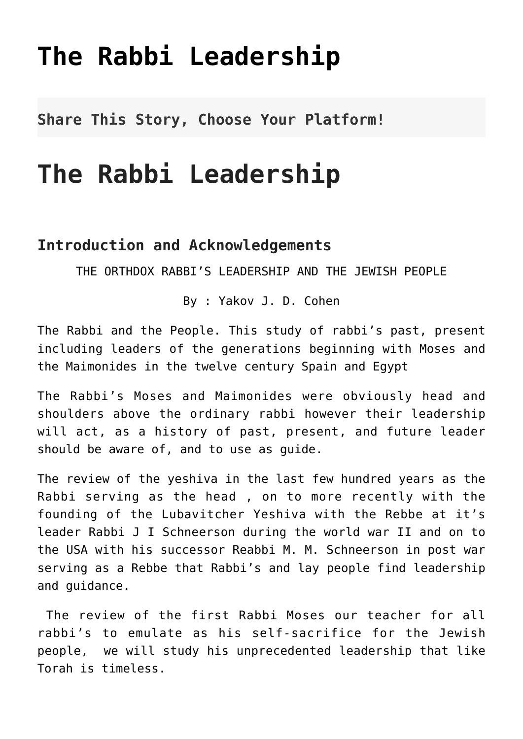# **[The Rabbi Leadership](http://noahide.org/the-rabbi-leadership/)**

**Share This Story, Choose Your Platform!**

# **The Rabbi Leadership**

### **Introduction and Acknowledgements**

THE ORTHDOX RABBI'S LEADERSHIP AND THE JEWISH PEOPLE

By : Yakov J. D. Cohen

The Rabbi and the People. This study of rabbi's past, present including leaders of the generations beginning with Moses and the Maimonides in the twelve century Spain and Egypt

The Rabbi's Moses and Maimonides were obviously head and shoulders above the ordinary rabbi however their leadership will act, as a history of past, present, and future leader should be aware of, and to use as guide.

The review of the yeshiva in the last few hundred years as the Rabbi serving as the head , on to more recently with the founding of the Lubavitcher Yeshiva with the Rebbe at it's leader Rabbi J I Schneerson during the world war II and on to the USA with his successor Reabbi M. M. Schneerson in post war serving as a Rebbe that Rabbi's and lay people find leadership and guidance.

 The review of the first Rabbi Moses our teacher for all rabbi's to emulate as his self-sacrifice for the Jewish people, we will study his unprecedented leadership that like Torah is timeless.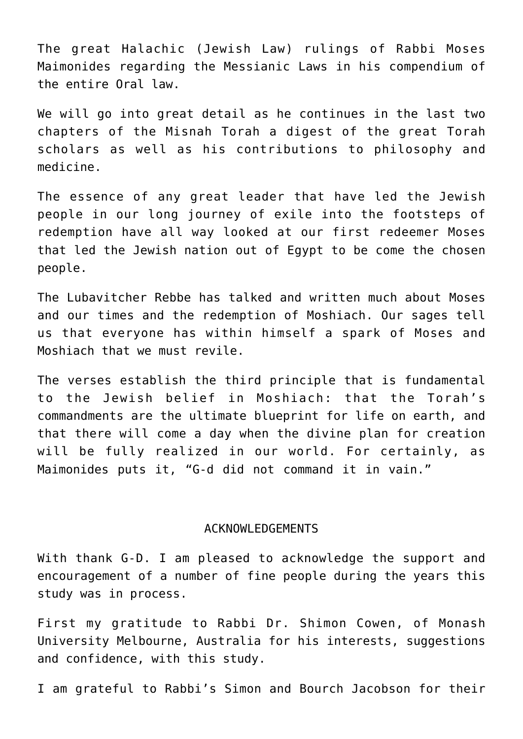The great Halachic (Jewish Law) rulings of Rabbi Moses Maimonides regarding the Messianic Laws in his compendium of the entire Oral law.

We will go into great detail as he continues in the last two chapters of the Misnah Torah a digest of the great Torah scholars as well as his contributions to philosophy and medicine.

The essence of any great leader that have led the Jewish people in our long journey of exile into the footsteps of redemption have all way looked at our first redeemer Moses that led the Jewish nation out of Egypt to be come the chosen people.

The Lubavitcher Rebbe has talked and written much about Moses and our times and the redemption of Moshiach. Our sages tell us that everyone has within himself a spark of Moses and Moshiach that we must revile.

The verses establish the third principle that is fundamental to the Jewish belief in Moshiach: that the Torah's commandments are the ultimate blueprint for life on earth, and that there will come a day when the divine plan for creation will be fully realized in our world. For certainly, as Maimonides puts it, "G-d did not command it in vain."

#### ACKNOWLEDGEMENTS

With thank G-D. I am pleased to acknowledge the support and encouragement of a number of fine people during the years this study was in process.

First my gratitude to Rabbi Dr. Shimon Cowen, of Monash University Melbourne, Australia for his interests, suggestions and confidence, with this study.

I am grateful to Rabbi's Simon and Bourch Jacobson for their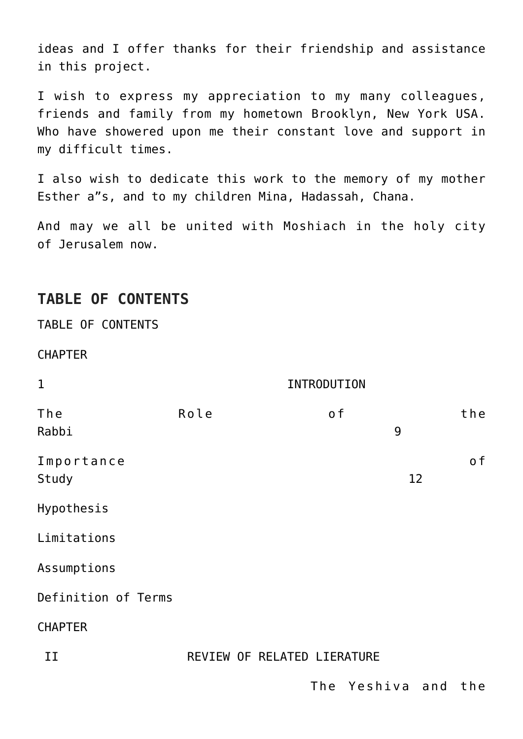ideas and I offer thanks for their friendship and assistance in this project.

I wish to express my appreciation to my many colleagues, friends and family from my hometown Brooklyn, New York USA. Who have showered upon me their constant love and support in my difficult times.

I also wish to dedicate this work to the memory of my mother Esther a"s, and to my children Mina, Hadassah, Chana.

And may we all be united with Moshiach in the holy city of Jerusalem now.

### **TABLE OF CONTENTS**

TABLE OF CONTENTS

**CHAPTER** 

| $\mathbf{1}$        |      |                             | INTRODUTION |                     |   |    |     |
|---------------------|------|-----------------------------|-------------|---------------------|---|----|-----|
| The<br>Rabbi        | Role |                             | o f         |                     | 9 |    | the |
| Importance<br>Study |      |                             |             |                     |   | 12 | o f |
| Hypothesis          |      |                             |             |                     |   |    |     |
| Limitations         |      |                             |             |                     |   |    |     |
| Assumptions         |      |                             |             |                     |   |    |     |
| Definition of Terms |      |                             |             |                     |   |    |     |
| <b>CHAPTER</b>      |      |                             |             |                     |   |    |     |
| II                  |      | REVIEW OF RELATED LIERATURE |             |                     |   |    |     |
|                     |      |                             |             | The Yeshiva and the |   |    |     |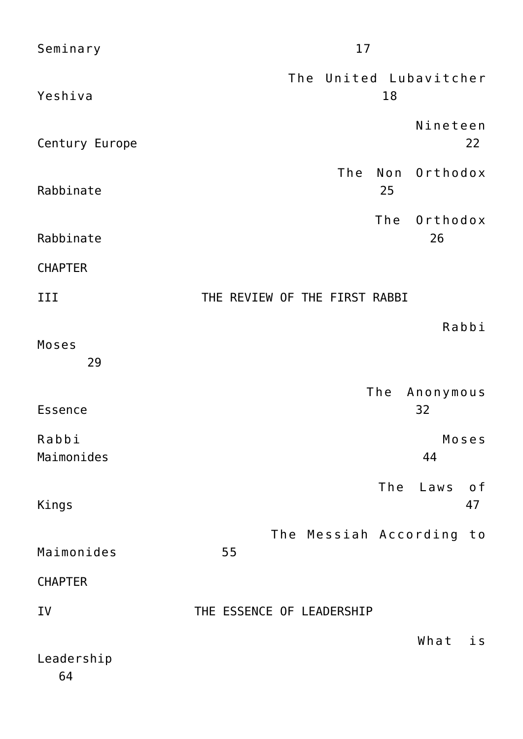| Seminary            | 17                                 |
|---------------------|------------------------------------|
| Yeshiva             | The United Lubavitcher<br>18       |
| Century Europe      | Nineteen<br>22                     |
| Rabbinate           | The<br>Non Orthodox<br>25          |
| Rabbinate           | The Orthodox<br>26                 |
| <b>CHAPTER</b>      |                                    |
| III                 | THE REVIEW OF THE FIRST RABBI      |
| Moses<br>29         | Rabbi                              |
| Essence             | The Anonymous<br>32                |
| Rabbi<br>Maimonides | Moses<br>44                        |
| Kings               | The<br>Laws<br>o f<br>47           |
| Maimonides          | The Messiah According<br>t o<br>55 |
| <b>CHAPTER</b>      |                                    |
| IV                  | THE ESSENCE OF LEADERSHIP          |
| Leadership<br>64    | What<br>i s                        |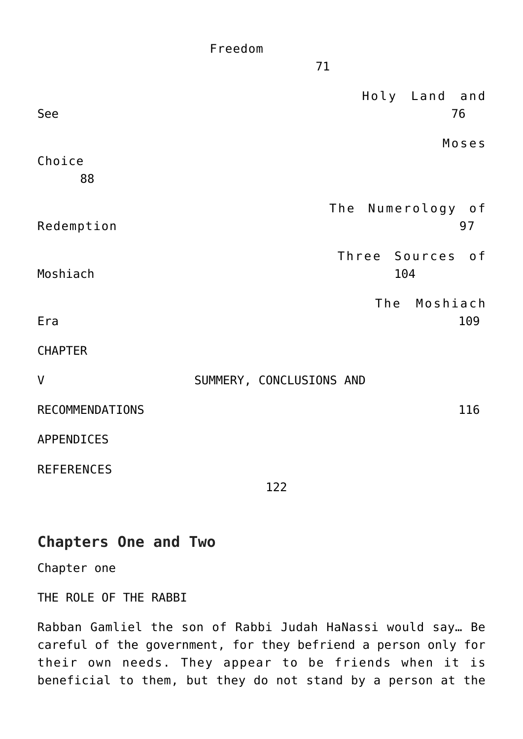Freedom 71 Holy Land and See 76 Moses Choice 88 The Numerology of Redemption 97 Three Sources of Moshiach 104 The Moshiach Era 109 **CHAPTER** V SUMMERY, CONCLUSIONS AND RECOMMENDATIONS 116 APPENDICES

REFERENCES

122

### **Chapters One and Two**

Chapter one

THE ROLE OF THE RABBI

Rabban Gamliel the son of Rabbi Judah HaNassi would say… Be careful of the government, for they befriend a person only for their own needs. They appear to be friends when it is beneficial to them, but they do not stand by a person at the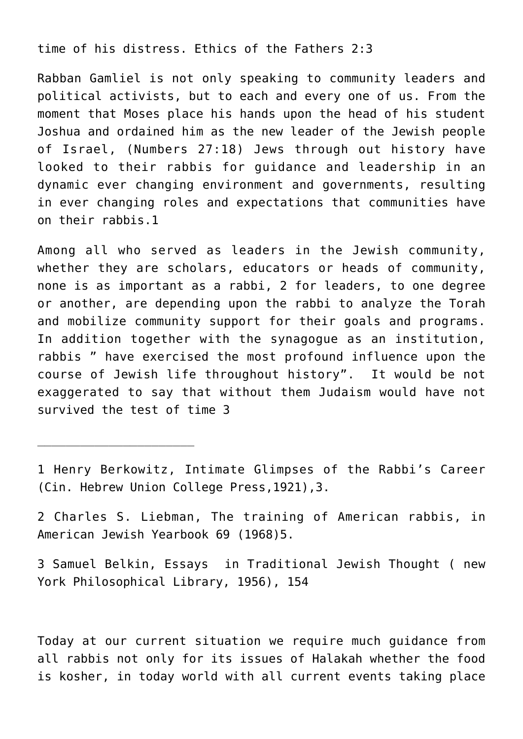time of his distress. Ethics of the Fathers 2:3

Rabban Gamliel is not only speaking to community leaders and political activists, but to each and every one of us. From the moment that Moses place his hands upon the head of his student Joshua and ordained him as the new leader of the Jewish people of Israel, (Numbers 27:18) Jews through out history have looked to their rabbis for guidance and leadership in an dynamic ever changing environment and governments, resulting in ever changing roles and expectations that communities have on their rabbis.1

Among all who served as leaders in the Jewish community, whether they are scholars, educators or heads of community, none is as important as a rabbi, 2 for leaders, to one degree or another, are depending upon the rabbi to analyze the Torah and mobilize community support for their goals and programs. In addition together with the synagogue as an institution, rabbis " have exercised the most profound influence upon the course of Jewish life throughout history". It would be not exaggerated to say that without them Judaism would have not survived the test of time 3

1 Henry Berkowitz, Intimate Glimpses of the Rabbi's Career (Cin. Hebrew Union College Press,1921),3.

\_\_\_\_\_\_\_\_\_\_\_\_\_\_\_\_\_\_\_\_\_\_

2 Charles S. Liebman, The training of American rabbis, in American Jewish Yearbook 69 (1968)5.

3 Samuel Belkin, Essays in Traditional Jewish Thought ( new York Philosophical Library, 1956), 154

Today at our current situation we require much guidance from all rabbis not only for its issues of Halakah whether the food is kosher, in today world with all current events taking place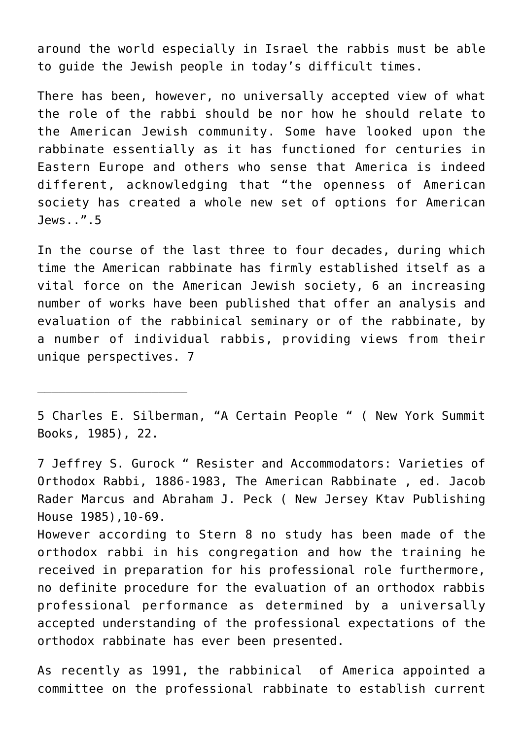around the world especially in Israel the rabbis must be able to guide the Jewish people in today's difficult times.

There has been, however, no universally accepted view of what the role of the rabbi should be nor how he should relate to the American Jewish community. Some have looked upon the rabbinate essentially as it has functioned for centuries in Eastern Europe and others who sense that America is indeed different, acknowledging that "the openness of American society has created a whole new set of options for American Jews..".5

In the course of the last three to four decades, during which time the American rabbinate has firmly established itself as a vital force on the American Jewish society, 6 an increasing number of works have been published that offer an analysis and evaluation of the rabbinical seminary or of the rabbinate, by a number of individual rabbis, providing views from their unique perspectives. 7

5 Charles E. Silberman, "A Certain People " ( New York Summit Books, 1985), 22.

\_\_\_\_\_\_\_\_\_\_\_\_\_\_\_\_\_\_\_\_\_

7 Jeffrey S. Gurock " Resister and Accommodators: Varieties of Orthodox Rabbi, 1886-1983, The American Rabbinate , ed. Jacob Rader Marcus and Abraham J. Peck ( New Jersey Ktav Publishing House 1985),10-69.

However according to Stern 8 no study has been made of the orthodox rabbi in his congregation and how the training he received in preparation for his professional role furthermore, no definite procedure for the evaluation of an orthodox rabbis professional performance as determined by a universally accepted understanding of the professional expectations of the orthodox rabbinate has ever been presented.

As recently as 1991, the rabbinical of America appointed a committee on the professional rabbinate to establish current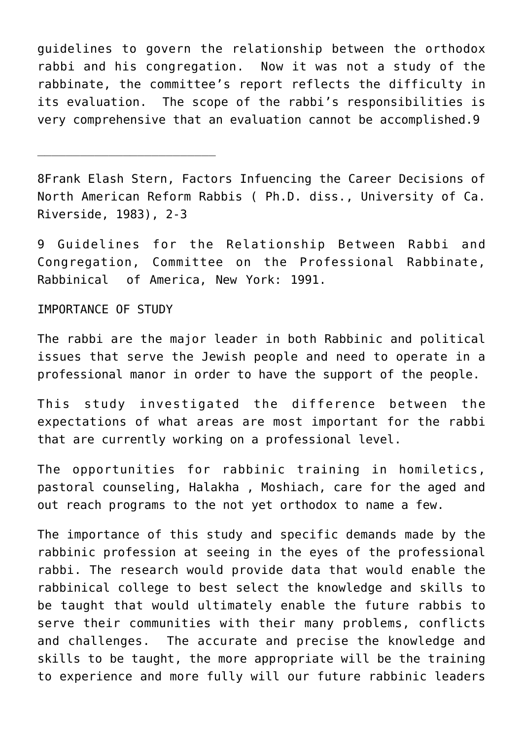guidelines to govern the relationship between the orthodox rabbi and his congregation. Now it was not a study of the rabbinate, the committee's report reflects the difficulty in its evaluation. The scope of the rabbi's responsibilities is very comprehensive that an evaluation cannot be accomplished.9

8Frank Elash Stern, Factors Infuencing the Career Decisions of North American Reform Rabbis ( Ph.D. diss., University of Ca. Riverside, 1983), 2-3

9 Guidelines for the Relationship Between Rabbi and Congregation, Committee on the Professional Rabbinate, Rabbinical of America, New York: 1991.

IMPORTANCE OF STUDY

 $\overline{\phantom{a}}$  , which is a set of the set of the set of the set of the set of the set of the set of the set of the set of the set of the set of the set of the set of the set of the set of the set of the set of the set of th

The rabbi are the major leader in both Rabbinic and political issues that serve the Jewish people and need to operate in a professional manor in order to have the support of the people.

This study investigated the difference between the expectations of what areas are most important for the rabbi that are currently working on a professional level.

The opportunities for rabbinic training in homiletics, pastoral counseling, Halakha , Moshiach, care for the aged and out reach programs to the not yet orthodox to name a few.

The importance of this study and specific demands made by the rabbinic profession at seeing in the eyes of the professional rabbi. The research would provide data that would enable the rabbinical college to best select the knowledge and skills to be taught that would ultimately enable the future rabbis to serve their communities with their many problems, conflicts and challenges. The accurate and precise the knowledge and skills to be taught, the more appropriate will be the training to experience and more fully will our future rabbinic leaders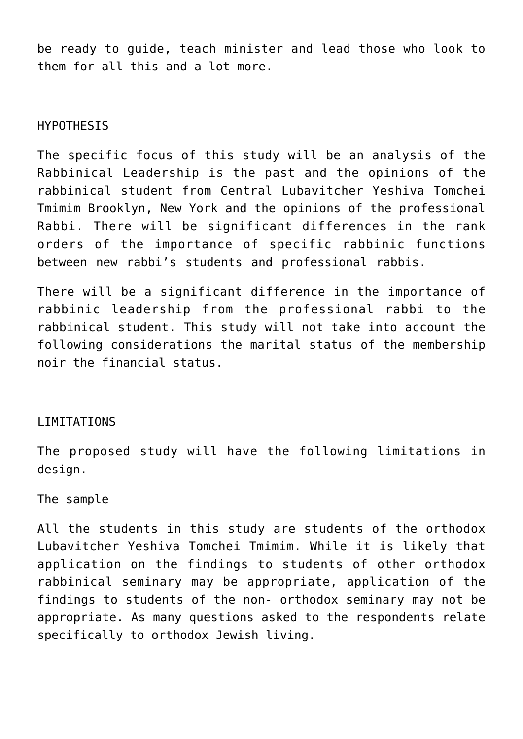be ready to guide, teach minister and lead those who look to them for all this and a lot more.

#### **HYPOTHESIS**

The specific focus of this study will be an analysis of the Rabbinical Leadership is the past and the opinions of the rabbinical student from Central Lubavitcher Yeshiva Tomchei Tmimim Brooklyn, New York and the opinions of the professional Rabbi. There will be significant differences in the rank orders of the importance of specific rabbinic functions between new rabbi's students and professional rabbis.

There will be a significant difference in the importance of rabbinic leadership from the professional rabbi to the rabbinical student. This study will not take into account the following considerations the marital status of the membership noir the financial status.

#### LIMITATIONS

The proposed study will have the following limitations in design.

#### The sample

All the students in this study are students of the orthodox Lubavitcher Yeshiva Tomchei Tmimim. While it is likely that application on the findings to students of other orthodox rabbinical seminary may be appropriate, application of the findings to students of the non- orthodox seminary may not be appropriate. As many questions asked to the respondents relate specifically to orthodox Jewish living.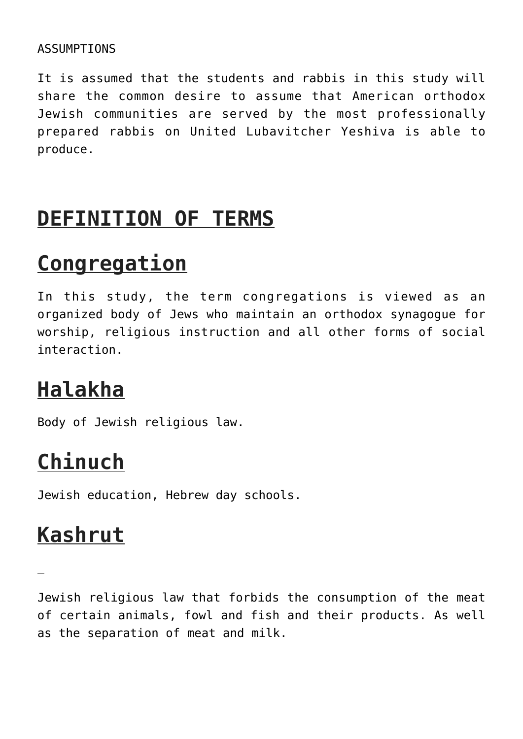#### ASSUMPTIONS

It is assumed that the students and rabbis in this study will share the common desire to assume that American orthodox Jewish communities are served by the most professionally prepared rabbis on United Lubavitcher Yeshiva is able to produce.

### **DEFINITION OF TERMS**

## **Congregation**

In this study, the term congregations is viewed as an organized body of Jews who maintain an orthodox synagogue for worship, religious instruction and all other forms of social interaction.

## **Halakha**

Body of Jewish religious law.

# **Chinuch**

Jewish education, Hebrew day schools.

## **Kashrut**

Jewish religious law that forbids the consumption of the meat of certain animals, fowl and fish and their products. As well as the separation of meat and milk.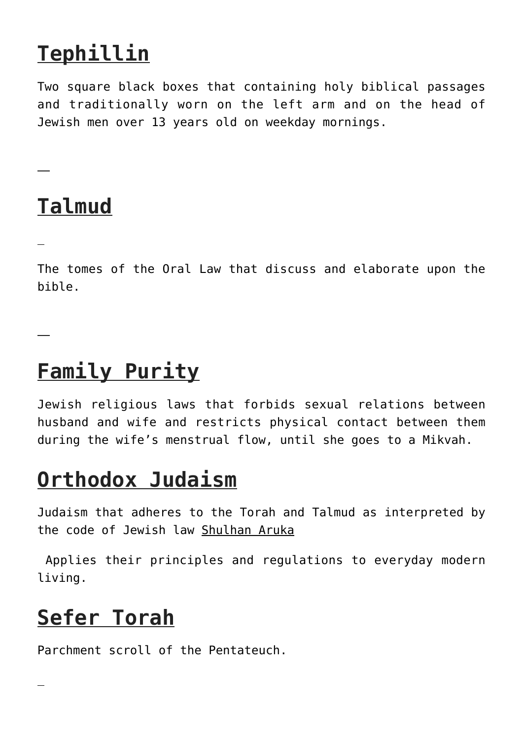# **Tephillin**

Two square black boxes that containing holy biblical passages and traditionally worn on the left arm and on the head of Jewish men over 13 years old on weekday mornings.

### **Talmud**

The tomes of the Oral Law that discuss and elaborate upon the bible.

# **Family Purity**

Jewish religious laws that forbids sexual relations between husband and wife and restricts physical contact between them during the wife's menstrual flow, until she goes to a Mikvah.

## **Orthodox Judaism**

Judaism that adheres to the Torah and Talmud as interpreted by the code of Jewish law Shulhan Aruka

 Applies their principles and regulations to everyday modern living.

## **Sefer Torah**

Parchment scroll of the Pentateuch.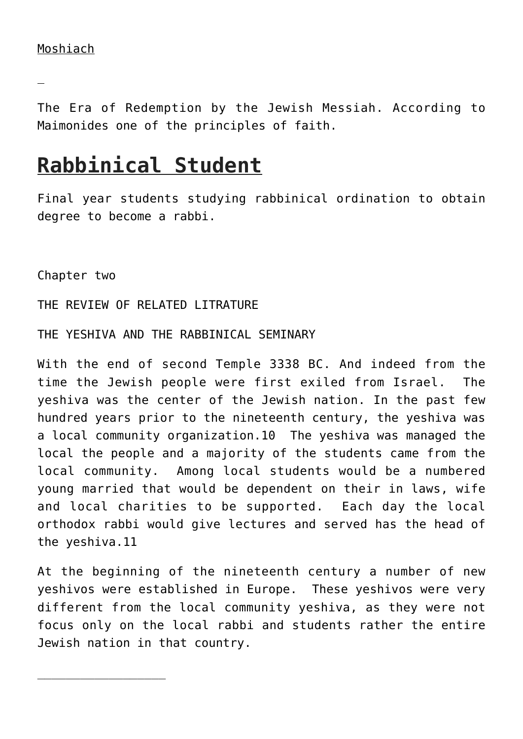The Era of Redemption by the Jewish Messiah. According to Maimonides one of the principles of faith.

## **Rabbinical Student**

Final year students studying rabbinical ordination to obtain degree to become a rabbi.

Chapter two

\_\_\_\_\_\_\_\_\_\_\_\_\_\_\_\_\_\_

THE REVIEW OF RELATED LITRATURE

THE YESHIVA AND THE RABBINICAL SEMINARY

With the end of second Temple 3338 BC. And indeed from the time the Jewish people were first exiled from Israel. The yeshiva was the center of the Jewish nation. In the past few hundred years prior to the nineteenth century, the yeshiva was a local community organization.10 The yeshiva was managed the local the people and a majority of the students came from the local community. Among local students would be a numbered young married that would be dependent on their in laws, wife and local charities to be supported. Each day the local orthodox rabbi would give lectures and served has the head of the yeshiva.11

At the beginning of the nineteenth century a number of new yeshivos were established in Europe. These yeshivos were very different from the local community yeshiva, as they were not focus only on the local rabbi and students rather the entire Jewish nation in that country.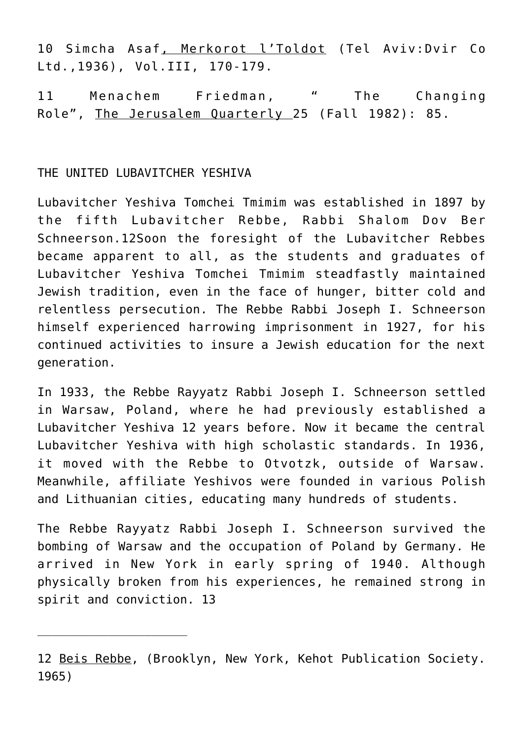10 Simcha Asaf, Merkorot l'Toldot (Tel Aviv:Dvir Co Ltd.,1936), Vol.III, 170-179.

11 Menachem Friedman, " The Changing Role", The Jerusalem Quarterly 25 (Fall 1982): 85.

#### THE UNITED LUBAVITCHER YESHIVA

Lubavitcher Yeshiva Tomchei Tmimim was established in 1897 by the fifth Lubavitcher Rebbe, Rabbi Shalom Dov Ber Schneerson.12Soon the foresight of the Lubavitcher Rebbes became apparent to all, as the students and graduates of Lubavitcher Yeshiva Tomchei Tmimim steadfastly maintained Jewish tradition, even in the face of hunger, bitter cold and relentless persecution. The Rebbe Rabbi Joseph I. Schneerson himself experienced harrowing imprisonment in 1927, for his continued activities to insure a Jewish education for the next generation.

In 1933, the Rebbe Rayyatz Rabbi Joseph I. Schneerson settled in Warsaw, Poland, where he had previously established a Lubavitcher Yeshiva 12 years before. Now it became the central Lubavitcher Yeshiva with high scholastic standards. In 1936, it moved with the Rebbe to Otvotzk, outside of Warsaw. Meanwhile, affiliate Yeshivos were founded in various Polish and Lithuanian cities, educating many hundreds of students.

The Rebbe Rayyatz Rabbi Joseph I. Schneerson survived the bombing of Warsaw and the occupation of Poland by Germany. He arrived in New York in early spring of 1940. Although physically broken from his experiences, he remained strong in spirit and conviction. 13

<sup>12</sup> Beis Rebbe, (Brooklyn, New York, Kehot Publication Society. 1965)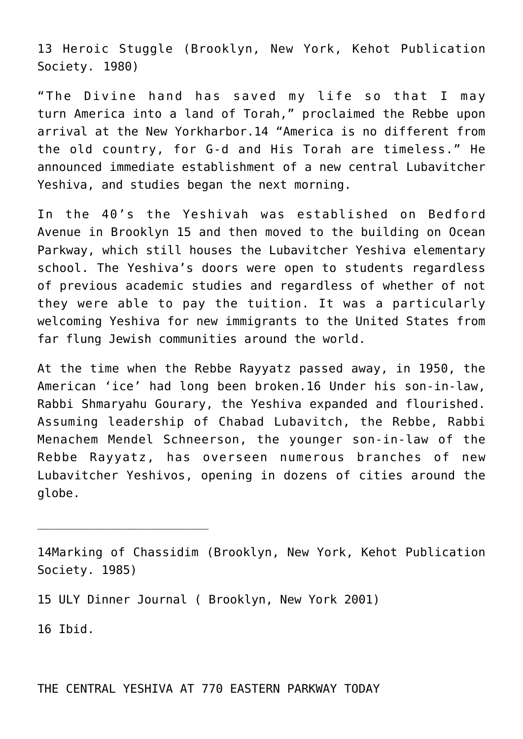13 Heroic Stuggle (Brooklyn, New York, Kehot Publication Society. 1980)

"The Divine hand has saved my life so that I may turn America into a land of Torah," proclaimed the Rebbe upon arrival at the New Yorkharbor.14 "America is no different from the old country, for G-d and His Torah are timeless." He announced immediate establishment of a new central Lubavitcher Yeshiva, and studies began the next morning.

In the 40's the Yeshivah was established on Bedford Avenue in Brooklyn 15 and then moved to the building on Ocean Parkway, which still houses the Lubavitcher Yeshiva elementary school. The Yeshiva's doors were open to students regardless of previous academic studies and regardless of whether of not they were able to pay the tuition. It was a particularly welcoming Yeshiva for new immigrants to the United States from far flung Jewish communities around the world.

At the time when the Rebbe Rayyatz passed away, in 1950, the American 'ice' had long been broken.16 Under his son-in-law, Rabbi Shmaryahu Gourary, the Yeshiva expanded and flourished. Assuming leadership of Chabad Lubavitch, the Rebbe, Rabbi Menachem Mendel Schneerson, the younger son-in-law of the Rebbe Rayyatz, has overseen numerous branches of new Lubavitcher Yeshivos, opening in dozens of cities around the globe.

16 Ibid.

<sup>14</sup>Marking of Chassidim (Brooklyn, New York, Kehot Publication Society. 1985)

<sup>15</sup> ULY Dinner Journal ( Brooklyn, New York 2001)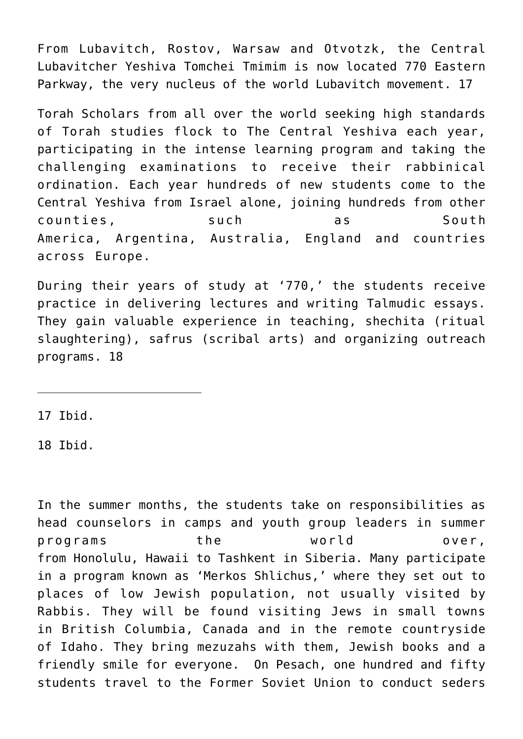From Lubavitch, Rostov, Warsaw and Otvotzk, the Central Lubavitcher Yeshiva Tomchei Tmimim is now located 770 Eastern Parkway, the very nucleus of the world Lubavitch movement. 17

Torah Scholars from all over the world seeking high standards of Torah studies flock to The Central Yeshiva each year, participating in the intense learning program and taking the challenging examinations to receive their rabbinical ordination. Each year hundreds of new students come to the Central Yeshiva from Israel alone, joining hundreds from other counties, such as South America, Argentina, Australia, England and countries across Europe.

During their years of study at '770,' the students receive practice in delivering lectures and writing Talmudic essays. They gain valuable experience in teaching, shechita (ritual slaughtering), safrus (scribal arts) and organizing outreach programs. 18

17 Ibid.

\_\_\_\_\_\_\_\_\_\_\_\_\_\_\_\_\_\_\_\_\_\_\_

18 Ibid.

In the summer months, the students take on responsibilities as head counselors in camps and youth group leaders in summer programs the world over, from Honolulu, Hawaii to Tashkent in Siberia. Many participate in a program known as 'Merkos Shlichus,' where they set out to places of low Jewish population, not usually visited by Rabbis. They will be found visiting Jews in small towns in British Columbia, Canada and in the remote countryside of Idaho. They bring mezuzahs with them, Jewish books and a friendly smile for everyone. On Pesach, one hundred and fifty students travel to the Former Soviet Union to conduct seders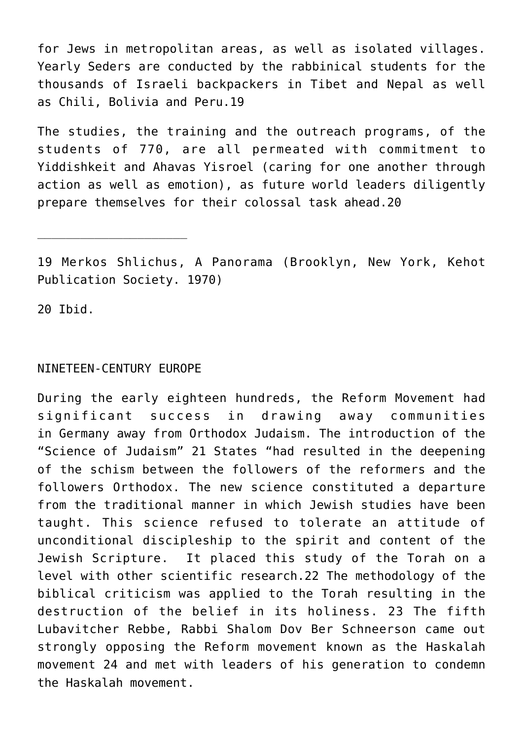for Jews in metropolitan areas, as well as isolated villages. Yearly Seders are conducted by the rabbinical students for the thousands of Israeli backpackers in Tibet and Nepal as well as Chili, Bolivia and Peru.19

The studies, the training and the outreach programs, of the students of 770, are all permeated with commitment to Yiddishkeit and Ahavas Yisroel (caring for one another through action as well as emotion), as future world leaders diligently prepare themselves for their colossal task ahead.20

19 Merkos Shlichus, A Panorama (Brooklyn, New York, Kehot Publication Society. 1970)

20 Ibid.

#### NINETEEN-CENTURY EUROPE

\_\_\_\_\_\_\_\_\_\_\_\_\_\_\_\_\_\_\_\_\_

During the early eighteen hundreds, the Reform Movement had significant success in drawing away communities in Germany away from Orthodox Judaism. The introduction of the "Science of Judaism" 21 States "had resulted in the deepening of the schism between the followers of the reformers and the followers Orthodox. The new science constituted a departure from the traditional manner in which Jewish studies have been taught. This science refused to tolerate an attitude of unconditional discipleship to the spirit and content of the Jewish Scripture. It placed this study of the Torah on a level with other scientific research.22 The methodology of the biblical criticism was applied to the Torah resulting in the destruction of the belief in its holiness. 23 The fifth Lubavitcher Rebbe, Rabbi Shalom Dov Ber Schneerson came out strongly opposing the Reform movement known as the Haskalah movement 24 and met with leaders of his generation to condemn the Haskalah movement.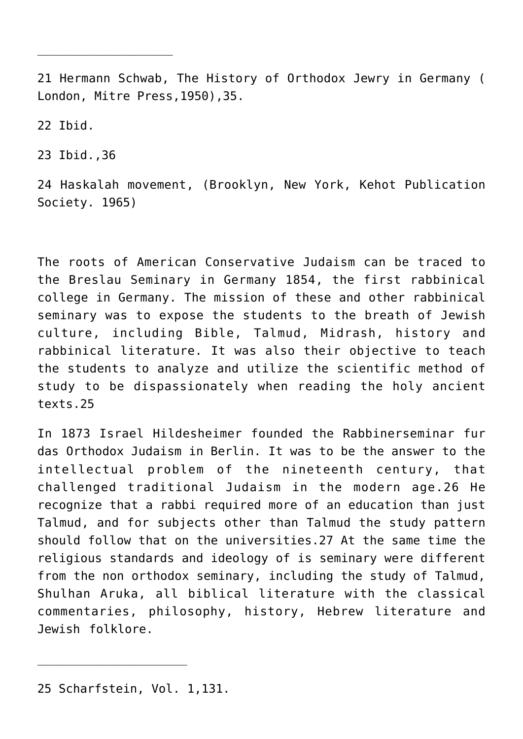21 Hermann Schwab, The History of Orthodox Jewry in Germany ( London, Mitre Press,1950),35.

22 Ibid.

23 Ibid.,36

\_\_\_\_\_\_\_\_\_\_\_\_\_\_\_\_\_\_\_

24 Haskalah movement, (Brooklyn, New York, Kehot Publication Society. 1965)

The roots of American Conservative Judaism can be traced to the Breslau Seminary in Germany 1854, the first rabbinical college in Germany. The mission of these and other rabbinical seminary was to expose the students to the breath of Jewish culture, including Bible, Talmud, Midrash, history and rabbinical literature. It was also their objective to teach the students to analyze and utilize the scientific method of study to be dispassionately when reading the holy ancient texts.25

In 1873 Israel Hildesheimer founded the Rabbinerseminar fur das Orthodox Judaism in Berlin. It was to be the answer to the intellectual problem of the nineteenth century, that challenged traditional Judaism in the modern age.26 He recognize that a rabbi required more of an education than just Talmud, and for subjects other than Talmud the study pattern should follow that on the universities.27 At the same time the religious standards and ideology of is seminary were different from the non orthodox seminary, including the study of Talmud, Shulhan Aruka, all biblical literature with the classical commentaries, philosophy, history, Hebrew literature and Jewish folklore.

<sup>25</sup> Scharfstein, Vol. 1,131.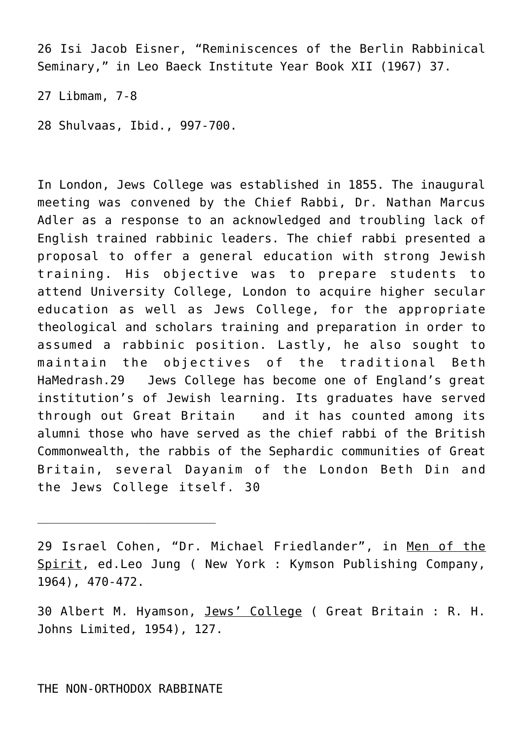26 Isi Jacob Eisner, "Reminiscences of the Berlin Rabbinical Seminary," in Leo Baeck Institute Year Book XII (1967) 37.

27 Libmam, 7-8

28 Shulvaas, Ibid., 997-700.

In London, Jews College was established in 1855. The inaugural meeting was convened by the Chief Rabbi, Dr. Nathan Marcus Adler as a response to an acknowledged and troubling lack of English trained rabbinic leaders. The chief rabbi presented a proposal to offer a general education with strong Jewish training. His objective was to prepare students to attend University College, London to acquire higher secular education as well as Jews College, for the appropriate theological and scholars training and preparation in order to assumed a rabbinic position. Lastly, he also sought to maintain the objectives of the traditional Beth HaMedrash.29 Jews College has become one of England's great institution's of Jewish learning. Its graduates have served through out Great Britain and it has counted among its alumni those who have served as the chief rabbi of the British Commonwealth, the rabbis of the Sephardic communities of Great Britain, several Dayanim of the London Beth Din and the Jews College itself. 30

<sup>29</sup> Israel Cohen, "Dr. Michael Friedlander", in Men of the Spirit, ed.Leo Jung ( New York : Kymson Publishing Company, 1964), 470-472.

<sup>30</sup> Albert M. Hyamson, Jews' College ( Great Britain : R. H. Johns Limited, 1954), 127.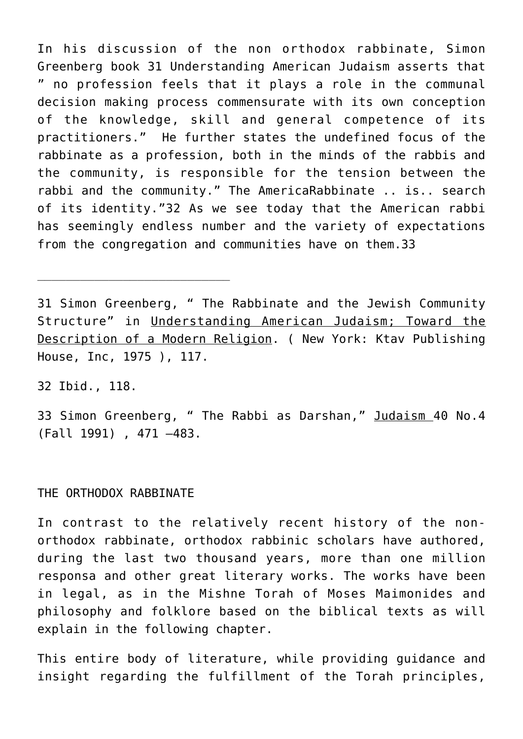In his discussion of the non orthodox rabbinate, Simon Greenberg book 31 Understanding American Judaism asserts that " no profession feels that it plays a role in the communal decision making process commensurate with its own conception of the knowledge, skill and general competence of its practitioners." He further states the undefined focus of the rabbinate as a profession, both in the minds of the rabbis and the community, is responsible for the tension between the rabbi and the community." The AmericaRabbinate .. is.. search of its identity."32 As we see today that the American rabbi has seemingly endless number and the variety of expectations from the congregation and communities have on them.33

32 Ibid., 118.

33 Simon Greenberg, " The Rabbi as Darshan," Judaism 40 No.4 (Fall 1991) , 471 –483.

THE ORTHODOX RABBINATE

 $\overline{\phantom{a}}$  , which is a set of the set of the set of the set of the set of the set of the set of the set of the set of the set of the set of the set of the set of the set of the set of the set of the set of the set of th

In contrast to the relatively recent history of the nonorthodox rabbinate, orthodox rabbinic scholars have authored, during the last two thousand years, more than one million responsa and other great literary works. The works have been in legal, as in the Mishne Torah of Moses Maimonides and philosophy and folklore based on the biblical texts as will explain in the following chapter.

This entire body of literature, while providing guidance and insight regarding the fulfillment of the Torah principles,

<sup>31</sup> Simon Greenberg, " The Rabbinate and the Jewish Community Structure" in Understanding American Judaism; Toward the Description of a Modern Religion. ( New York: Ktav Publishing House, Inc, 1975 ), 117.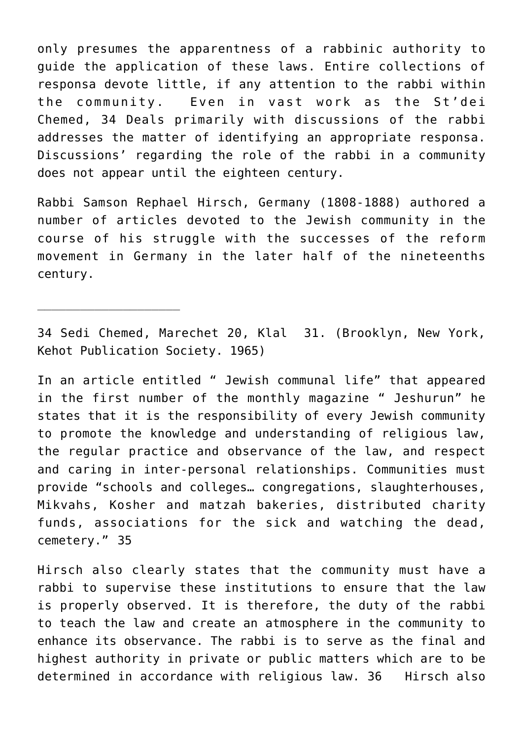only presumes the apparentness of a rabbinic authority to guide the application of these laws. Entire collections of responsa devote little, if any attention to the rabbi within the community. Even in vast work as the St'dei Chemed, 34 Deals primarily with discussions of the rabbi addresses the matter of identifying an appropriate responsa. Discussions' regarding the role of the rabbi in a community does not appear until the eighteen century.

Rabbi Samson Rephael Hirsch, Germany (1808-1888) authored a number of articles devoted to the Jewish community in the course of his struggle with the successes of the reform movement in Germany in the later half of the nineteenths century.

34 Sedi Chemed, Marechet 20, Klal 31. (Brooklyn, New York, Kehot Publication Society. 1965)

\_\_\_\_\_\_\_\_\_\_\_\_\_\_\_\_\_\_\_\_

In an article entitled " Jewish communal life" that appeared in the first number of the monthly magazine " Jeshurun" he states that it is the responsibility of every Jewish community to promote the knowledge and understanding of religious law, the regular practice and observance of the law, and respect and caring in inter-personal relationships. Communities must provide "schools and colleges… congregations, slaughterhouses, Mikvahs, Kosher and matzah bakeries, distributed charity funds, associations for the sick and watching the dead, cemetery." 35

Hirsch also clearly states that the community must have a rabbi to supervise these institutions to ensure that the law is properly observed. It is therefore, the duty of the rabbi to teach the law and create an atmosphere in the community to enhance its observance. The rabbi is to serve as the final and highest authority in private or public matters which are to be determined in accordance with religious law. 36 Hirsch also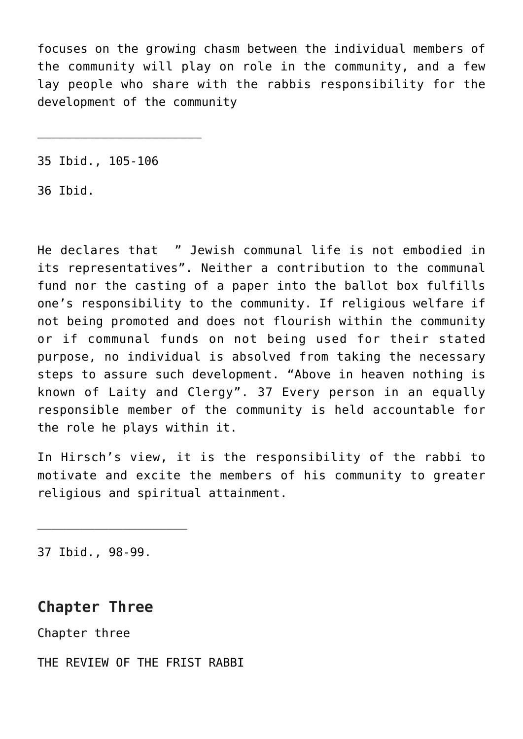focuses on the growing chasm between the individual members of the community will play on role in the community, and a few lay people who share with the rabbis responsibility for the development of the community

35 Ibid., 105-106

\_\_\_\_\_\_\_\_\_\_\_\_\_\_\_\_\_\_\_\_\_\_\_

36 Ibid.

He declares that " Jewish communal life is not embodied in its representatives". Neither a contribution to the communal fund nor the casting of a paper into the ballot box fulfills one's responsibility to the community. If religious welfare if not being promoted and does not flourish within the community or if communal funds on not being used for their stated purpose, no individual is absolved from taking the necessary steps to assure such development. "Above in heaven nothing is known of Laity and Clergy". 37 Every person in an equally responsible member of the community is held accountable for the role he plays within it.

In Hirsch's view, it is the responsibility of the rabbi to motivate and excite the members of his community to greater religious and spiritual attainment.

37 Ibid., 98-99.

### **Chapter Three**

Chapter three

THE REVIEW OF THE FRIST RABBI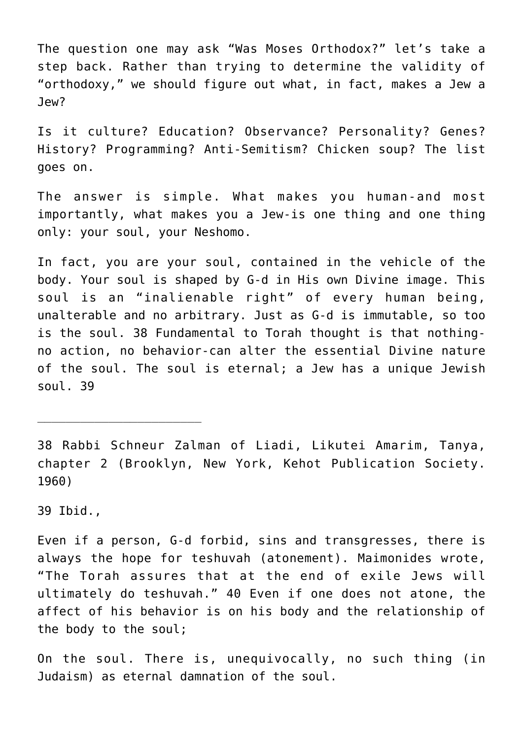The question one may ask "Was Moses Orthodox?" let's take a step back. Rather than trying to determine the validity of "orthodoxy," we should figure out what, in fact, makes a Jew a Jew?

Is it culture? Education? Observance? Personality? Genes? History? Programming? Anti-Semitism? Chicken soup? The list goes on.

The answer is simple. What makes you human-and most importantly, what makes you a Jew-is one thing and one thing only: your soul, your Neshomo.

In fact, you are your soul, contained in the vehicle of the body. Your soul is shaped by G-d in His own Divine image. This soul is an "inalienable right" of every human being, unalterable and no arbitrary. Just as G-d is immutable, so too is the soul. 38 Fundamental to Torah thought is that nothingno action, no behavior-can alter the essential Divine nature of the soul. The soul is eternal; a Jew has a unique Jewish soul. 39

38 Rabbi Schneur Zalman of Liadi, Likutei Amarim, Tanya, chapter 2 (Brooklyn, New York, Kehot Publication Society. 1960)

39 Ibid.,

\_\_\_\_\_\_\_\_\_\_\_\_\_\_\_\_\_\_\_\_\_\_\_

Even if a person, G-d forbid, sins and transgresses, there is always the hope for teshuvah (atonement). Maimonides wrote, "The Torah assures that at the end of exile Jews will ultimately do teshuvah." 40 Even if one does not atone, the affect of his behavior is on his body and the relationship of the body to the soul;

On the soul. There is, unequivocally, no such thing (in Judaism) as eternal damnation of the soul.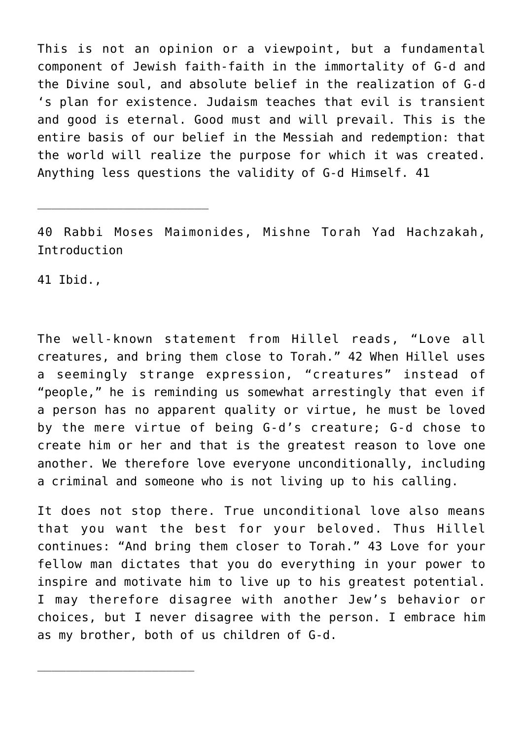This is not an opinion or a viewpoint, but a fundamental component of Jewish faith-faith in the immortality of G-d and the Divine soul, and absolute belief in the realization of G-d 's plan for existence. Judaism teaches that evil is transient and good is eternal. Good must and will prevail. This is the entire basis of our belief in the Messiah and redemption: that the world will realize the purpose for which it was created. Anything less questions the validity of G-d Himself. 41

40 Rabbi Moses Maimonides, Mishne Torah Yad Hachzakah, Introduction

41 Ibid.,

 $\overline{\phantom{a}}$  , which is a set of the set of the set of the set of the set of the set of the set of the set of the set of the set of the set of the set of the set of the set of the set of the set of the set of the set of th

The well-known statement from Hillel reads, "Love all creatures, and bring them close to Torah." 42 When Hillel uses a seemingly strange expression, "creatures" instead of "people," he is reminding us somewhat arrestingly that even if a person has no apparent quality or virtue, he must be loved by the mere virtue of being G-d's creature; G-d chose to create him or her and that is the greatest reason to love one another. We therefore love everyone unconditionally, including a criminal and someone who is not living up to his calling.

It does not stop there. True unconditional love also means that you want the best for your beloved. Thus Hillel continues: "And bring them closer to Torah." 43 Love for your fellow man dictates that you do everything in your power to inspire and motivate him to live up to his greatest potential. I may therefore disagree with another Jew's behavior or choices, but I never disagree with the person. I embrace him as my brother, both of us children of G-d.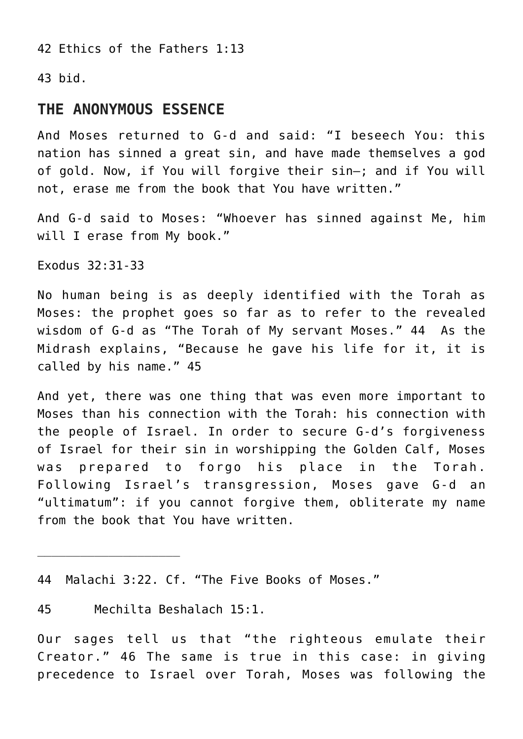42 Ethics of the Fathers 1:13

43 bid.

### **THE ANONYMOUS ESSENCE**

And Moses returned to G-d and said: "I beseech You: this nation has sinned a great sin, and have made themselves a god of gold. Now, if You will forgive their sin–; and if You will not, erase me from the book that You have written."

And G-d said to Moses: "Whoever has sinned against Me, him will I erase from My book."

Exodus 32:31-33

No human being is as deeply identified with the Torah as Moses: the prophet goes so far as to refer to the revealed wisdom of G-d as "The Torah of My servant Moses." 44 As the Midrash explains, "Because he gave his life for it, it is called by his name." 45

And yet, there was one thing that was even more important to Moses than his connection with the Torah: his connection with the people of Israel. In order to secure G-d's forgiveness of Israel for their sin in worshipping the Golden Calf, Moses was prepared to forgo his place in the Torah. Following Israel's transgression, Moses gave G-d an "ultimatum": if you cannot forgive them, obliterate my name from the book that You have written.

45 Mechilta Beshalach 15:1.

\_\_\_\_\_\_\_\_\_\_\_\_\_\_\_\_\_\_\_\_

Our sages tell us that "the righteous emulate their Creator." 46 The same is true in this case: in giving precedence to Israel over Torah, Moses was following the

<sup>44</sup> Malachi 3:22. Cf. "The Five Books of Moses."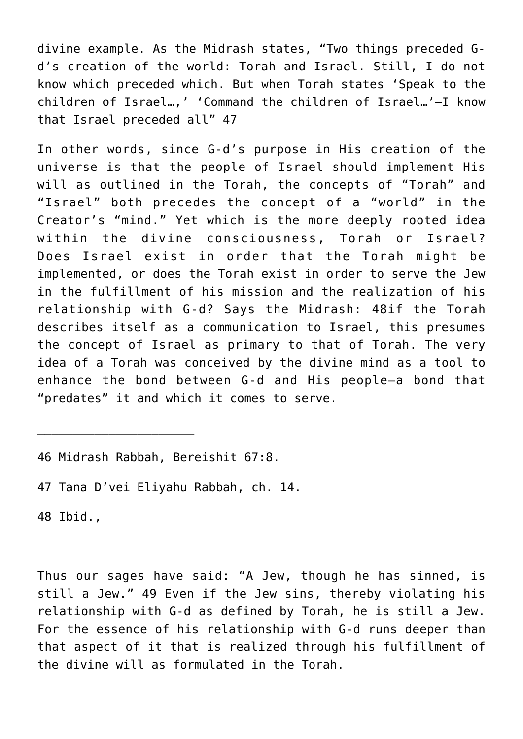divine example. As the Midrash states, "Two things preceded Gd's creation of the world: Torah and Israel. Still, I do not know which preceded which. But when Torah states 'Speak to the children of Israel…,' 'Command the children of Israel…'—I know that Israel preceded all" 47

In other words, since G-d's purpose in His creation of the universe is that the people of Israel should implement His will as outlined in the Torah, the concepts of "Torah" and "Israel" both precedes the concept of a "world" in the Creator's "mind." Yet which is the more deeply rooted idea within the divine consciousness, Torah or Israel? Does Israel exist in order that the Torah might be implemented, or does the Torah exist in order to serve the Jew in the fulfillment of his mission and the realization of his relationship with G-d? Says the Midrash: 48if the Torah describes itself as a communication to Israel, this presumes the concept of Israel as primary to that of Torah. The very idea of a Torah was conceived by the divine mind as a tool to enhance the bond between G-d and His people—a bond that "predates" it and which it comes to serve.

46 Midrash Rabbah, Bereishit 67:8.

\_\_\_\_\_\_\_\_\_\_\_\_\_\_\_\_\_\_\_\_\_\_

47 Tana D'vei Eliyahu Rabbah, ch. 14.

48 Ibid.,

Thus our sages have said: "A Jew, though he has sinned, is still a Jew." 49 Even if the Jew sins, thereby violating his relationship with G-d as defined by Torah, he is still a Jew. For the essence of his relationship with G-d runs deeper than that aspect of it that is realized through his fulfillment of the divine will as formulated in the Torah.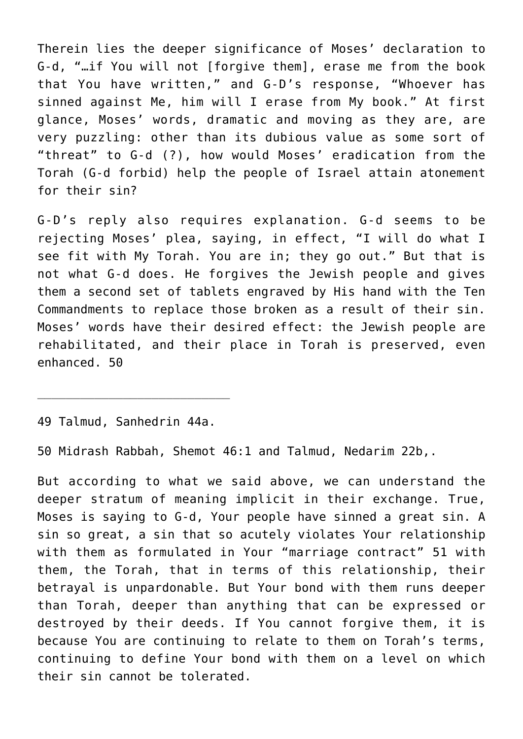Therein lies the deeper significance of Moses' declaration to G-d, "…if You will not [forgive them], erase me from the book that You have written," and G-D's response, "Whoever has sinned against Me, him will I erase from My book." At first glance, Moses' words, dramatic and moving as they are, are very puzzling: other than its dubious value as some sort of "threat" to G-d (?), how would Moses' eradication from the Torah (G-d forbid) help the people of Israel attain atonement for their sin?

G-D's reply also requires explanation. G-d seems to be rejecting Moses' plea, saying, in effect, "I will do what I see fit with My Torah. You are in; they go out." But that is not what G-d does. He forgives the Jewish people and gives them a second set of tablets engraved by His hand with the Ten Commandments to replace those broken as a result of their sin. Moses' words have their desired effect: the Jewish people are rehabilitated, and their place in Torah is preserved, even enhanced. 50

49 Talmud, Sanhedrin 44a.

 $\overline{\phantom{a}}$  , which is a set of the set of the set of the set of the set of the set of the set of the set of the set of the set of the set of the set of the set of the set of the set of the set of the set of the set of th

50 Midrash Rabbah, Shemot 46:1 and Talmud, Nedarim 22b,.

But according to what we said above, we can understand the deeper stratum of meaning implicit in their exchange. True, Moses is saying to G-d, Your people have sinned a great sin. A sin so great, a sin that so acutely violates Your relationship with them as formulated in Your "marriage contract" 51 with them, the Torah, that in terms of this relationship, their betrayal is unpardonable. But Your bond with them runs deeper than Torah, deeper than anything that can be expressed or destroyed by their deeds. If You cannot forgive them, it is because You are continuing to relate to them on Torah's terms, continuing to define Your bond with them on a level on which their sin cannot be tolerated.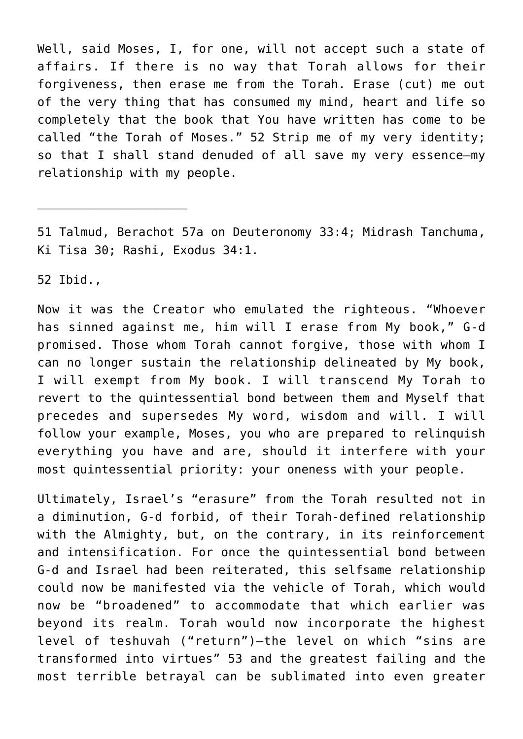Well, said Moses, I, for one, will not accept such a state of affairs. If there is no way that Torah allows for their forgiveness, then erase me from the Torah. Erase (cut) me out of the very thing that has consumed my mind, heart and life so completely that the book that You have written has come to be called "the Torah of Moses." 52 Strip me of my very identity; so that I shall stand denuded of all save my very essence—my relationship with my people.

51 Talmud, Berachot 57a on Deuteronomy 33:4; Midrash Tanchuma, Ki Tisa 30; Rashi, Exodus 34:1.

52 Ibid.,

\_\_\_\_\_\_\_\_\_\_\_\_\_\_\_\_\_\_\_\_\_

Now it was the Creator who emulated the righteous. "Whoever has sinned against me, him will I erase from My book," G-d promised. Those whom Torah cannot forgive, those with whom I can no longer sustain the relationship delineated by My book, I will exempt from My book. I will transcend My Torah to revert to the quintessential bond between them and Myself that precedes and supersedes My word, wisdom and will. I will follow your example, Moses, you who are prepared to relinquish everything you have and are, should it interfere with your most quintessential priority: your oneness with your people.

Ultimately, Israel's "erasure" from the Torah resulted not in a diminution, G-d forbid, of their Torah-defined relationship with the Almighty, but, on the contrary, in its reinforcement and intensification. For once the quintessential bond between G-d and Israel had been reiterated, this selfsame relationship could now be manifested via the vehicle of Torah, which would now be "broadened" to accommodate that which earlier was beyond its realm. Torah would now incorporate the highest level of teshuvah ("return")—the level on which "sins are transformed into virtues" 53 and the greatest failing and the most terrible betrayal can be sublimated into even greater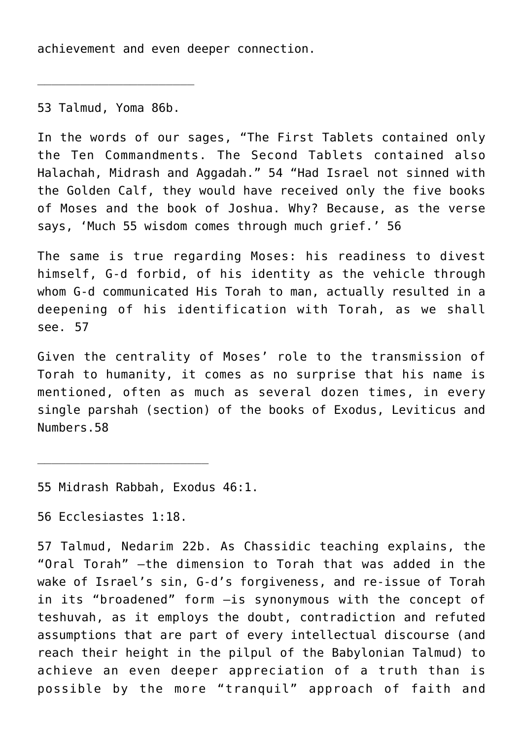achievement and even deeper connection.

53 Talmud, Yoma 86b.

\_\_\_\_\_\_\_\_\_\_\_\_\_\_\_\_\_\_\_\_\_\_

In the words of our sages, "The First Tablets contained only the Ten Commandments. The Second Tablets contained also Halachah, Midrash and Aggadah." 54 "Had Israel not sinned with the Golden Calf, they would have received only the five books of Moses and the book of Joshua. Why? Because, as the verse says, 'Much 55 wisdom comes through much grief.' 56

The same is true regarding Moses: his readiness to divest himself, G-d forbid, of his identity as the vehicle through whom G-d communicated His Torah to man, actually resulted in a deepening of his identification with Torah, as we shall see. 57

Given the centrality of Moses' role to the transmission of Torah to humanity, it comes as no surprise that his name is mentioned, often as much as several dozen times, in every single parshah (section) of the books of Exodus, Leviticus and Numbers.58

55 Midrash Rabbah, Exodus 46:1.

56 Ecclesiastes 1:18.

 $\overline{\phantom{a}}$  , which is a set of the set of the set of the set of the set of the set of the set of the set of the set of the set of the set of the set of the set of the set of the set of the set of the set of the set of th

57 Talmud, Nedarim 22b. As Chassidic teaching explains, the "Oral Torah" —the dimension to Torah that was added in the wake of Israel's sin, G-d's forgiveness, and re-issue of Torah in its "broadened" form —is synonymous with the concept of teshuvah, as it employs the doubt, contradiction and refuted assumptions that are part of every intellectual discourse (and reach their height in the pilpul of the Babylonian Talmud) to achieve an even deeper appreciation of a truth than is possible by the more "tranquil" approach of faith and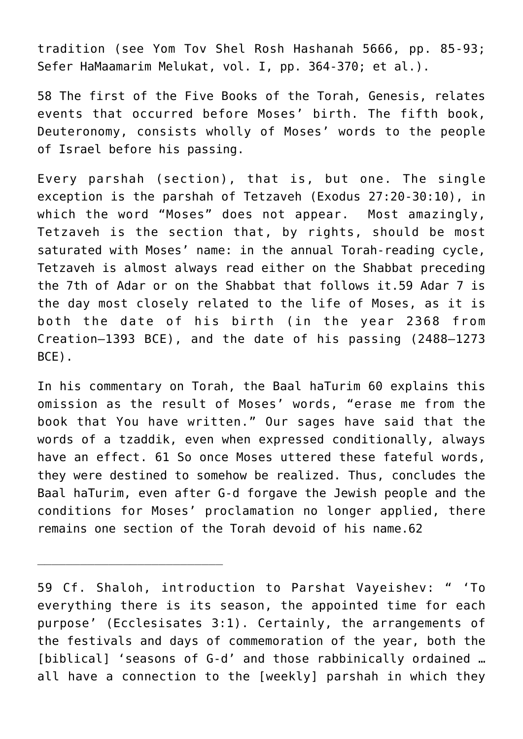tradition (see Yom Tov Shel Rosh Hashanah 5666, pp. 85-93; Sefer HaMaamarim Melukat, vol. I, pp. 364-370; et al.).

58 The first of the Five Books of the Torah, Genesis, relates events that occurred before Moses' birth. The fifth book, Deuteronomy, consists wholly of Moses' words to the people of Israel before his passing.

Every parshah (section), that is, but one. The single exception is the parshah of Tetzaveh (Exodus 27:20-30:10), in which the word "Moses" does not appear. Most amazingly, Tetzaveh is the section that, by rights, should be most saturated with Moses' name: in the annual Torah-reading cycle, Tetzaveh is almost always read either on the Shabbat preceding the 7th of Adar or on the Shabbat that follows it.59 Adar 7 is the day most closely related to the life of Moses, as it is both the date of his birth (in the year 2368 from Creation—1393 BCE), and the date of his passing (2488—1273 BCE).

In his commentary on Torah, the Baal haTurim 60 explains this omission as the result of Moses' words, "erase me from the book that You have written." Our sages have said that the words of a tzaddik, even when expressed conditionally, always have an effect, 61 So once Moses uttered these fateful words, they were destined to somehow be realized. Thus, concludes the Baal haTurim, even after G-d forgave the Jewish people and the conditions for Moses' proclamation no longer applied, there remains one section of the Torah devoid of his name.62

<sup>59</sup> Cf. Shaloh, introduction to Parshat Vayeishev: " 'To everything there is its season, the appointed time for each purpose' (Ecclesisates 3:1). Certainly, the arrangements of the festivals and days of commemoration of the year, both the [biblical] 'seasons of G-d' and those rabbinically ordained … all have a connection to the [weekly] parshah in which they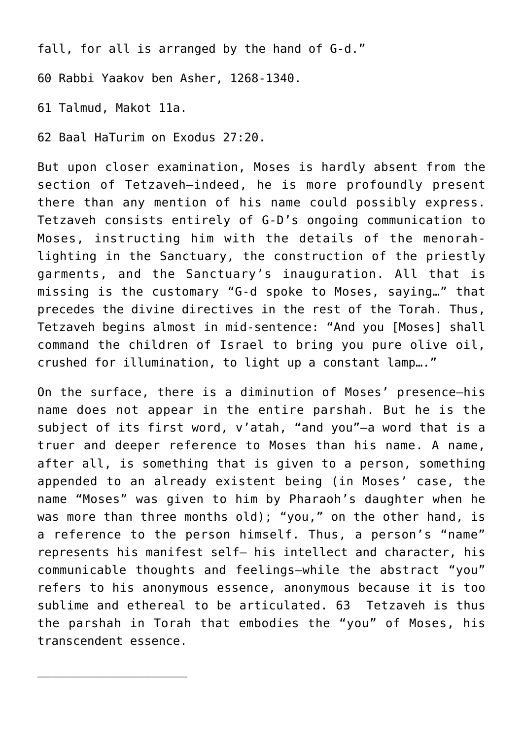fall, for all is arranged by the hand of G-d."

60 Rabbi Yaakov ben Asher, 1268-1340.

61 Talmud, Makot 11a.

62 Baal HaTurim on Exodus 27:20.

But upon closer examination, Moses is hardly absent from the section of Tetzaveh—indeed, he is more profoundly present there than any mention of his name could possibly express. Tetzaveh consists entirely of G-D's ongoing communication to Moses, instructing him with the details of the menorahlighting in the Sanctuary, the construction of the priestly garments, and the Sanctuary's inauguration. All that is missing is the customary "G-d spoke to Moses, saying…" that precedes the divine directives in the rest of the Torah. Thus, Tetzaveh begins almost in mid-sentence: "And you [Moses] shall command the children of Israel to bring you pure olive oil, crushed for illumination, to light up a constant lamp…."

On the surface, there is a diminution of Moses' presence—his name does not appear in the entire parshah. But he is the subject of its first word, v'atah, "and you"—a word that is a truer and deeper reference to Moses than his name. A name, after all, is something that is given to a person, something appended to an already existent being (in Moses' case, the name "Moses" was given to him by Pharaoh's daughter when he was more than three months old); "you," on the other hand, is a reference to the person himself. Thus, a person's "name" represents his manifest self— his intellect and character, his communicable thoughts and feelings—while the abstract "you" refers to his anonymous essence, anonymous because it is too sublime and ethereal to be articulated. 63 Tetzaveh is thus the parshah in Torah that embodies the "you" of Moses, his transcendent essence.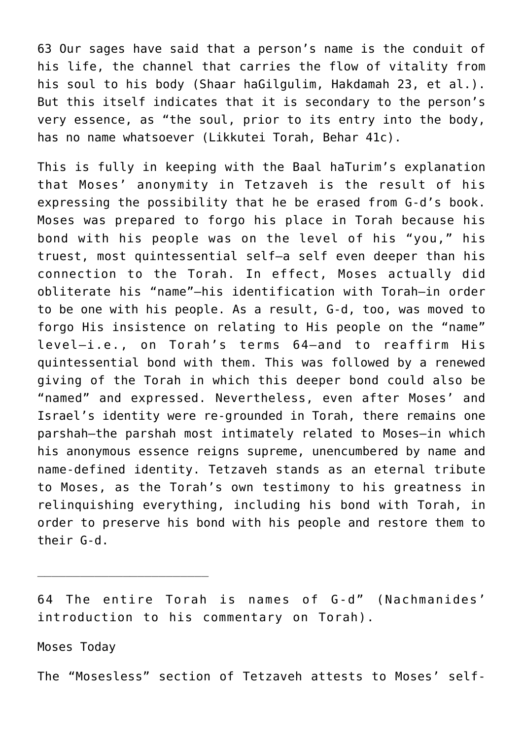63 Our sages have said that a person's name is the conduit of his life, the channel that carries the flow of vitality from his soul to his body (Shaar haGilgulim, Hakdamah 23, et al.). But this itself indicates that it is secondary to the person's very essence, as "the soul, prior to its entry into the body, has no name whatsoever (Likkutei Torah, Behar 41c).

This is fully in keeping with the Baal haTurim's explanation that Moses' anonymity in Tetzaveh is the result of his expressing the possibility that he be erased from G-d's book. Moses was prepared to forgo his place in Torah because his bond with his people was on the level of his "you," his truest, most quintessential self—a self even deeper than his connection to the Torah. In effect, Moses actually did obliterate his "name"—his identification with Torah—in order to be one with his people. As a result, G-d, too, was moved to forgo His insistence on relating to His people on the "name" level—i.e., on Torah's terms 64—and to reaffirm His quintessential bond with them. This was followed by a renewed giving of the Torah in which this deeper bond could also be "named" and expressed. Nevertheless, even after Moses' and Israel's identity were re-grounded in Torah, there remains one parshah—the parshah most intimately related to Moses—in which his anonymous essence reigns supreme, unencumbered by name and name-defined identity. Tetzaveh stands as an eternal tribute to Moses, as the Torah's own testimony to his greatness in relinquishing everything, including his bond with Torah, in order to preserve his bond with his people and restore them to their G-d.

64 The entire Torah is names of G-d" (Nachmanides' introduction to his commentary on Torah).

Moses Today

The "Mosesless" section of Tetzaveh attests to Moses' self-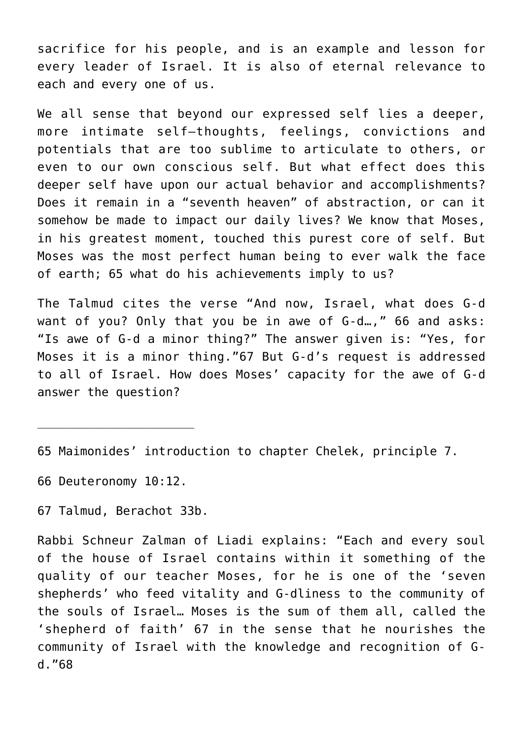sacrifice for his people, and is an example and lesson for every leader of Israel. It is also of eternal relevance to each and every one of us.

We all sense that beyond our expressed self lies a deeper, more intimate self—thoughts, feelings, convictions and potentials that are too sublime to articulate to others, or even to our own conscious self. But what effect does this deeper self have upon our actual behavior and accomplishments? Does it remain in a "seventh heaven" of abstraction, or can it somehow be made to impact our daily lives? We know that Moses, in his greatest moment, touched this purest core of self. But Moses was the most perfect human being to ever walk the face of earth; 65 what do his achievements imply to us?

The Talmud cites the verse "And now, Israel, what does G-d want of you? Only that you be in awe of G-d…," 66 and asks: "Is awe of G-d a minor thing?" The answer given is: "Yes, for Moses it is a minor thing."67 But G-d's request is addressed to all of Israel. How does Moses' capacity for the awe of G-d answer the question?

65 Maimonides' introduction to chapter Chelek, principle 7.

66 Deuteronomy 10:12.

\_\_\_\_\_\_\_\_\_\_\_\_\_\_\_\_\_\_\_\_\_\_

67 Talmud, Berachot 33b.

Rabbi Schneur Zalman of Liadi explains: "Each and every soul of the house of Israel contains within it something of the quality of our teacher Moses, for he is one of the 'seven shepherds' who feed vitality and G-dliness to the community of the souls of Israel… Moses is the sum of them all, called the 'shepherd of faith' 67 in the sense that he nourishes the community of Israel with the knowledge and recognition of Gd."68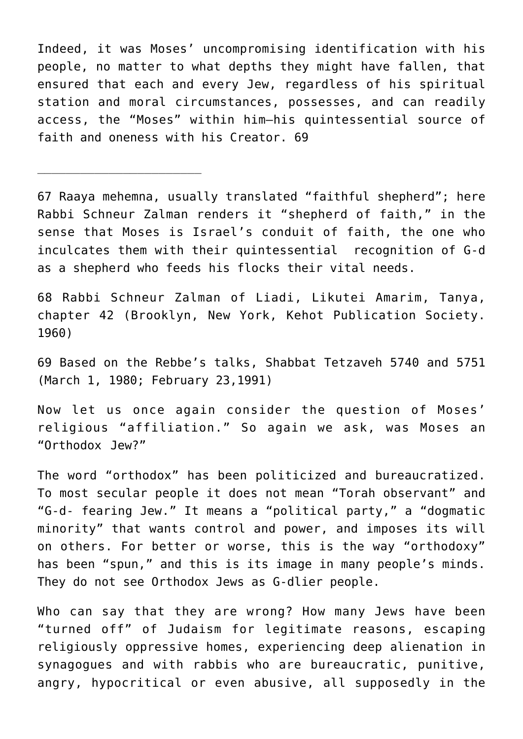Indeed, it was Moses' uncompromising identification with his people, no matter to what depths they might have fallen, that ensured that each and every Jew, regardless of his spiritual station and moral circumstances, possesses, and can readily access, the "Moses" within him—his quintessential source of faith and oneness with his Creator. 69

67 Raaya mehemna, usually translated "faithful shepherd"; here Rabbi Schneur Zalman renders it "shepherd of faith," in the sense that Moses is Israel's conduit of faith, the one who inculcates them with their quintessential recognition of G-d as a shepherd who feeds his flocks their vital needs.

\_\_\_\_\_\_\_\_\_\_\_\_\_\_\_\_\_\_\_\_\_\_\_

68 Rabbi Schneur Zalman of Liadi, Likutei Amarim, Tanya, chapter 42 (Brooklyn, New York, Kehot Publication Society. 1960)

69 Based on the Rebbe's talks, Shabbat Tetzaveh 5740 and 5751 (March 1, 1980; February 23,1991)

Now let us once again consider the question of Moses' religious "affiliation." So again we ask, was Moses an "Orthodox Jew?"

The word "orthodox" has been politicized and bureaucratized. To most secular people it does not mean "Torah observant" and "G-d- fearing Jew." It means a "political party," a "dogmatic minority" that wants control and power, and imposes its will on others. For better or worse, this is the way "orthodoxy" has been "spun," and this is its image in many people's minds. They do not see Orthodox Jews as G-dlier people.

Who can say that they are wrong? How many Jews have been "turned off" of Judaism for legitimate reasons, escaping religiously oppressive homes, experiencing deep alienation in synagogues and with rabbis who are bureaucratic, punitive, angry, hypocritical or even abusive, all supposedly in the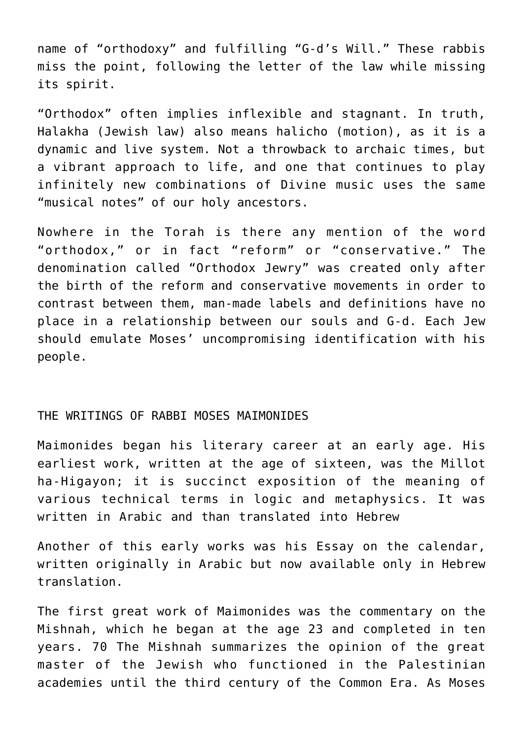name of "orthodoxy" and fulfilling "G-d's Will." These rabbis miss the point, following the letter of the law while missing its spirit.

"Orthodox" often implies inflexible and stagnant. In truth, Halakha (Jewish law) also means halicho (motion), as it is a dynamic and live system. Not a throwback to archaic times, but a vibrant approach to life, and one that continues to play infinitely new combinations of Divine music uses the same "musical notes" of our holy ancestors.

Nowhere in the Torah is there any mention of the word "orthodox," or in fact "reform" or "conservative." The denomination called "Orthodox Jewry" was created only after the birth of the reform and conservative movements in order to contrast between them, man-made labels and definitions have no place in a relationship between our souls and G-d. Each Jew should emulate Moses' uncompromising identification with his people.

#### THE WRITINGS OF RABBI MOSES MAIMONIDES

Maimonides began his literary career at an early age. His earliest work, written at the age of sixteen, was the Millot ha-Higayon; it is succinct exposition of the meaning of various technical terms in logic and metaphysics. It was written in Arabic and than translated into Hebrew

Another of this early works was his Essay on the calendar, written originally in Arabic but now available only in Hebrew translation.

The first great work of Maimonides was the commentary on the Mishnah, which he began at the age 23 and completed in ten years. 70 The Mishnah summarizes the opinion of the great master of the Jewish who functioned in the Palestinian academies until the third century of the Common Era. As Moses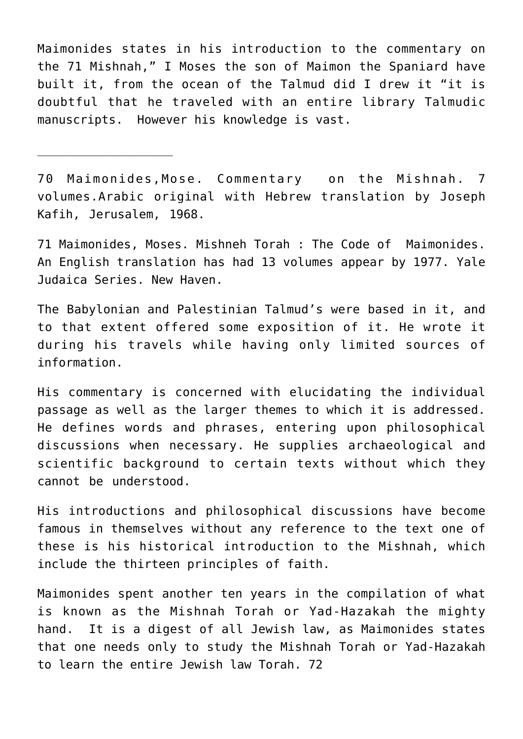Maimonides states in his introduction to the commentary on the 71 Mishnah," I Moses the son of Maimon the Spaniard have built it, from the ocean of the Talmud did I drew it "it is doubtful that he traveled with an entire library Talmudic manuscripts. However his knowledge is vast.

70 Maimonides,Mose. Commentary on the Mishnah. 7 volumes.Arabic original with Hebrew translation by Joseph Kafih, Jerusalem, 1968.

 $\overline{\phantom{a}}$  , where  $\overline{\phantom{a}}$  , where  $\overline{\phantom{a}}$  , where  $\overline{\phantom{a}}$ 

71 Maimonides, Moses. Mishneh Torah : The Code of Maimonides. An English translation has had 13 volumes appear by 1977. Yale Judaica Series. New Haven.

The Babylonian and Palestinian Talmud's were based in it, and to that extent offered some exposition of it. He wrote it during his travels while having only limited sources of information.

His commentary is concerned with elucidating the individual passage as well as the larger themes to which it is addressed. He defines words and phrases, entering upon philosophical discussions when necessary. He supplies archaeological and scientific background to certain texts without which they cannot be understood.

His introductions and philosophical discussions have become famous in themselves without any reference to the text one of these is his historical introduction to the Mishnah, which include the thirteen principles of faith.

Maimonides spent another ten years in the compilation of what is known as the Mishnah Torah or Yad-Hazakah the mighty hand. It is a digest of all Jewish law, as Maimonides states that one needs only to study the Mishnah Torah or Yad-Hazakah to learn the entire Jewish law Torah. 72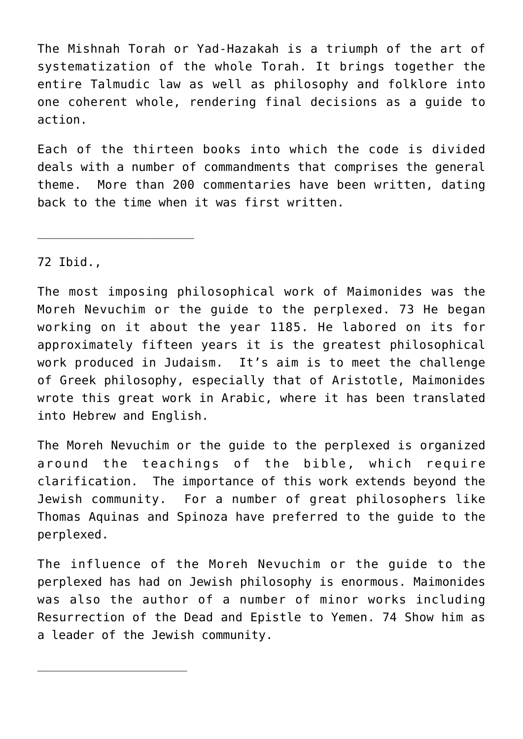The Mishnah Torah or Yad-Hazakah is a triumph of the art of systematization of the whole Torah. It brings together the entire Talmudic law as well as philosophy and folklore into one coherent whole, rendering final decisions as a guide to action.

Each of the thirteen books into which the code is divided deals with a number of commandments that comprises the general theme. More than 200 commentaries have been written, dating back to the time when it was first written.

72 Ibid.,

\_\_\_\_\_\_\_\_\_\_\_\_\_\_\_\_\_\_\_\_\_\_

The most imposing philosophical work of Maimonides was the Moreh Nevuchim or the guide to the perplexed. 73 He began working on it about the year 1185. He labored on its for approximately fifteen years it is the greatest philosophical work produced in Judaism. It's aim is to meet the challenge of Greek philosophy, especially that of Aristotle, Maimonides wrote this great work in Arabic, where it has been translated into Hebrew and English.

The Moreh Nevuchim or the guide to the perplexed is organized around the teachings of the bible, which require clarification. The importance of this work extends beyond the Jewish community. For a number of great philosophers like Thomas Aquinas and Spinoza have preferred to the guide to the perplexed.

The influence of the Moreh Nevuchim or the guide to the perplexed has had on Jewish philosophy is enormous. Maimonides was also the author of a number of minor works including Resurrection of the Dead and Epistle to Yemen. 74 Show him as a leader of the Jewish community.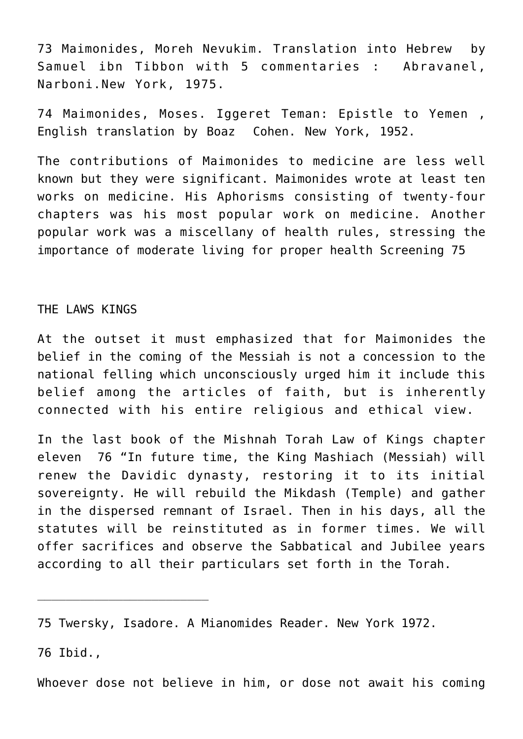73 Maimonides, Moreh Nevukim. Translation into Hebrew by Samuel ibn Tibbon with 5 commentaries : Abravanel, Narboni.New York, 1975.

74 Maimonides, Moses. Iggeret Teman: Epistle to Yemen , English translation by Boaz Cohen. New York, 1952.

The contributions of Maimonides to medicine are less well known but they were significant. Maimonides wrote at least ten works on medicine. His Aphorisms consisting of twenty-four chapters was his most popular work on medicine. Another popular work was a miscellany of health rules, stressing the importance of moderate living for proper health Screening 75

## THE LAWS KINGS

At the outset it must emphasized that for Maimonides the belief in the coming of the Messiah is not a concession to the national felling which unconsciously urged him it include this belief among the articles of faith, but is inherently connected with his entire religious and ethical view.

In the last book of the Mishnah Torah Law of Kings chapter eleven 76 "In future time, the King Mashiach (Messiah) will renew the Davidic dynasty, restoring it to its initial sovereignty. He will rebuild the Mikdash (Temple) and gather in the dispersed remnant of Israel. Then in his days, all the statutes will be reinstituted as in former times. We will offer sacrifices and observe the Sabbatical and Jubilee years according to all their particulars set forth in the Torah.

76 Ibid.,

Whoever dose not believe in him, or dose not await his coming

<sup>75</sup> Twersky, Isadore. A Mianomides Reader. New York 1972.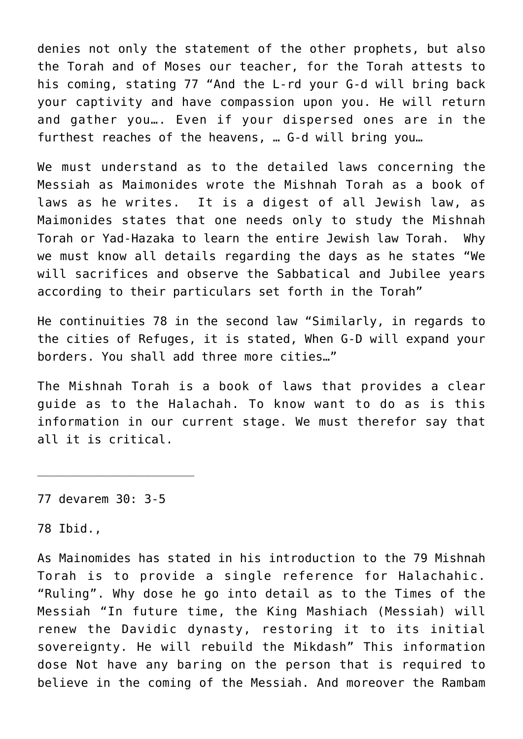denies not only the statement of the other prophets, but also the Torah and of Moses our teacher, for the Torah attests to his coming, stating 77 "And the L-rd your G-d will bring back your captivity and have compassion upon you. He will return and gather you…. Even if your dispersed ones are in the furthest reaches of the heavens, … G-d will bring you…

We must understand as to the detailed laws concerning the Messiah as Maimonides wrote the Mishnah Torah as a book of laws as he writes. It is a digest of all Jewish law, as Maimonides states that one needs only to study the Mishnah Torah or Yad-Hazaka to learn the entire Jewish law Torah. Why we must know all details regarding the days as he states "We will sacrifices and observe the Sabbatical and Jubilee years according to their particulars set forth in the Torah"

He continuities 78 in the second law "Similarly, in regards to the cities of Refuges, it is stated, When G-D will expand your borders. You shall add three more cities…"

The Mishnah Torah is a book of laws that provides a clear guide as to the Halachah. To know want to do as is this information in our current stage. We must therefor say that all it is critical.

77 devarem 30: 3-5

78 Ibid.,

As Mainomides has stated in his introduction to the 79 Mishnah Torah is to provide a single reference for Halachahic. "Ruling". Why dose he go into detail as to the Times of the Messiah "In future time, the King Mashiach (Messiah) will renew the Davidic dynasty, restoring it to its initial sovereignty. He will rebuild the Mikdash" This information dose Not have any baring on the person that is required to believe in the coming of the Messiah. And moreover the Rambam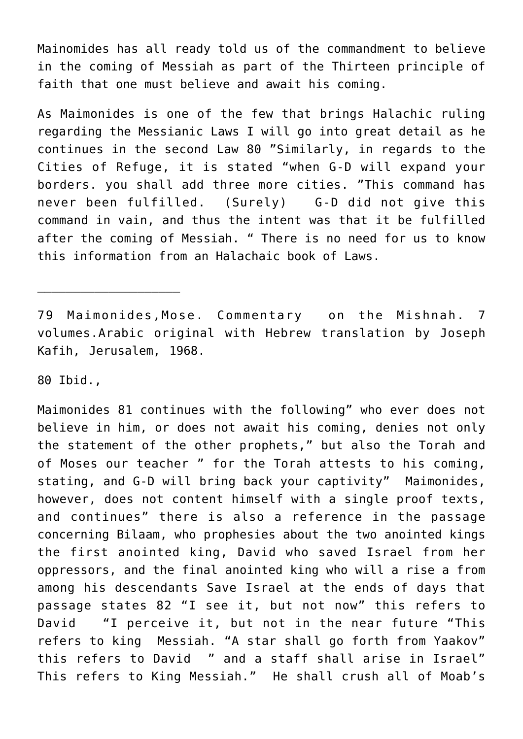Mainomides has all ready told us of the commandment to believe in the coming of Messiah as part of the Thirteen principle of faith that one must believe and await his coming.

As Maimonides is one of the few that brings Halachic ruling regarding the Messianic Laws I will go into great detail as he continues in the second Law 80 "Similarly, in regards to the Cities of Refuge, it is stated "when G-D will expand your borders. you shall add three more cities. "This command has never been fulfilled. (Surely) G-D did not give this command in vain, and thus the intent was that it be fulfilled after the coming of Messiah. " There is no need for us to know this information from an Halachaic book of Laws.

79 Maimonides,Mose. Commentary on the Mishnah. 7 volumes.Arabic original with Hebrew translation by Joseph Kafih, Jerusalem, 1968.

80 Ibid.,

\_\_\_\_\_\_\_\_\_\_\_\_\_\_\_\_\_\_\_\_

Maimonides 81 continues with the following" who ever does not believe in him, or does not await his coming, denies not only the statement of the other prophets," but also the Torah and of Moses our teacher " for the Torah attests to his coming, stating, and G-D will bring back your captivity" Maimonides, however, does not content himself with a single proof texts, and continues" there is also a reference in the passage concerning Bilaam, who prophesies about the two anointed kings the first anointed king, David who saved Israel from her oppressors, and the final anointed king who will a rise a from among his descendants Save Israel at the ends of days that passage states 82 "I see it, but not now" this refers to David "I perceive it, but not in the near future "This refers to king Messiah. "A star shall go forth from Yaakov" this refers to David " and a staff shall arise in Israel" This refers to King Messiah." He shall crush all of Moab's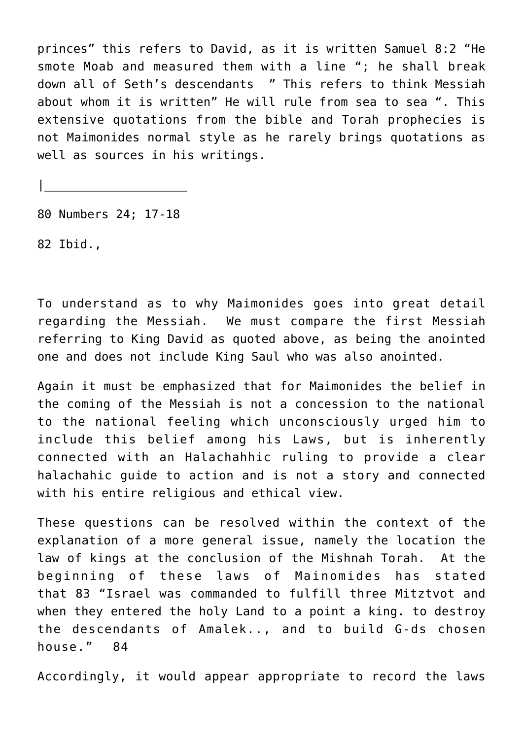princes" this refers to David, as it is written Samuel 8:2 "He smote Moab and measured them with a line "; he shall break down all of Seth's descendants " This refers to think Messiah about whom it is written" He will rule from sea to sea ". This extensive quotations from the bible and Torah prophecies is not Maimonides normal style as he rarely brings quotations as well as sources in his writings.

|\_\_\_\_\_\_\_\_\_\_\_\_\_\_\_\_\_\_\_\_

80 Numbers 24; 17-18

82 Ibid.,

To understand as to why Maimonides goes into great detail regarding the Messiah. We must compare the first Messiah referring to King David as quoted above, as being the anointed one and does not include King Saul who was also anointed.

Again it must be emphasized that for Maimonides the belief in the coming of the Messiah is not a concession to the national to the national feeling which unconsciously urged him to include this belief among his Laws, but is inherently connected with an Halachahhic ruling to provide a clear halachahic guide to action and is not a story and connected with his entire religious and ethical view.

These questions can be resolved within the context of the explanation of a more general issue, namely the location the law of kings at the conclusion of the Mishnah Torah. At the beginning of these laws of Mainomides has stated that 83 "Israel was commanded to fulfill three Mitztvot and when they entered the holy Land to a point a king. to destroy the descendants of Amalek.., and to build G-ds chosen house." 84

Accordingly, it would appear appropriate to record the laws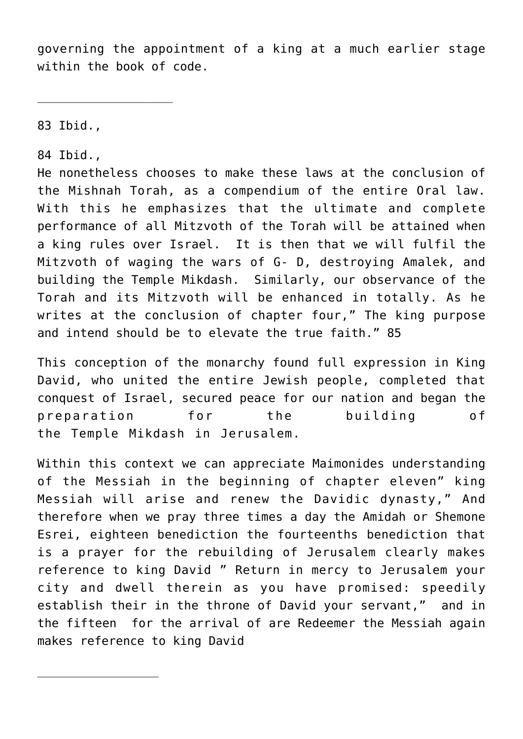governing the appointment of a king at a much earlier stage within the book of code.

83 Ibid.,

\_\_\_\_\_\_\_\_\_\_\_\_\_\_\_\_\_\_\_

84 Ibid.,

He nonetheless chooses to make these laws at the conclusion of the Mishnah Torah, as a compendium of the entire Oral law. With this he emphasizes that the ultimate and complete performance of all Mitzvoth of the Torah will be attained when a king rules over Israel. It is then that we will fulfil the Mitzvoth of waging the wars of G- D, destroying Amalek, and building the Temple Mikdash. Similarly, our observance of the Torah and its Mitzvoth will be enhanced in totally. As he writes at the conclusion of chapter four," The king purpose and intend should be to elevate the true faith." 85

This conception of the monarchy found full expression in King David, who united the entire Jewish people, completed that conquest of Israel, secured peace for our nation and began the preparation for the building of the Temple Mikdash in Jerusalem.

Within this context we can appreciate Maimonides understanding of the Messiah in the beginning of chapter eleven" king Messiah will arise and renew the Davidic dynasty," And therefore when we pray three times a day the Amidah or Shemone Esrei, eighteen benediction the fourteenths benediction that is a prayer for the rebuilding of Jerusalem clearly makes reference to king David " Return in mercy to Jerusalem your city and dwell therein as you have promised: speedily establish their in the throne of David your servant," and in the fifteen for the arrival of are Redeemer the Messiah again makes reference to king David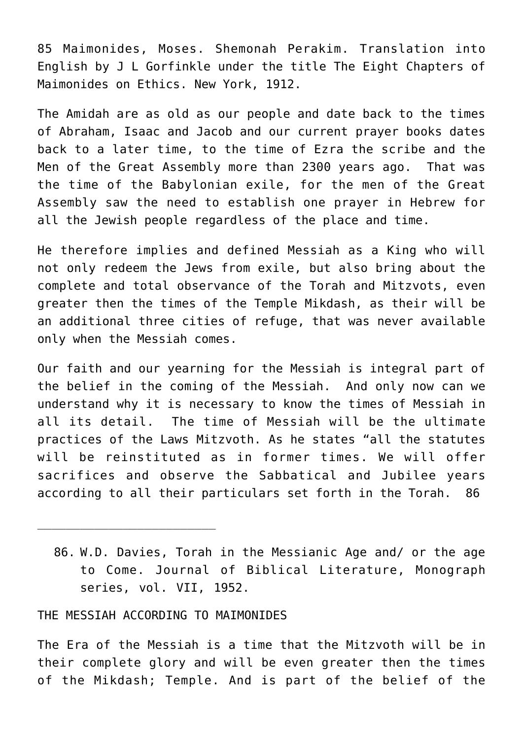85 Maimonides, Moses. Shemonah Perakim. Translation into English by J L Gorfinkle under the title The Eight Chapters of Maimonides on Ethics. New York, 1912.

The Amidah are as old as our people and date back to the times of Abraham, Isaac and Jacob and our current prayer books dates back to a later time, to the time of Ezra the scribe and the Men of the Great Assembly more than 2300 years ago. That was the time of the Babylonian exile, for the men of the Great Assembly saw the need to establish one prayer in Hebrew for all the Jewish people regardless of the place and time.

He therefore implies and defined Messiah as a King who will not only redeem the Jews from exile, but also bring about the complete and total observance of the Torah and Mitzvots, even greater then the times of the Temple Mikdash, as their will be an additional three cities of refuge, that was never available only when the Messiah comes.

Our faith and our yearning for the Messiah is integral part of the belief in the coming of the Messiah. And only now can we understand why it is necessary to know the times of Messiah in all its detail. The time of Messiah will be the ultimate practices of the Laws Mitzvoth. As he states "all the statutes will be reinstituted as in former times. We will offer sacrifices and observe the Sabbatical and Jubilee years according to all their particulars set forth in the Torah. 86

86. W.D. Davies, Torah in the Messianic Age and/ or the age to Come. Journal of Biblical Literature, Monograph series, vol. VII, 1952.

THE MESSIAH ACCORDING TO MAIMONIDES

The Era of the Messiah is a time that the Mitzvoth will be in their complete glory and will be even greater then the times of the Mikdash; Temple. And is part of the belief of the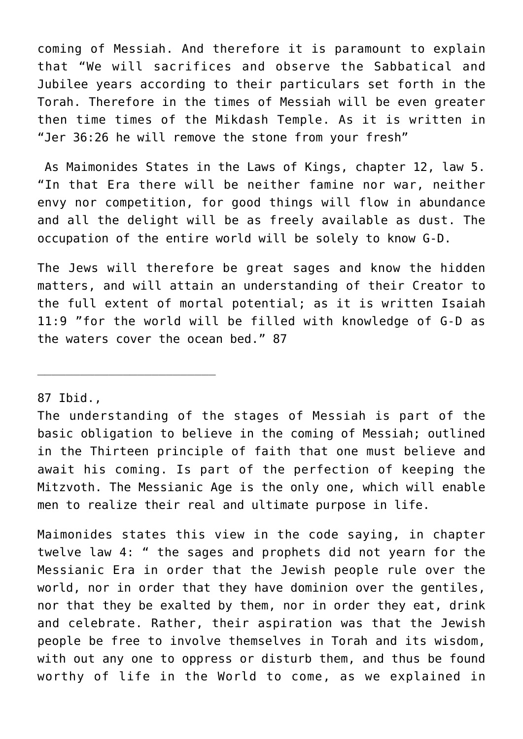coming of Messiah. And therefore it is paramount to explain that "We will sacrifices and observe the Sabbatical and Jubilee years according to their particulars set forth in the Torah. Therefore in the times of Messiah will be even greater then time times of the Mikdash Temple. As it is written in "Jer 36:26 he will remove the stone from your fresh"

 As Maimonides States in the Laws of Kings, chapter 12, law 5. "In that Era there will be neither famine nor war, neither envy nor competition, for good things will flow in abundance and all the delight will be as freely available as dust. The occupation of the entire world will be solely to know G-D.

The Jews will therefore be great sages and know the hidden matters, and will attain an understanding of their Creator to the full extent of mortal potential; as it is written Isaiah 11:9 "for the world will be filled with knowledge of G-D as the waters cover the ocean bed." 87

87 Ibid.,

 $\overline{\phantom{a}}$  , which is a set of the set of the set of the set of the set of the set of the set of the set of the set of the set of the set of the set of the set of the set of the set of the set of the set of the set of th

The understanding of the stages of Messiah is part of the basic obligation to believe in the coming of Messiah; outlined in the Thirteen principle of faith that one must believe and await his coming. Is part of the perfection of keeping the Mitzvoth. The Messianic Age is the only one, which will enable men to realize their real and ultimate purpose in life.

Maimonides states this view in the code saying, in chapter twelve law 4: " the sages and prophets did not yearn for the Messianic Era in order that the Jewish people rule over the world, nor in order that they have dominion over the gentiles, nor that they be exalted by them, nor in order they eat, drink and celebrate. Rather, their aspiration was that the Jewish people be free to involve themselves in Torah and its wisdom, with out any one to oppress or disturb them, and thus be found worthy of life in the World to come, as we explained in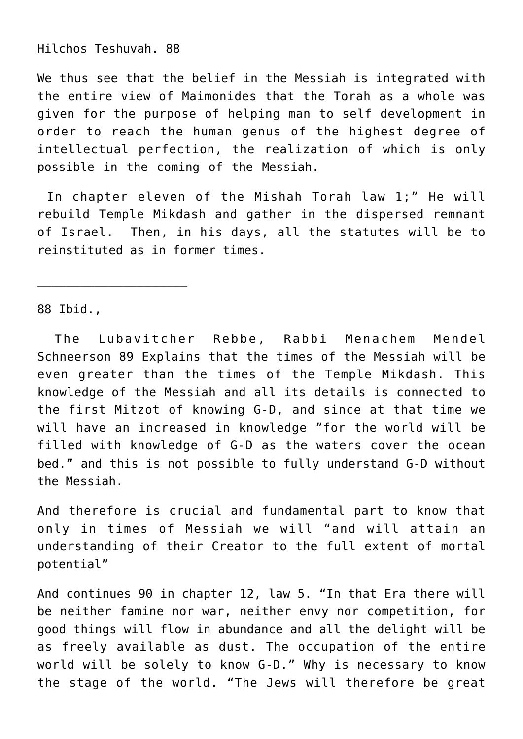Hilchos Teshuvah. 88

We thus see that the belief in the Messiah is integrated with the entire view of Maimonides that the Torah as a whole was given for the purpose of helping man to self development in order to reach the human genus of the highest degree of intellectual perfection, the realization of which is only possible in the coming of the Messiah.

 In chapter eleven of the Mishah Torah law 1;" He will rebuild Temple Mikdash and gather in the dispersed remnant of Israel. Then, in his days, all the statutes will be to reinstituted as in former times.

88 Ibid.,

\_\_\_\_\_\_\_\_\_\_\_\_\_\_\_\_\_\_\_\_\_

 The Lubavitcher Rebbe, Rabbi Menachem Mendel Schneerson 89 Explains that the times of the Messiah will be even greater than the times of the Temple Mikdash. This knowledge of the Messiah and all its details is connected to the first Mitzot of knowing G-D, and since at that time we will have an increased in knowledge "for the world will be filled with knowledge of G-D as the waters cover the ocean bed." and this is not possible to fully understand G-D without the Messiah.

And therefore is crucial and fundamental part to know that only in times of Messiah we will "and will attain an understanding of their Creator to the full extent of mortal potential"

And continues 90 in chapter 12, law 5. "In that Era there will be neither famine nor war, neither envy nor competition, for good things will flow in abundance and all the delight will be as freely available as dust. The occupation of the entire world will be solely to know G-D." Why is necessary to know the stage of the world. "The Jews will therefore be great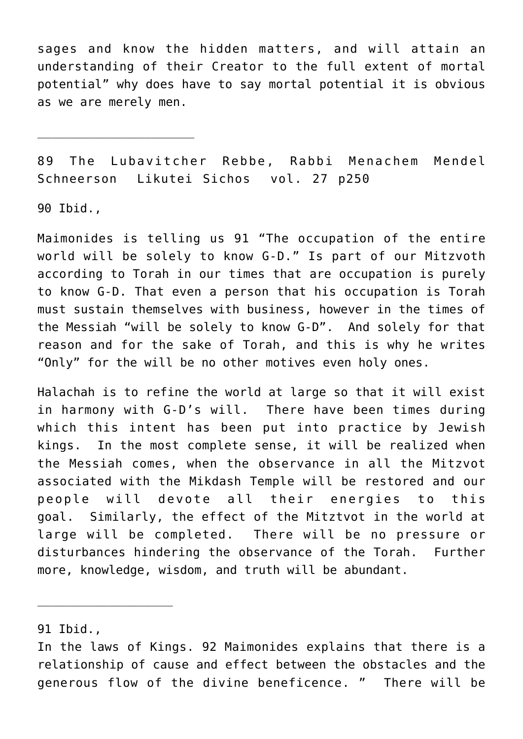sages and know the hidden matters, and will attain an understanding of their Creator to the full extent of mortal potential" why does have to say mortal potential it is obvious as we are merely men.

89 The Lubavitcher Rebbe, Rabbi Menachem Mendel Schneerson Likutei Sichos vol. 27 p250

90 Ibid.,

\_\_\_\_\_\_\_\_\_\_\_\_\_\_\_\_\_\_\_\_\_\_

Maimonides is telling us 91 "The occupation of the entire world will be solely to know G-D." Is part of our Mitzvoth according to Torah in our times that are occupation is purely to know G-D. That even a person that his occupation is Torah must sustain themselves with business, however in the times of the Messiah "will be solely to know G-D". And solely for that reason and for the sake of Torah, and this is why he writes "Only" for the will be no other motives even holy ones.

Halachah is to refine the world at large so that it will exist in harmony with G-D's will. There have been times during which this intent has been put into practice by Jewish kings. In the most complete sense, it will be realized when the Messiah comes, when the observance in all the Mitzvot associated with the Mikdash Temple will be restored and our people will devote all their energies to this goal. Similarly, the effect of the Mitztvot in the world at large will be completed. There will be no pressure or disturbances hindering the observance of the Torah. Further more, knowledge, wisdom, and truth will be abundant.

<sup>91</sup> Ibid.,

In the laws of Kings. 92 Maimonides explains that there is a relationship of cause and effect between the obstacles and the generous flow of the divine beneficence. " There will be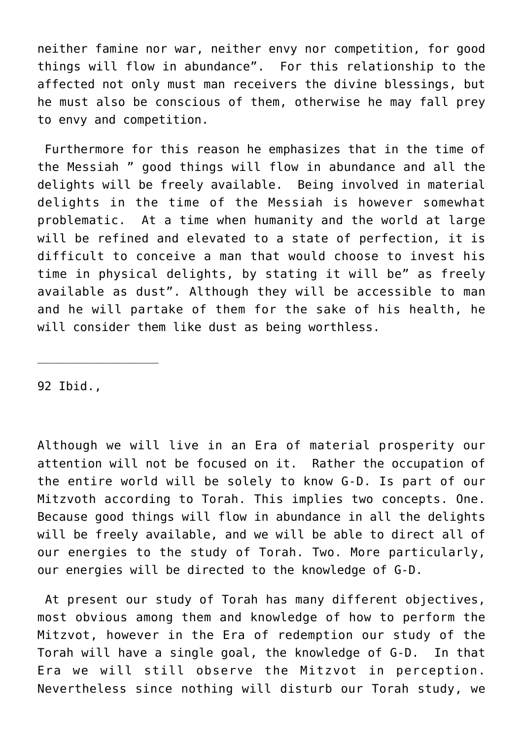neither famine nor war, neither envy nor competition, for good things will flow in abundance". For this relationship to the affected not only must man receivers the divine blessings, but he must also be conscious of them, otherwise he may fall prey to envy and competition.

 Furthermore for this reason he emphasizes that in the time of the Messiah " good things will flow in abundance and all the delights will be freely available. Being involved in material delights in the time of the Messiah is however somewhat problematic. At a time when humanity and the world at large will be refined and elevated to a state of perfection, it is difficult to conceive a man that would choose to invest his time in physical delights, by stating it will be" as freely available as dust". Although they will be accessible to man and he will partake of them for the sake of his health, he will consider them like dust as being worthless.

92 Ibid.,

\_\_\_\_\_\_\_\_\_\_\_\_\_\_\_\_\_

Although we will live in an Era of material prosperity our attention will not be focused on it. Rather the occupation of the entire world will be solely to know G-D. Is part of our Mitzvoth according to Torah. This implies two concepts. One. Because good things will flow in abundance in all the delights will be freely available, and we will be able to direct all of our energies to the study of Torah. Two. More particularly, our energies will be directed to the knowledge of G-D.

 At present our study of Torah has many different objectives, most obvious among them and knowledge of how to perform the Mitzvot, however in the Era of redemption our study of the Torah will have a single goal, the knowledge of G-D. In that Era we will still observe the Mitzvot in perception. Nevertheless since nothing will disturb our Torah study, we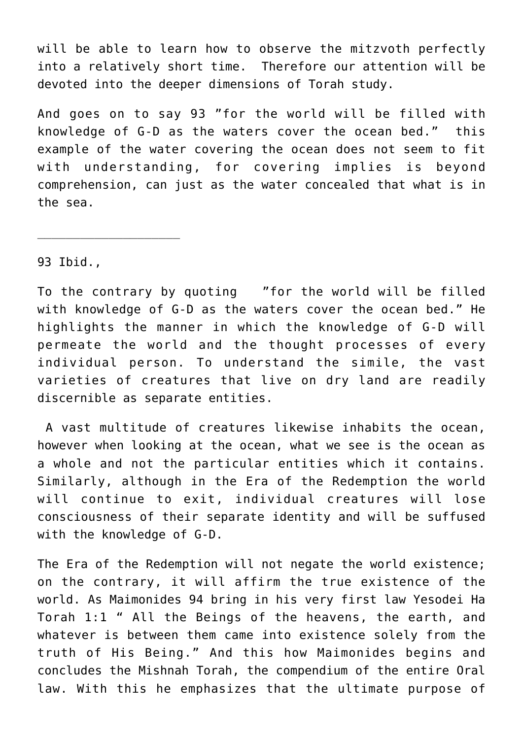will be able to learn how to observe the mitzvoth perfectly into a relatively short time. Therefore our attention will be devoted into the deeper dimensions of Torah study.

And goes on to say 93 "for the world will be filled with knowledge of G-D as the waters cover the ocean bed." this example of the water covering the ocean does not seem to fit with understanding, for covering implies is beyond comprehension, can just as the water concealed that what is in the sea.

93 Ibid.,

\_\_\_\_\_\_\_\_\_\_\_\_\_\_\_\_\_\_\_\_

To the contrary by quoting "for the world will be filled with knowledge of G-D as the waters cover the ocean bed." He highlights the manner in which the knowledge of G-D will permeate the world and the thought processes of every individual person. To understand the simile, the vast varieties of creatures that live on dry land are readily discernible as separate entities.

 A vast multitude of creatures likewise inhabits the ocean, however when looking at the ocean, what we see is the ocean as a whole and not the particular entities which it contains. Similarly, although in the Era of the Redemption the world will continue to exit, individual creatures will lose consciousness of their separate identity and will be suffused with the knowledge of G-D.

The Era of the Redemption will not negate the world existence; on the contrary, it will affirm the true existence of the world. As Maimonides 94 bring in his very first law Yesodei Ha Torah 1:1 " All the Beings of the heavens, the earth, and whatever is between them came into existence solely from the truth of His Being." And this how Maimonides begins and concludes the Mishnah Torah, the compendium of the entire Oral law. With this he emphasizes that the ultimate purpose of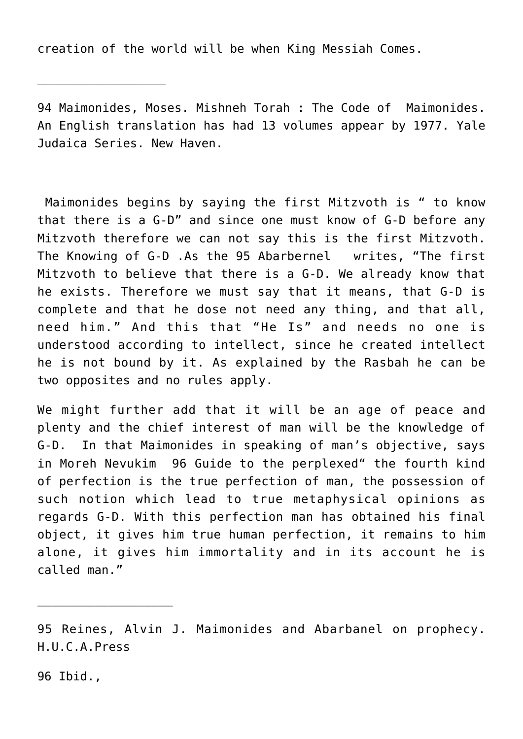creation of the world will be when King Messiah Comes.

\_\_\_\_\_\_\_\_\_\_\_\_\_\_\_\_\_\_

94 Maimonides, Moses. Mishneh Torah : The Code of Maimonides. An English translation has had 13 volumes appear by 1977. Yale Judaica Series. New Haven.

 Maimonides begins by saying the first Mitzvoth is " to know that there is a G-D" and since one must know of G-D before any Mitzvoth therefore we can not say this is the first Mitzvoth. The Knowing of G-D .As the 95 Abarbernel writes, "The first Mitzvoth to believe that there is a G-D. We already know that he exists. Therefore we must say that it means, that G-D is complete and that he dose not need any thing, and that all, need him." And this that "He Is" and needs no one is understood according to intellect, since he created intellect he is not bound by it. As explained by the Rasbah he can be two opposites and no rules apply.

We might further add that it will be an age of peace and plenty and the chief interest of man will be the knowledge of G-D. In that Maimonides in speaking of man's objective, says in Moreh Nevukim 96 Guide to the perplexed" the fourth kind of perfection is the true perfection of man, the possession of such notion which lead to true metaphysical opinions as regards G-D. With this perfection man has obtained his final object, it gives him true human perfection, it remains to him alone, it gives him immortality and in its account he is called man."

<sup>95</sup> Reines, Alvin J. Maimonides and Abarbanel on prophecy. H.U.C.A.Press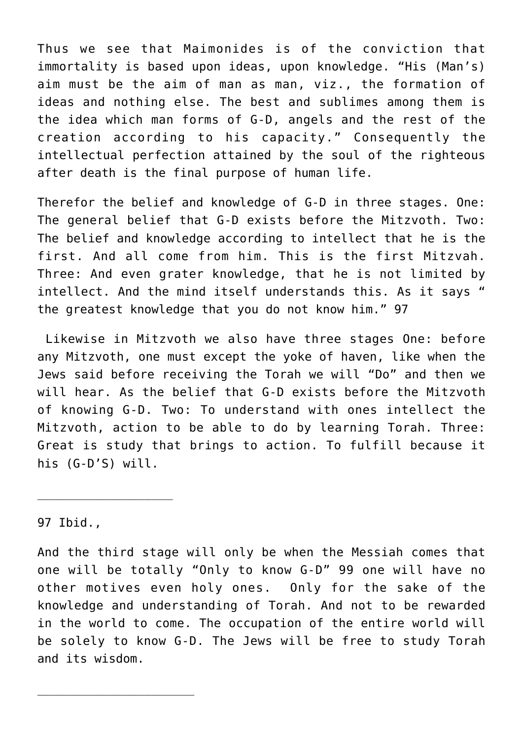Thus we see that Maimonides is of the conviction that immortality is based upon ideas, upon knowledge. "His (Man's) aim must be the aim of man as man, viz., the formation of ideas and nothing else. The best and sublimes among them is the idea which man forms of G-D, angels and the rest of the creation according to his capacity." Consequently the intellectual perfection attained by the soul of the righteous after death is the final purpose of human life.

Therefor the belief and knowledge of G-D in three stages. One: The general belief that G-D exists before the Mitzvoth. Two: The belief and knowledge according to intellect that he is the first. And all come from him. This is the first Mitzvah. Three: And even grater knowledge, that he is not limited by intellect. And the mind itself understands this. As it says " the greatest knowledge that you do not know him." 97

 Likewise in Mitzvoth we also have three stages One: before any Mitzvoth, one must except the yoke of haven, like when the Jews said before receiving the Torah we will "Do" and then we will hear. As the belief that G-D exists before the Mitzvoth of knowing G-D. Two: To understand with ones intellect the Mitzvoth, action to be able to do by learning Torah. Three: Great is study that brings to action. To fulfill because it his (G-D'S) will.

97 Ibid.,

And the third stage will only be when the Messiah comes that one will be totally "Only to know G-D" 99 one will have no other motives even holy ones. Only for the sake of the knowledge and understanding of Torah. And not to be rewarded in the world to come. The occupation of the entire world will be solely to know G-D. The Jews will be free to study Torah and its wisdom.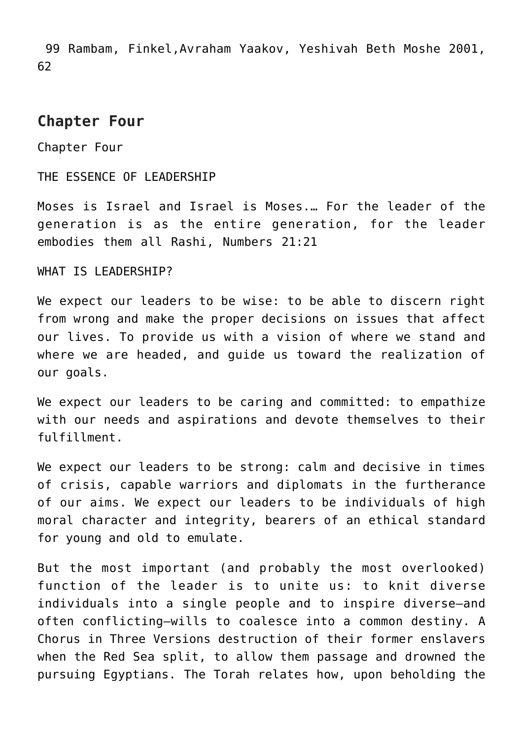99 Rambam, Finkel,Avraham Yaakov, Yeshivah Beth Moshe 2001, 62

## **Chapter Four**

Chapter Four

THE ESSENCE OF LEADERSHIP

Moses is Israel and Israel is Moses.… For the leader of the generation is as the entire generation, for the leader embodies them all Rashi, Numbers 21:21

WHAT IS LEADERSHIP?

We expect our leaders to be wise: to be able to discern right from wrong and make the proper decisions on issues that affect our lives. To provide us with a vision of where we stand and where we are headed, and guide us toward the realization of our goals.

We expect our leaders to be caring and committed: to empathize with our needs and aspirations and devote themselves to their fulfillment.

We expect our leaders to be strong: calm and decisive in times of crisis, capable warriors and diplomats in the furtherance of our aims. We expect our leaders to be individuals of high moral character and integrity, bearers of an ethical standard for young and old to emulate.

But the most important (and probably the most overlooked) function of the leader is to unite us: to knit diverse individuals into a single people and to inspire diverse–and often conflicting–wills to coalesce into a common destiny. A Chorus in Three Versions destruction of their former enslavers when the Red Sea split, to allow them passage and drowned the pursuing Egyptians. The Torah relates how, upon beholding the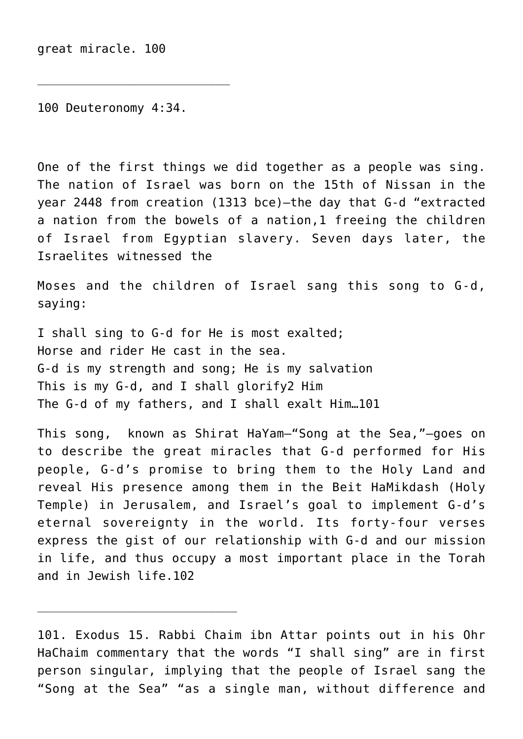great miracle. 100

100 Deuteronomy 4:34.

 $\overline{\phantom{a}}$  , which is a set of the set of the set of the set of the set of the set of the set of the set of the set of the set of the set of the set of the set of the set of the set of the set of the set of the set of th

One of the first things we did together as a people was sing. The nation of Israel was born on the 15th of Nissan in the year 2448 from creation (1313 bce)–the day that G-d "extracted a nation from the bowels of a nation,1 freeing the children of Israel from Egyptian slavery. Seven days later, the Israelites witnessed the

Moses and the children of Israel sang this song to G-d, saying:

I shall sing to G-d for He is most exalted; Horse and rider He cast in the sea. G-d is my strength and song; He is my salvation This is my G-d, and I shall glorify2 Him The G-d of my fathers, and I shall exalt Him…101

This song, known as Shirat HaYam–"Song at the Sea,"–goes on to describe the great miracles that G-d performed for His people, G-d's promise to bring them to the Holy Land and reveal His presence among them in the Beit HaMikdash (Holy Temple) in Jerusalem, and Israel's goal to implement G-d's eternal sovereignty in the world. Its forty-four verses express the gist of our relationship with G-d and our mission in life, and thus occupy a most important place in the Torah and in Jewish life.102

<sup>101.</sup> Exodus 15. Rabbi Chaim ibn Attar points out in his Ohr HaChaim commentary that the words "I shall sing" are in first person singular, implying that the people of Israel sang the "Song at the Sea" "as a single man, without difference and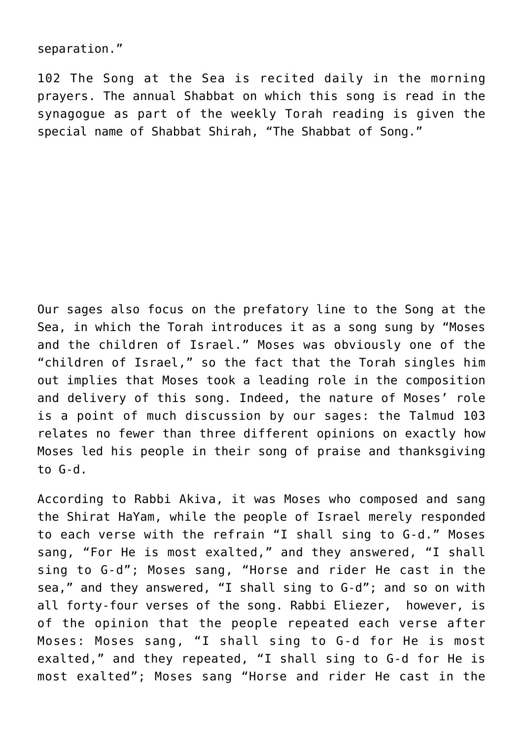separation."

102 The Song at the Sea is recited daily in the morning prayers. The annual Shabbat on which this song is read in the synagogue as part of the weekly Torah reading is given the special name of Shabbat Shirah, "The Shabbat of Song."

Our sages also focus on the prefatory line to the Song at the Sea, in which the Torah introduces it as a song sung by "Moses and the children of Israel." Moses was obviously one of the "children of Israel," so the fact that the Torah singles him out implies that Moses took a leading role in the composition and delivery of this song. Indeed, the nature of Moses' role is a point of much discussion by our sages: the Talmud 103 relates no fewer than three different opinions on exactly how Moses led his people in their song of praise and thanksgiving to G-d.

According to Rabbi Akiva, it was Moses who composed and sang the Shirat HaYam, while the people of Israel merely responded to each verse with the refrain "I shall sing to G-d." Moses sang, "For He is most exalted," and they answered, "I shall sing to G-d"; Moses sang, "Horse and rider He cast in the sea," and they answered, "I shall sing to G-d"; and so on with all forty-four verses of the song. Rabbi Eliezer, however, is of the opinion that the people repeated each verse after Moses: Moses sang, "I shall sing to G-d for He is most exalted," and they repeated, "I shall sing to G-d for He is most exalted"; Moses sang "Horse and rider He cast in the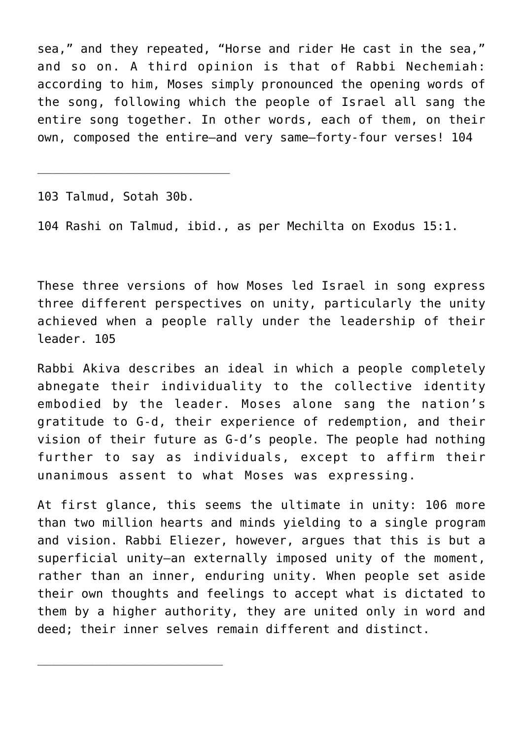sea," and they repeated, "Horse and rider He cast in the sea," and so on. A third opinion is that of Rabbi Nechemiah: according to him, Moses simply pronounced the opening words of the song, following which the people of Israel all sang the entire song together. In other words, each of them, on their own, composed the entire–and very same–forty-four verses! 104

103 Talmud, Sotah 30b.

 $\overline{\phantom{a}}$  , which is a set of the set of the set of the set of the set of the set of the set of the set of the set of the set of the set of the set of the set of the set of the set of the set of the set of the set of th

104 Rashi on Talmud, ibid., as per Mechilta on Exodus 15:1.

These three versions of how Moses led Israel in song express three different perspectives on unity, particularly the unity achieved when a people rally under the leadership of their leader. 105

Rabbi Akiva describes an ideal in which a people completely abnegate their individuality to the collective identity embodied by the leader. Moses alone sang the nation's gratitude to G-d, their experience of redemption, and their vision of their future as G-d's people. The people had nothing further to say as individuals, except to affirm their unanimous assent to what Moses was expressing.

At first glance, this seems the ultimate in unity: 106 more than two million hearts and minds yielding to a single program and vision. Rabbi Eliezer, however, argues that this is but a superficial unity–an externally imposed unity of the moment, rather than an inner, enduring unity. When people set aside their own thoughts and feelings to accept what is dictated to them by a higher authority, they are united only in word and deed; their inner selves remain different and distinct.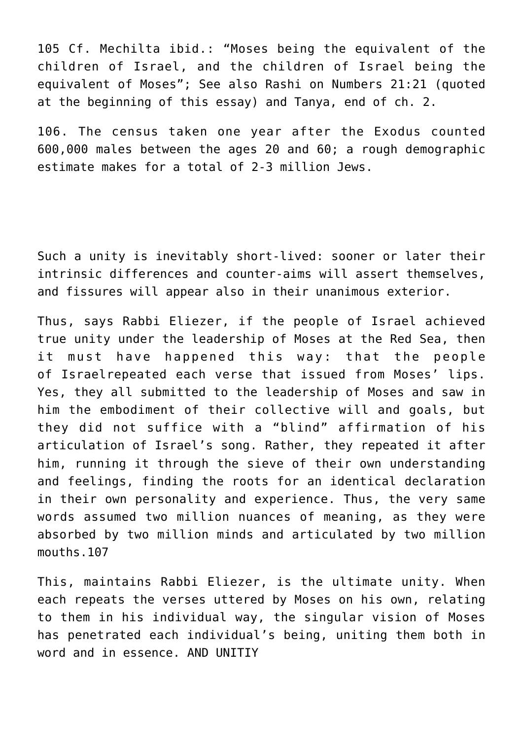105 Cf. Mechilta ibid.: "Moses being the equivalent of the children of Israel, and the children of Israel being the equivalent of Moses"; See also Rashi on Numbers 21:21 (quoted at the beginning of this essay) and Tanya, end of ch. 2.

106. The census taken one year after the Exodus counted 600,000 males between the ages 20 and 60; a rough demographic estimate makes for a total of 2-3 million Jews.

Such a unity is inevitably short-lived: sooner or later their intrinsic differences and counter-aims will assert themselves, and fissures will appear also in their unanimous exterior.

Thus, says Rabbi Eliezer, if the people of Israel achieved true unity under the leadership of Moses at the Red Sea, then it must have happened this way: that the people of Israelrepeated each verse that issued from Moses' lips. Yes, they all submitted to the leadership of Moses and saw in him the embodiment of their collective will and goals, but they did not suffice with a "blind" affirmation of his articulation of Israel's song. Rather, they repeated it after him, running it through the sieve of their own understanding and feelings, finding the roots for an identical declaration in their own personality and experience. Thus, the very same words assumed two million nuances of meaning, as they were absorbed by two million minds and articulated by two million mouths.107

This, maintains Rabbi Eliezer, is the ultimate unity. When each repeats the verses uttered by Moses on his own, relating to them in his individual way, the singular vision of Moses has penetrated each individual's being, uniting them both in word and in essence. AND UNITIY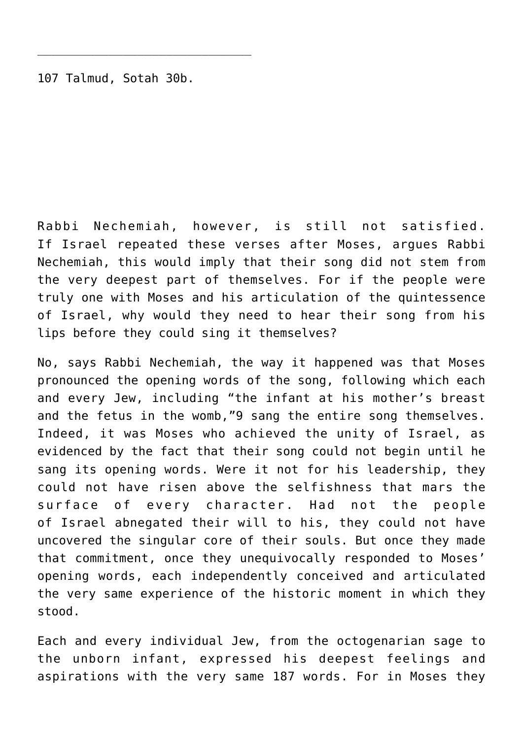107 Talmud, Sotah 30b.

\_\_\_\_\_\_\_\_\_\_\_\_\_\_\_\_\_\_\_\_\_\_\_\_\_\_\_\_\_\_

Rabbi Nechemiah, however, is still not satisfied. If Israel repeated these verses after Moses, argues Rabbi Nechemiah, this would imply that their song did not stem from the very deepest part of themselves. For if the people were truly one with Moses and his articulation of the quintessence of Israel, why would they need to hear their song from his lips before they could sing it themselves?

No, says Rabbi Nechemiah, the way it happened was that Moses pronounced the opening words of the song, following which each and every Jew, including "the infant at his mother's breast and the fetus in the womb,"9 sang the entire song themselves. Indeed, it was Moses who achieved the unity of Israel, as evidenced by the fact that their song could not begin until he sang its opening words. Were it not for his leadership, they could not have risen above the selfishness that mars the surface of every character. Had not the people of Israel abnegated their will to his, they could not have uncovered the singular core of their souls. But once they made that commitment, once they unequivocally responded to Moses' opening words, each independently conceived and articulated the very same experience of the historic moment in which they stood.

Each and every individual Jew, from the octogenarian sage to the unborn infant, expressed his deepest feelings and aspirations with the very same 187 words. For in Moses they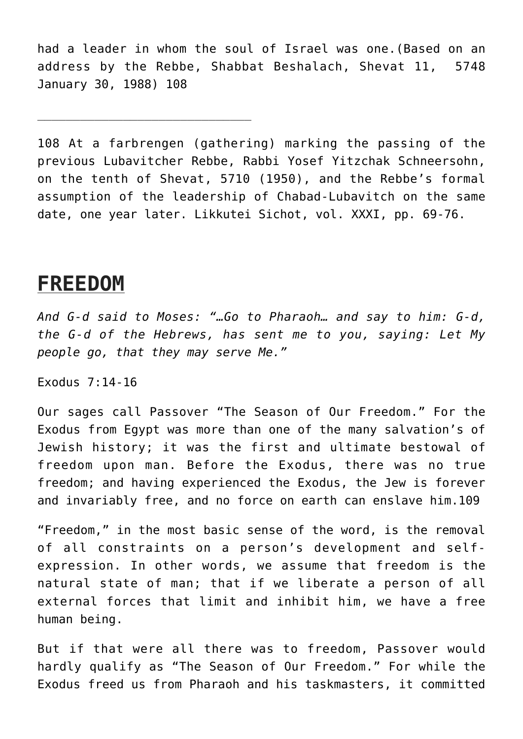had a leader in whom the soul of Israel was one.(Based on an address by the Rebbe, Shabbat Beshalach, Shevat 11, 5748 January 30, 1988) 108

108 At a farbrengen (gathering) marking the passing of the previous Lubavitcher Rebbe, Rabbi Yosef Yitzchak Schneersohn, on the tenth of Shevat, 5710 (1950), and the Rebbe's formal assumption of the leadership of Chabad-Lubavitch on the same date, one year later. Likkutei Sichot, vol. XXXI, pp. 69-76.

## **FREEDOM**

\_\_\_\_\_\_\_\_\_\_\_\_\_\_\_\_\_\_\_\_\_\_\_\_\_\_\_\_\_\_

*And G-d said to Moses: "…Go to Pharaoh… and say to him: G-d, the G-d of the Hebrews, has sent me to you, saying: Let My people go, that they may serve Me."*

Exodus 7:14-16

Our sages call Passover "The Season of Our Freedom." For the Exodus from Egypt was more than one of the many salvation's of Jewish history; it was the first and ultimate bestowal of freedom upon man. Before the Exodus, there was no true freedom; and having experienced the Exodus, the Jew is forever and invariably free, and no force on earth can enslave him.109

"Freedom," in the most basic sense of the word, is the removal of all constraints on a person's development and selfexpression. In other words, we assume that freedom is the natural state of man; that if we liberate a person of all external forces that limit and inhibit him, we have a free human being.

But if that were all there was to freedom, Passover would hardly qualify as "The Season of Our Freedom." For while the Exodus freed us from Pharaoh and his taskmasters, it committed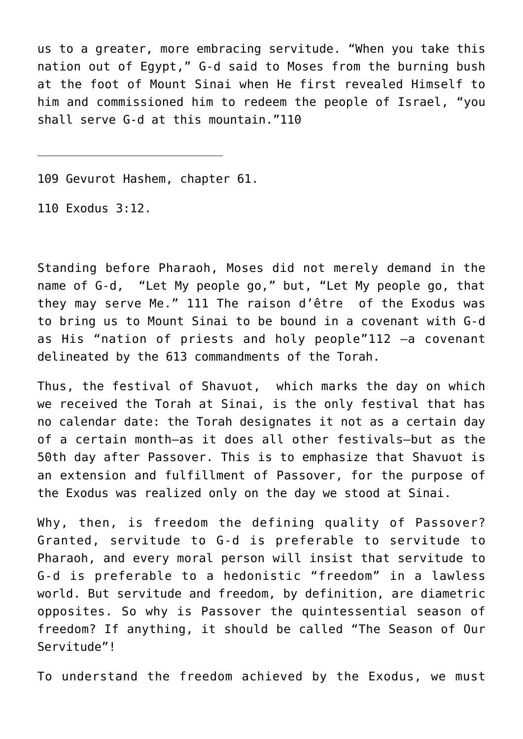us to a greater, more embracing servitude. "When you take this nation out of Egypt," G-d said to Moses from the burning bush at the foot of Mount Sinai when He first revealed Himself to him and commissioned him to redeem the people of Israel, "you shall serve G-d at this mountain."110

109 Gevurot Hashem, chapter 61.

 $\overline{\phantom{a}}$  , which is a set of the set of the set of the set of the set of the set of the set of the set of the set of the set of the set of the set of the set of the set of the set of the set of the set of the set of th

110 Exodus 3:12.

Standing before Pharaoh, Moses did not merely demand in the name of G-d, "Let My people go," but, "Let My people go, that they may serve Me." 111 The raison d'être of the Exodus was to bring us to Mount Sinai to be bound in a covenant with G-d as His "nation of priests and holy people"112 —a covenant delineated by the 613 commandments of the Torah.

Thus, the festival of Shavuot, which marks the day on which we received the Torah at Sinai, is the only festival that has no calendar date: the Torah designates it not as a certain day of a certain month—as it does all other festivals—but as the 50th day after Passover. This is to emphasize that Shavuot is an extension and fulfillment of Passover, for the purpose of the Exodus was realized only on the day we stood at Sinai.

Why, then, is freedom the defining quality of Passover? Granted, servitude to G-d is preferable to servitude to Pharaoh, and every moral person will insist that servitude to G-d is preferable to a hedonistic "freedom" in a lawless world. But servitude and freedom, by definition, are diametric opposites. So why is Passover the quintessential season of freedom? If anything, it should be called "The Season of Our Servitude"!

To understand the freedom achieved by the Exodus, we must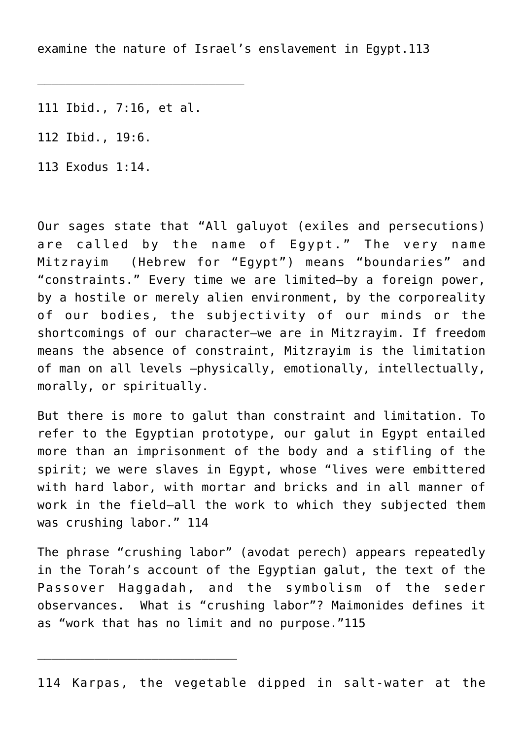examine the nature of Israel's enslavement in Egypt.113

111 Ibid., 7:16, et al.

\_\_\_\_\_\_\_\_\_\_\_\_\_\_\_\_\_\_\_\_\_\_\_\_\_\_\_\_\_

112 Ibid., 19:6.

113 Exodus 1:14.

Our sages state that "All galuyot (exiles and persecutions) are called by the name of Egypt." The very name Mitzrayim (Hebrew for "Egypt") means "boundaries" and "constraints." Every time we are limited—by a foreign power, by a hostile or merely alien environment, by the corporeality of our bodies, the subjectivity of our minds or the shortcomings of our character—we are in Mitzrayim. If freedom means the absence of constraint, Mitzrayim is the limitation of man on all levels —physically, emotionally, intellectually, morally, or spiritually.

But there is more to galut than constraint and limitation. To refer to the Egyptian prototype, our galut in Egypt entailed more than an imprisonment of the body and a stifling of the spirit; we were slaves in Egypt, whose "lives were embittered with hard labor, with mortar and bricks and in all manner of work in the field—all the work to which they subjected them was crushing labor." 114

The phrase "crushing labor" (avodat perech) appears repeatedly in the Torah's account of the Egyptian galut, the text of the Passover Haggadah, and the symbolism of the seder observances. What is "crushing labor"? Maimonides defines it as "work that has no limit and no purpose."115

114 Karpas, the vegetable dipped in salt-water at the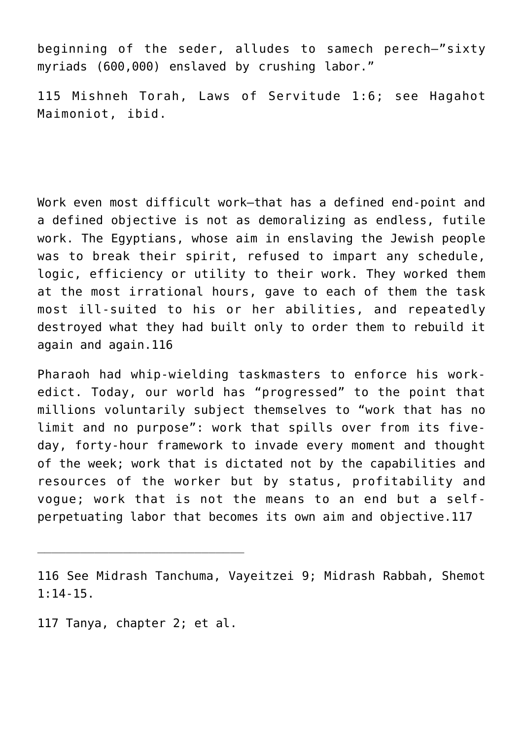beginning of the seder, alludes to samech perech—"sixty myriads (600,000) enslaved by crushing labor."

115 Mishneh Torah, Laws of Servitude 1:6; see Hagahot Maimoniot, ibid.

Work even most difficult work—that has a defined end-point and a defined objective is not as demoralizing as endless, futile work. The Egyptians, whose aim in enslaving the Jewish people was to break their spirit, refused to impart any schedule, logic, efficiency or utility to their work. They worked them at the most irrational hours, gave to each of them the task most ill-suited to his or her abilities, and repeatedly destroyed what they had built only to order them to rebuild it again and again.116

Pharaoh had whip-wielding taskmasters to enforce his workedict. Today, our world has "progressed" to the point that millions voluntarily subject themselves to "work that has no limit and no purpose": work that spills over from its fiveday, forty-hour framework to invade every moment and thought of the week; work that is dictated not by the capabilities and resources of the worker but by status, profitability and vogue; work that is not the means to an end but a selfperpetuating labor that becomes its own aim and objective.117

116 See Midrash Tanchuma, Vayeitzei 9; Midrash Rabbah, Shemot 1:14-15.

117 Tanya, chapter 2; et al.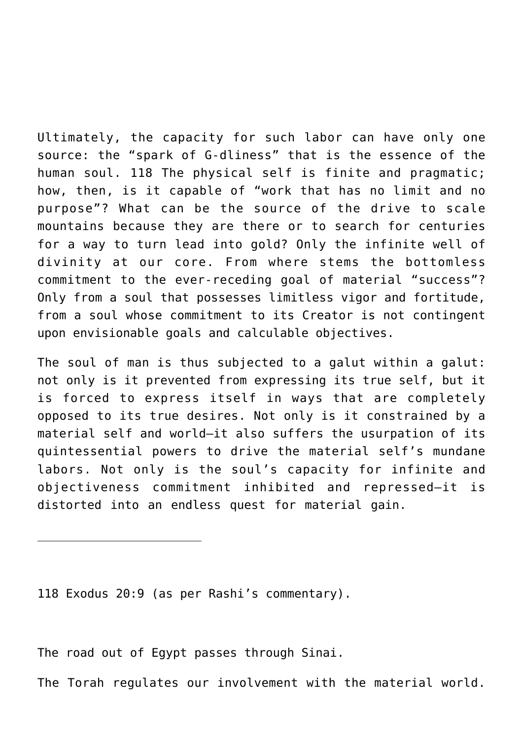Ultimately, the capacity for such labor can have only one source: the "spark of G-dliness" that is the essence of the human soul. 118 The physical self is finite and pragmatic; how, then, is it capable of "work that has no limit and no purpose"? What can be the source of the drive to scale mountains because they are there or to search for centuries for a way to turn lead into gold? Only the infinite well of divinity at our core. From where stems the bottomless commitment to the ever-receding goal of material "success"? Only from a soul that possesses limitless vigor and fortitude, from a soul whose commitment to its Creator is not contingent upon envisionable goals and calculable objectives.

The soul of man is thus subjected to a galut within a galut: not only is it prevented from expressing its true self, but it is forced to express itself in ways that are completely opposed to its true desires. Not only is it constrained by a material self and world—it also suffers the usurpation of its quintessential powers to drive the material self's mundane labors. Not only is the soul's capacity for infinite and objectiveness commitment inhibited and repressed—it is distorted into an endless quest for material gain.

118 Exodus 20:9 (as per Rashi's commentary).

The road out of Egypt passes through Sinai.

The Torah regulates our involvement with the material world.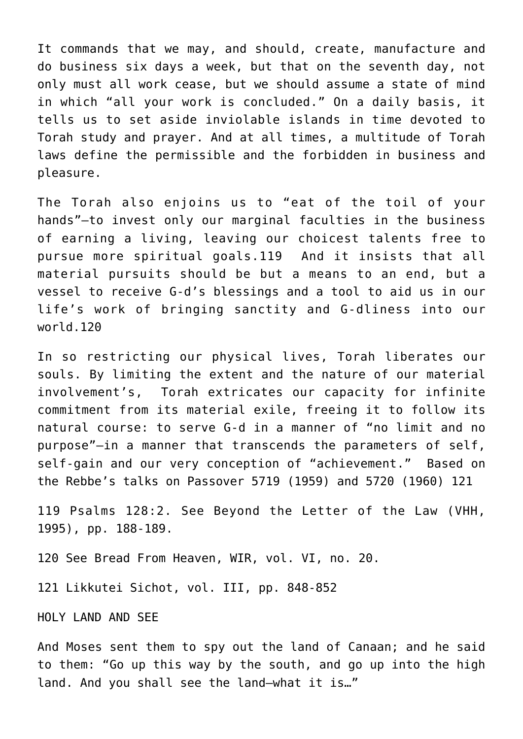It commands that we may, and should, create, manufacture and do business six days a week, but that on the seventh day, not only must all work cease, but we should assume a state of mind in which "all your work is concluded." On a daily basis, it tells us to set aside inviolable islands in time devoted to Torah study and prayer. And at all times, a multitude of Torah laws define the permissible and the forbidden in business and pleasure.

The Torah also enjoins us to "eat of the toil of your hands"—to invest only our marginal faculties in the business of earning a living, leaving our choicest talents free to pursue more spiritual goals.119 And it insists that all material pursuits should be but a means to an end, but a vessel to receive G-d's blessings and a tool to aid us in our life's work of bringing sanctity and G-dliness into our world.120

In so restricting our physical lives, Torah liberates our souls. By limiting the extent and the nature of our material involvement's, Torah extricates our capacity for infinite commitment from its material exile, freeing it to follow its natural course: to serve G-d in a manner of "no limit and no purpose"—in a manner that transcends the parameters of self, self-gain and our very conception of "achievement." Based on the Rebbe's talks on Passover 5719 (1959) and 5720 (1960) 121

119 Psalms 128:2. See Beyond the Letter of the Law (VHH, 1995), pp. 188-189.

120 See Bread From Heaven, WIR, vol. VI, no. 20.

121 Likkutei Sichot, vol. III, pp. 848-852

HOLY LAND AND SEE

And Moses sent them to spy out the land of Canaan; and he said to them: "Go up this way by the south, and go up into the high land. And you shall see the land—what it is…"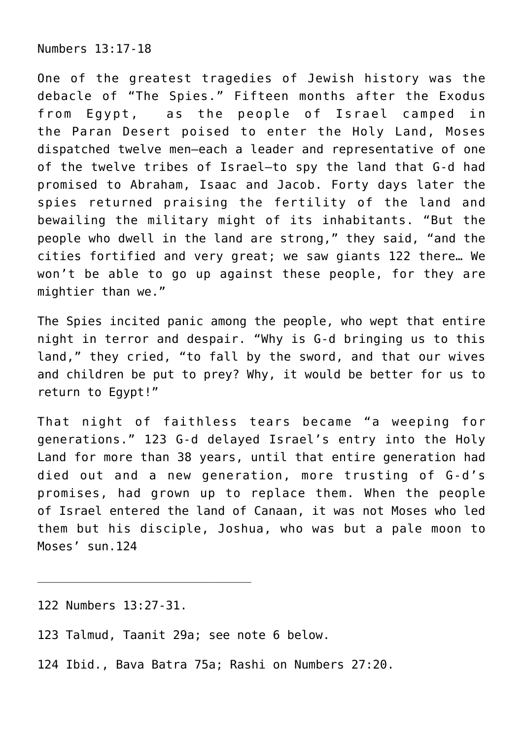Numbers 13:17-18

One of the greatest tragedies of Jewish history was the debacle of "The Spies." Fifteen months after the Exodus from Egypt, as the people of Israel camped in the Paran Desert poised to enter the Holy Land, Moses dispatched twelve men—each a leader and representative of one of the twelve tribes of Israel—to spy the land that G-d had promised to Abraham, Isaac and Jacob. Forty days later the spies returned praising the fertility of the land and bewailing the military might of its inhabitants. "But the people who dwell in the land are strong," they said, "and the cities fortified and very great; we saw giants 122 there… We won't be able to go up against these people, for they are mightier than we."

The Spies incited panic among the people, who wept that entire night in terror and despair. "Why is G-d bringing us to this land," they cried, "to fall by the sword, and that our wives and children be put to prey? Why, it would be better for us to return to Egypt!"

That night of faithless tears became "a weeping for generations." 123 G-d delayed Israel's entry into the Holy Land for more than 38 years, until that entire generation had died out and a new generation, more trusting of G-d's promises, had grown up to replace them. When the people of Israel entered the land of Canaan, it was not Moses who led them but his disciple, Joshua, who was but a pale moon to Moses' sun.124

122 Numbers 13:27-31.

- 123 Talmud, Taanit 29a; see note 6 below.
- 124 Ibid., Bava Batra 75a; Rashi on Numbers 27:20.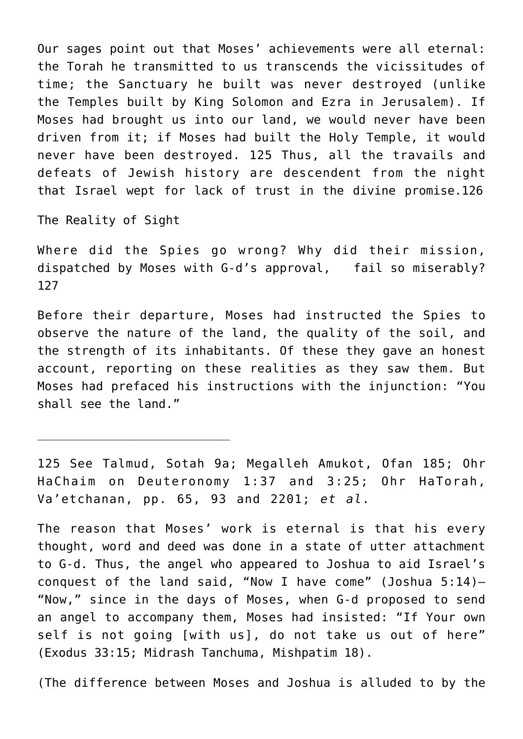Our sages point out that Moses' achievements were all eternal: the Torah he transmitted to us transcends the vicissitudes of time; the Sanctuary he built was never destroyed (unlike the Temples built by King Solomon and Ezra in Jerusalem). If Moses had brought us into our land, we would never have been driven from it; if Moses had built the Holy Temple, it would never have been destroyed. 125 Thus, all the travails and defeats of Jewish history are descendent from the night that Israel wept for lack of trust in the divine promise.126

The Reality of Sight

 $\overline{\phantom{a}}$  , which is a set of the set of the set of the set of the set of the set of the set of the set of the set of the set of the set of the set of the set of the set of the set of the set of the set of the set of th

Where did the Spies go wrong? Why did their mission, dispatched by Moses with G-d's approval, fail so miserably? 127

Before their departure, Moses had instructed the Spies to observe the nature of the land, the quality of the soil, and the strength of its inhabitants. Of these they gave an honest account, reporting on these realities as they saw them. But Moses had prefaced his instructions with the injunction: "You shall see the land."

125 See Talmud, Sotah 9a; Megalleh Amukot, Ofan 185; Ohr HaChaim on Deuteronomy 1:37 and 3:25; Ohr HaTorah, Va'etchanan, pp. 65, 93 and 2201; *et al*.

The reason that Moses' work is eternal is that his every thought, word and deed was done in a state of utter attachment to G-d. Thus, the angel who appeared to Joshua to aid Israel's conquest of the land said, "Now I have come" (Joshua 5:14)— "Now," since in the days of Moses, when G-d proposed to send an angel to accompany them, Moses had insisted: "If Your own self is not going [with us], do not take us out of here" (Exodus 33:15; Midrash Tanchuma, Mishpatim 18).

(The difference between Moses and Joshua is alluded to by the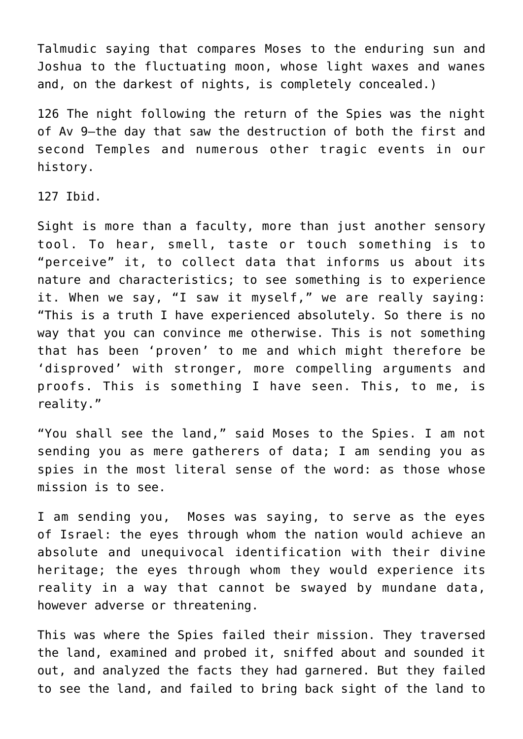Talmudic saying that compares Moses to the enduring sun and Joshua to the fluctuating moon, whose light waxes and wanes and, on the darkest of nights, is completely concealed.)

126 The night following the return of the Spies was the night of Av 9—the day that saw the destruction of both the first and second Temples and numerous other tragic events in our history.

127 Ibid.

Sight is more than a faculty, more than just another sensory tool. To hear, smell, taste or touch something is to "perceive" it, to collect data that informs us about its nature and characteristics; to see something is to experience it. When we say, "I saw it myself," we are really saying: "This is a truth I have experienced absolutely. So there is no way that you can convince me otherwise. This is not something that has been 'proven' to me and which might therefore be 'disproved' with stronger, more compelling arguments and proofs. This is something I have seen. This, to me, is reality."

"You shall see the land," said Moses to the Spies. I am not sending you as mere gatherers of data; I am sending you as spies in the most literal sense of the word: as those whose mission is to see.

I am sending you, Moses was saying, to serve as the eyes of Israel: the eyes through whom the nation would achieve an absolute and unequivocal identification with their divine heritage; the eyes through whom they would experience its reality in a way that cannot be swayed by mundane data, however adverse or threatening.

This was where the Spies failed their mission. They traversed the land, examined and probed it, sniffed about and sounded it out, and analyzed the facts they had garnered. But they failed to see the land, and failed to bring back sight of the land to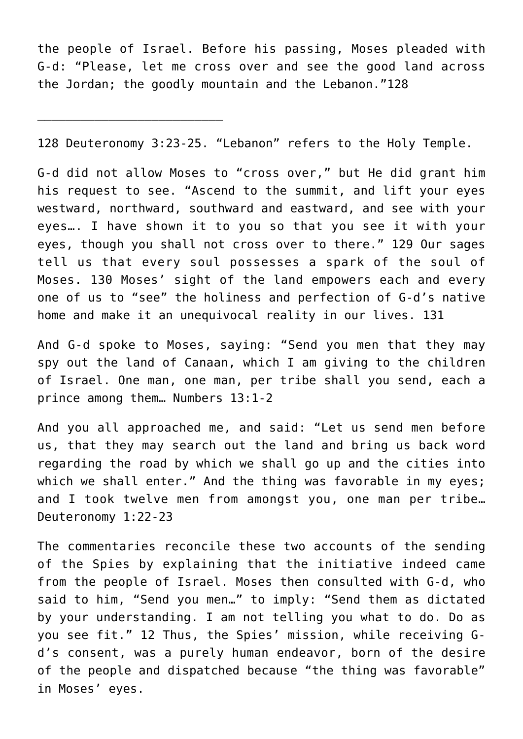the people of Israel. Before his passing, Moses pleaded with G-d: "Please, let me cross over and see the good land across the Jordan; the goodly mountain and the Lebanon."128

128 Deuteronomy 3:23-25. "Lebanon" refers to the Holy Temple.

 $\overline{\phantom{a}}$  , which is a set of the set of the set of the set of the set of the set of the set of the set of the set of the set of the set of the set of the set of the set of the set of the set of the set of the set of th

G-d did not allow Moses to "cross over," but He did grant him his request to see. "Ascend to the summit, and lift your eyes westward, northward, southward and eastward, and see with your eyes…. I have shown it to you so that you see it with your eyes, though you shall not cross over to there." 129 Our sages tell us that every soul possesses a spark of the soul of Moses. 130 Moses' sight of the land empowers each and every one of us to "see" the holiness and perfection of G-d's native home and make it an unequivocal reality in our lives. 131

And G-d spoke to Moses, saying: "Send you men that they may spy out the land of Canaan, which I am giving to the children of Israel. One man, one man, per tribe shall you send, each a prince among them… Numbers 13:1-2

And you all approached me, and said: "Let us send men before us, that they may search out the land and bring us back word regarding the road by which we shall go up and the cities into which we shall enter." And the thing was favorable in my eyes; and I took twelve men from amongst you, one man per tribe… Deuteronomy 1:22-23

The commentaries reconcile these two accounts of the sending of the Spies by explaining that the initiative indeed came from the people of Israel. Moses then consulted with G-d, who said to him, "Send you men…" to imply: "Send them as dictated by your understanding. I am not telling you what to do. Do as you see fit." 12 Thus, the Spies' mission, while receiving Gd's consent, was a purely human endeavor, born of the desire of the people and dispatched because "the thing was favorable" in Moses' eyes.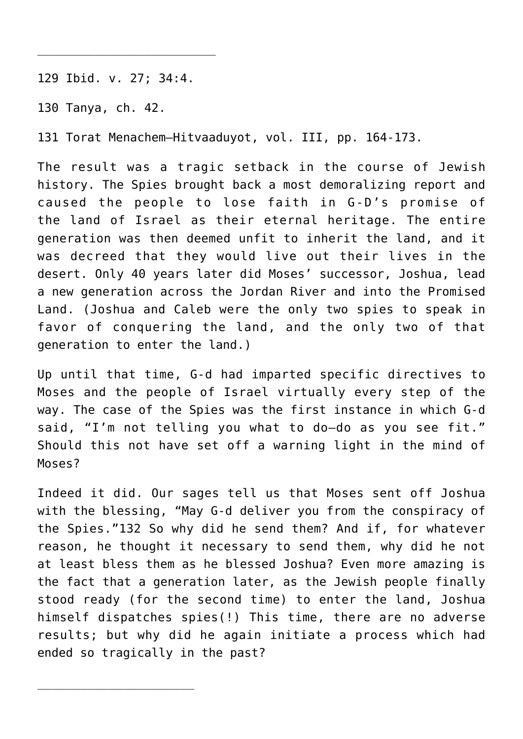129 Ibid. v. 27; 34:4.

\_\_\_\_\_\_\_\_\_\_\_\_\_\_\_\_\_\_\_\_\_\_\_\_\_

130 Tanya, ch. 42.

131 Torat Menachem—Hitvaaduyot, vol. III, pp. 164-173.

The result was a tragic setback in the course of Jewish history. The Spies brought back a most demoralizing report and caused the people to lose faith in G-D's promise of the land of Israel as their eternal heritage. The entire generation was then deemed unfit to inherit the land, and it was decreed that they would live out their lives in the desert. Only 40 years later did Moses' successor, Joshua, lead a new generation across the Jordan River and into the Promised Land. (Joshua and Caleb were the only two spies to speak in favor of conquering the land, and the only two of that generation to enter the land.)

Up until that time, G-d had imparted specific directives to Moses and the people of Israel virtually every step of the way. The case of the Spies was the first instance in which G-d said, "I'm not telling you what to do—do as you see fit." Should this not have set off a warning light in the mind of Moses?

Indeed it did. Our sages tell us that Moses sent off Joshua with the blessing, "May G-d deliver you from the conspiracy of the Spies."132 So why did he send them? And if, for whatever reason, he thought it necessary to send them, why did he not at least bless them as he blessed Joshua? Even more amazing is the fact that a generation later, as the Jewish people finally stood ready (for the second time) to enter the land, Joshua himself dispatches spies(!) This time, there are no adverse results; but why did he again initiate a process which had ended so tragically in the past?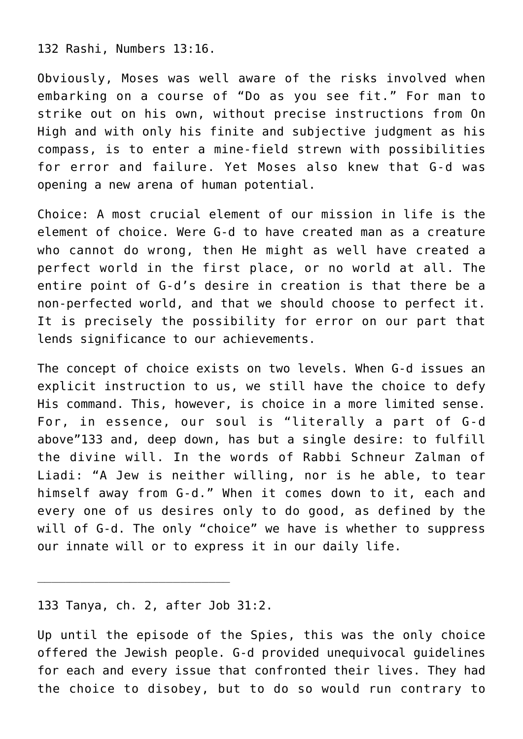132 Rashi, Numbers 13:16.

Obviously, Moses was well aware of the risks involved when embarking on a course of "Do as you see fit." For man to strike out on his own, without precise instructions from On High and with only his finite and subjective judgment as his compass, is to enter a mine-field strewn with possibilities for error and failure. Yet Moses also knew that G-d was opening a new arena of human potential.

Choice: A most crucial element of our mission in life is the element of choice. Were G-d to have created man as a creature who cannot do wrong, then He might as well have created a perfect world in the first place, or no world at all. The entire point of G-d's desire in creation is that there be a non-perfected world, and that we should choose to perfect it. It is precisely the possibility for error on our part that lends significance to our achievements.

The concept of choice exists on two levels. When G-d issues an explicit instruction to us, we still have the choice to defy His command. This, however, is choice in a more limited sense. For, in essence, our soul is "literally a part of G-d above"133 and, deep down, has but a single desire: to fulfill the divine will. In the words of Rabbi Schneur Zalman of Liadi: "A Jew is neither willing, nor is he able, to tear himself away from G-d." When it comes down to it, each and every one of us desires only to do good, as defined by the will of G-d. The only "choice" we have is whether to suppress our innate will or to express it in our daily life.

133 Tanya, ch. 2, after Job 31:2.

Up until the episode of the Spies, this was the only choice offered the Jewish people. G-d provided unequivocal guidelines for each and every issue that confronted their lives. They had the choice to disobey, but to do so would run contrary to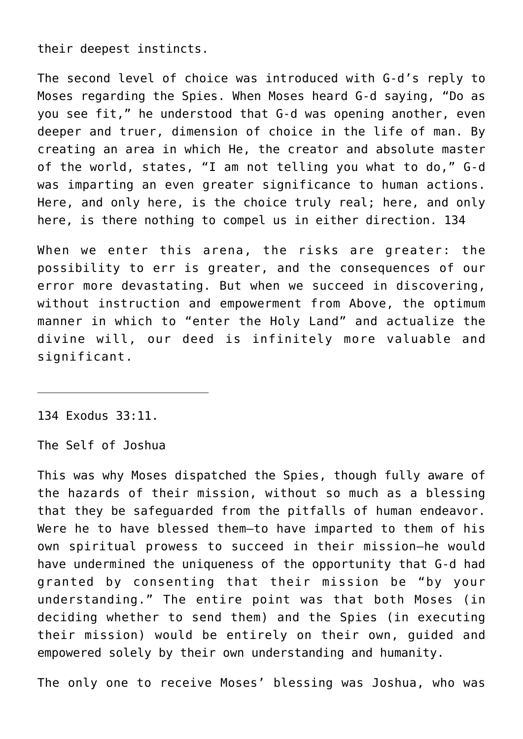their deepest instincts.

The second level of choice was introduced with G-d's reply to Moses regarding the Spies. When Moses heard G-d saying, "Do as you see fit," he understood that G-d was opening another, even deeper and truer, dimension of choice in the life of man. By creating an area in which He, the creator and absolute master of the world, states, "I am not telling you what to do," G-d was imparting an even greater significance to human actions. Here, and only here, is the choice truly real; here, and only here, is there nothing to compel us in either direction. 134

When we enter this arena, the risks are greater: the possibility to err is greater, and the consequences of our error more devastating. But when we succeed in discovering, without instruction and empowerment from Above, the optimum manner in which to "enter the Holy Land" and actualize the divine will, our deed is infinitely more valuable and significant.

134 Exodus 33:11.

 $\overline{\phantom{a}}$  , which is a set of the set of the set of the set of the set of the set of the set of the set of the set of the set of the set of the set of the set of the set of the set of the set of the set of the set of th

The Self of Joshua

This was why Moses dispatched the Spies, though fully aware of the hazards of their mission, without so much as a blessing that they be safeguarded from the pitfalls of human endeavor. Were he to have blessed them—to have imparted to them of his own spiritual prowess to succeed in their mission—he would have undermined the uniqueness of the opportunity that G-d had granted by consenting that their mission be "by your understanding." The entire point was that both Moses (in deciding whether to send them) and the Spies (in executing their mission) would be entirely on their own, guided and empowered solely by their own understanding and humanity.

The only one to receive Moses' blessing was Joshua, who was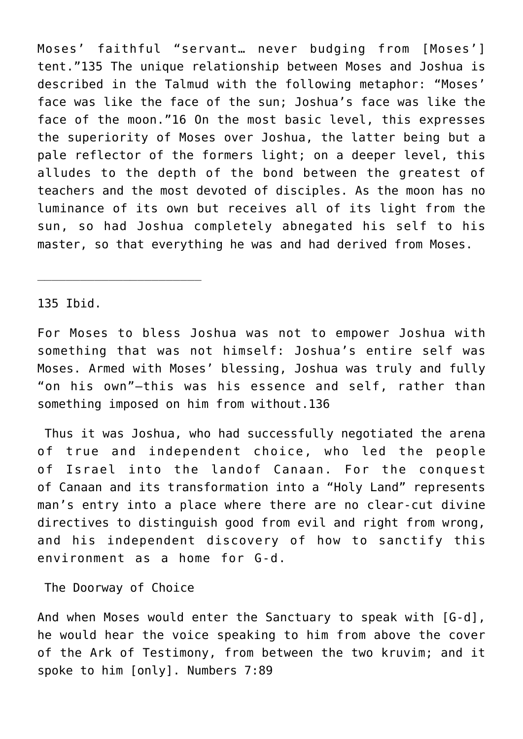Moses' faithful "servant… never budging from [Moses'] tent."135 The unique relationship between Moses and Joshua is described in the Talmud with the following metaphor: "Moses' face was like the face of the sun; Joshua's face was like the face of the moon."16 On the most basic level, this expresses the superiority of Moses over Joshua, the latter being but a pale reflector of the formers light; on a deeper level, this alludes to the depth of the bond between the greatest of teachers and the most devoted of disciples. As the moon has no luminance of its own but receives all of its light from the sun, so had Joshua completely abnegated his self to his master, so that everything he was and had derived from Moses.

135 Ibid.

\_\_\_\_\_\_\_\_\_\_\_\_\_\_\_\_\_\_\_\_\_\_\_

For Moses to bless Joshua was not to empower Joshua with something that was not himself: Joshua's entire self was Moses. Armed with Moses' blessing, Joshua was truly and fully "on his own"—this was his essence and self, rather than something imposed on him from without.136

 Thus it was Joshua, who had successfully negotiated the arena of true and independent choice, who led the people of Israel into the landof Canaan. For the conquest of Canaan and its transformation into a "Holy Land" represents man's entry into a place where there are no clear-cut divine directives to distinguish good from evil and right from wrong, and his independent discovery of how to sanctify this environment as a home for G-d.

The Doorway of Choice

And when Moses would enter the Sanctuary to speak with [G-d], he would hear the voice speaking to him from above the cover of the Ark of Testimony, from between the two kruvim; and it spoke to him [only]. Numbers 7:89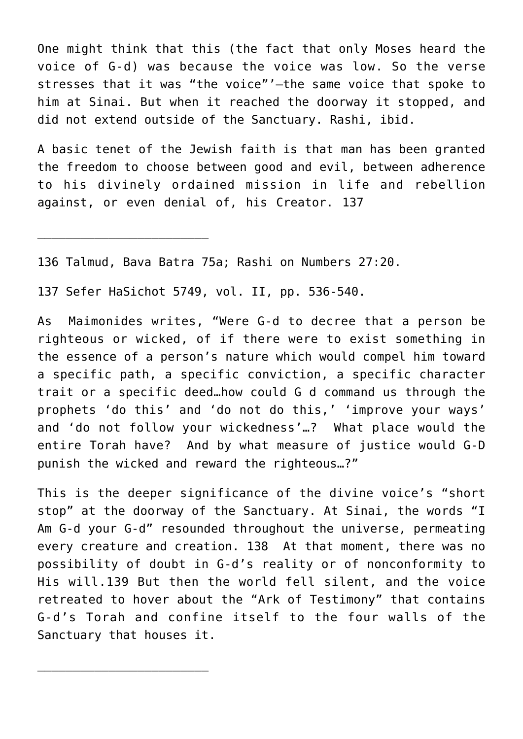One might think that this (the fact that only Moses heard the voice of G-d) was because the voice was low. So the verse stresses that it was "the voice"'—the same voice that spoke to him at Sinai. But when it reached the doorway it stopped, and did not extend outside of the Sanctuary. Rashi, ibid.

A basic tenet of the Jewish faith is that man has been granted the freedom to choose between good and evil, between adherence to his divinely ordained mission in life and rebellion against, or even denial of, his Creator. 137

136 Talmud, Bava Batra 75a; Rashi on Numbers 27:20.

137 Sefer HaSichot 5749, vol. II, pp. 536-540.

 $\overline{\phantom{a}}$  , which is a set of the set of the set of the set of the set of the set of the set of the set of the set of the set of the set of the set of the set of the set of the set of the set of the set of the set of th

As Maimonides writes, "Were G-d to decree that a person be righteous or wicked, of if there were to exist something in the essence of a person's nature which would compel him toward a specific path, a specific conviction, a specific character trait or a specific deed…how could G d command us through the prophets 'do this' and 'do not do this,' 'improve your ways' and 'do not follow your wickedness'…? What place would the entire Torah have? And by what measure of justice would G-D punish the wicked and reward the righteous…?"

This is the deeper significance of the divine voice's "short stop" at the doorway of the Sanctuary. At Sinai, the words "I Am G-d your G-d" resounded throughout the universe, permeating every creature and creation. 138 At that moment, there was no possibility of doubt in G-d's reality or of nonconformity to His will.139 But then the world fell silent, and the voice retreated to hover about the "Ark of Testimony" that contains G-d's Torah and confine itself to the four walls of the Sanctuary that houses it.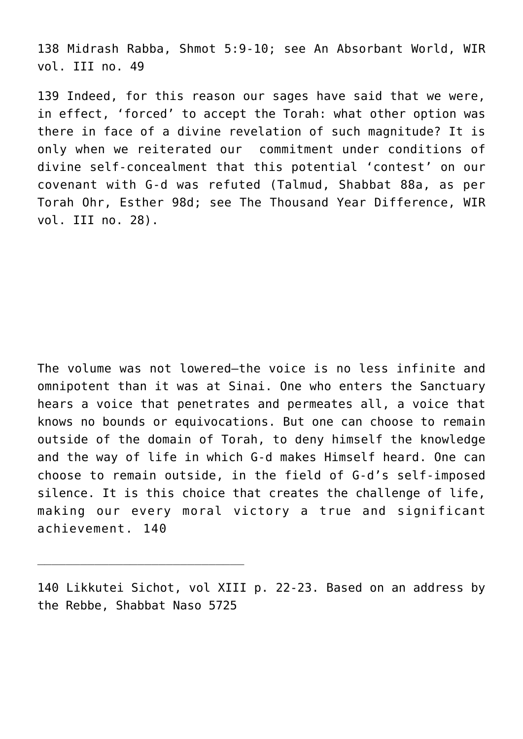138 Midrash Rabba, Shmot 5:9-10; see An Absorbant World, WIR vol. III no. 49

139 Indeed, for this reason our sages have said that we were, in effect, 'forced' to accept the Torah: what other option was there in face of a divine revelation of such magnitude? It is only when we reiterated our commitment under conditions of divine self-concealment that this potential 'contest' on our covenant with G-d was refuted (Talmud, Shabbat 88a, as per Torah Ohr, Esther 98d; see The Thousand Year Difference, WIR vol. III no. 28).

The volume was not lowered—the voice is no less infinite and omnipotent than it was at Sinai. One who enters the Sanctuary hears a voice that penetrates and permeates all, a voice that knows no bounds or equivocations. But one can choose to remain outside of the domain of Torah, to deny himself the knowledge and the way of life in which G-d makes Himself heard. One can choose to remain outside, in the field of G-d's self-imposed silence. It is this choice that creates the challenge of life, making our every moral victory a true and significant achievement. 140

<sup>140</sup> Likkutei Sichot, vol XIII p. 22-23. Based on an address by the Rebbe, Shabbat Naso 5725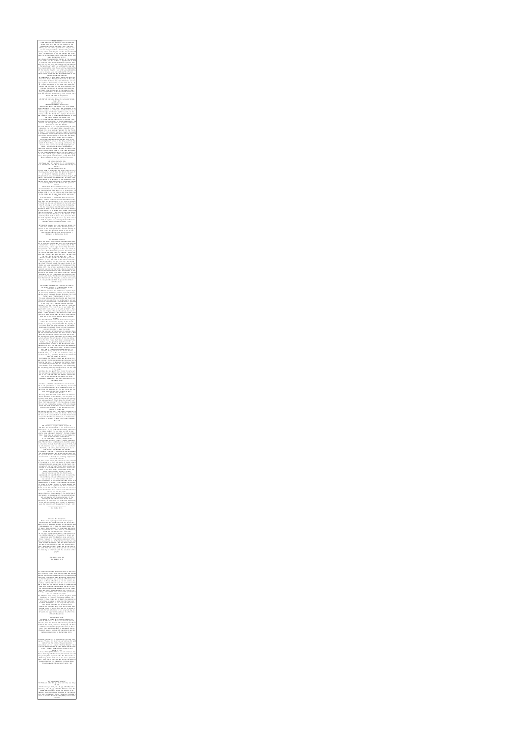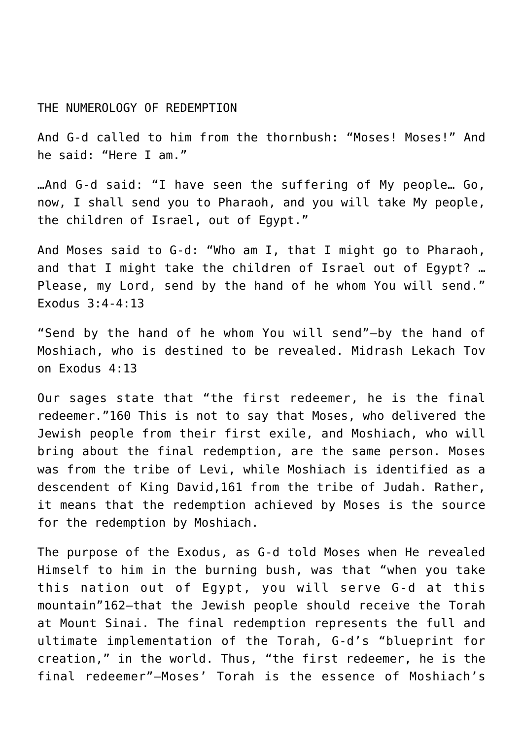#### THE NUMEROLOGY OF REDEMPTION

And G-d called to him from the thornbush: "Moses! Moses!" And he said: "Here I am."

…And G-d said: "I have seen the suffering of My people… Go, now, I shall send you to Pharaoh, and you will take My people, the children of Israel, out of Egypt."

And Moses said to G-d: "Who am I, that I might go to Pharaoh, and that I might take the children of Israel out of Egypt? … Please, my Lord, send by the hand of he whom You will send." Exodus 3:4-4:13

"Send by the hand of he whom You will send"—by the hand of Moshiach, who is destined to be revealed. Midrash Lekach Tov on Exodus 4:13

Our sages state that "the first redeemer, he is the final redeemer."160 This is not to say that Moses, who delivered the Jewish people from their first exile, and Moshiach, who will bring about the final redemption, are the same person. Moses was from the tribe of Levi, while Moshiach is identified as a descendent of King David,161 from the tribe of Judah. Rather, it means that the redemption achieved by Moses is the source for the redemption by Moshiach.

The purpose of the Exodus, as G-d told Moses when He revealed Himself to him in the burning bush, was that "when you take this nation out of Egypt, you will serve G-d at this mountain"162—that the Jewish people should receive the Torah at Mount Sinai. The final redemption represents the full and ultimate implementation of the Torah, G-d's "blueprint for creation," in the world. Thus, "the first redeemer, he is the final redeemer"—Moses' Torah is the essence of Moshiach's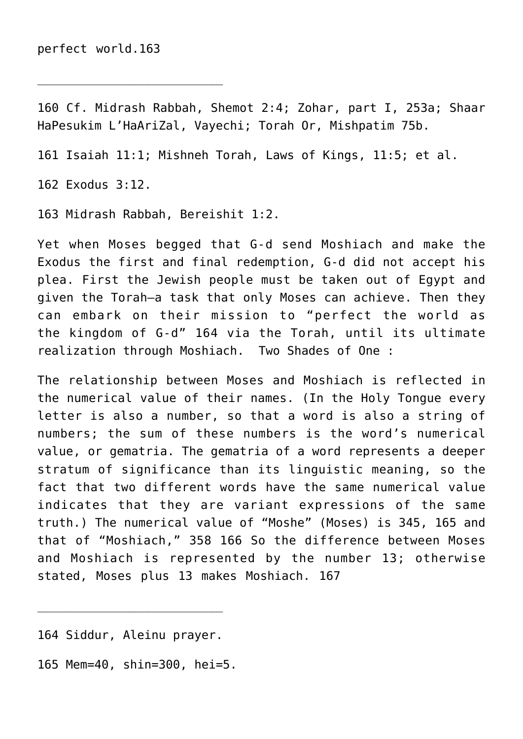$\overline{\phantom{a}}$  , which is a set of the set of the set of the set of the set of the set of the set of the set of the set of the set of the set of the set of the set of the set of the set of the set of the set of the set of th

160 Cf. Midrash Rabbah, Shemot 2:4; Zohar, part I, 253a; Shaar HaPesukim L'HaAriZal, Vayechi; Torah Or, Mishpatim 75b.

161 Isaiah 11:1; Mishneh Torah, Laws of Kings, 11:5; et al.

162 Exodus 3:12.

163 Midrash Rabbah, Bereishit 1:2.

Yet when Moses begged that G-d send Moshiach and make the Exodus the first and final redemption, G-d did not accept his plea. First the Jewish people must be taken out of Egypt and given the Torah—a task that only Moses can achieve. Then they can embark on their mission to "perfect the world as the kingdom of G-d" 164 via the Torah, until its ultimate realization through Moshiach. Two Shades of One :

The relationship between Moses and Moshiach is reflected in the numerical value of their names. (In the Holy Tongue every letter is also a number, so that a word is also a string of numbers; the sum of these numbers is the word's numerical value, or gematria. The gematria of a word represents a deeper stratum of significance than its linguistic meaning, so the fact that two different words have the same numerical value indicates that they are variant expressions of the same truth.) The numerical value of "Moshe" (Moses) is 345, 165 and that of "Moshiach," 358 166 So the difference between Moses and Moshiach is represented by the number 13; otherwise stated, Moses plus 13 makes Moshiach. 167

164 Siddur, Aleinu prayer.

165 Mem=40, shin=300, hei=5.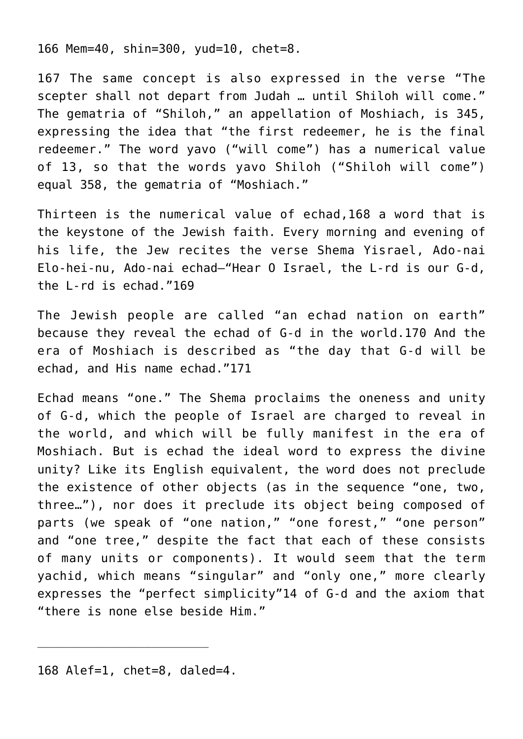166 Mem=40, shin=300, yud=10, chet=8.

167 The same concept is also expressed in the verse "The scepter shall not depart from Judah … until Shiloh will come." The gematria of "Shiloh," an appellation of Moshiach, is 345, expressing the idea that "the first redeemer, he is the final redeemer." The word yavo ("will come") has a numerical value of 13, so that the words yavo Shiloh ("Shiloh will come") equal 358, the gematria of "Moshiach."

Thirteen is the numerical value of echad,168 a word that is the keystone of the Jewish faith. Every morning and evening of his life, the Jew recites the verse Shema Yisrael, Ado-nai Elo-hei-nu, Ado-nai echad—"Hear O Israel, the L-rd is our G-d, the L-rd is echad."169

The Jewish people are called "an echad nation on earth" because they reveal the echad of G-d in the world.170 And the era of Moshiach is described as "the day that G-d will be echad, and His name echad."171

Echad means "one." The Shema proclaims the oneness and unity of G-d, which the people of Israel are charged to reveal in the world, and which will be fully manifest in the era of Moshiach. But is echad the ideal word to express the divine unity? Like its English equivalent, the word does not preclude the existence of other objects (as in the sequence "one, two, three…"), nor does it preclude its object being composed of parts (we speak of "one nation," "one forest," "one person" and "one tree," despite the fact that each of these consists of many units or components). It would seem that the term yachid, which means "singular" and "only one," more clearly expresses the "perfect simplicity"14 of G-d and the axiom that "there is none else beside Him."

168 Alef=1, chet=8, daled=4.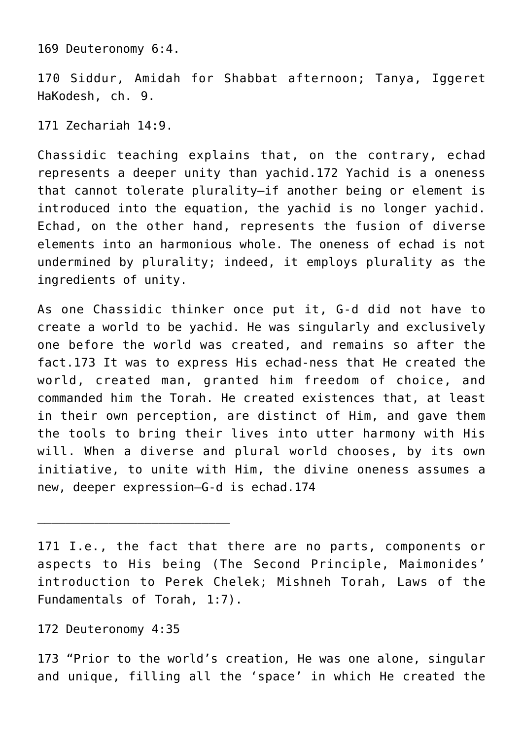169 Deuteronomy 6:4.

170 Siddur, Amidah for Shabbat afternoon; Tanya, Iggeret HaKodesh, ch. 9.

171 Zechariah 14:9.

Chassidic teaching explains that, on the contrary, echad represents a deeper unity than yachid.172 Yachid is a oneness that cannot tolerate plurality—if another being or element is introduced into the equation, the yachid is no longer yachid. Echad, on the other hand, represents the fusion of diverse elements into an harmonious whole. The oneness of echad is not undermined by plurality; indeed, it employs plurality as the ingredients of unity.

As one Chassidic thinker once put it, G-d did not have to create a world to be yachid. He was singularly and exclusively one before the world was created, and remains so after the fact.173 It was to express His echad-ness that He created the world, created man, granted him freedom of choice, and commanded him the Torah. He created existences that, at least in their own perception, are distinct of Him, and gave them the tools to bring their lives into utter harmony with His will. When a diverse and plural world chooses, by its own initiative, to unite with Him, the divine oneness assumes a new, deeper expression—G-d is echad.174

<sup>171</sup> I.e., the fact that there are no parts, components or aspects to His being (The Second Principle, Maimonides' introduction to Perek Chelek; Mishneh Torah, Laws of the Fundamentals of Torah, 1:7).

<sup>172</sup> Deuteronomy 4:35

<sup>173 &</sup>quot;Prior to the world's creation, He was one alone, singular and unique, filling all the 'space' in which He created the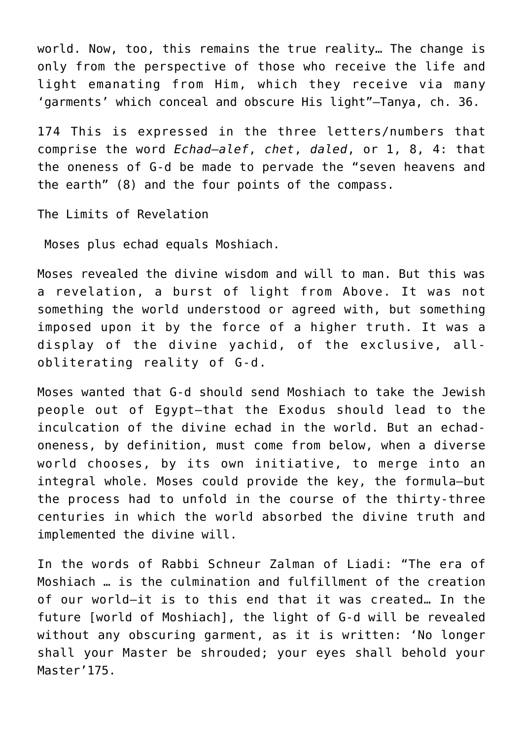world. Now, too, this remains the true reality… The change is only from the perspective of those who receive the life and light emanating from Him, which they receive via many 'garments' which conceal and obscure His light"—Tanya, ch. 36.

174 This is expressed in the three letters/numbers that comprise the word *Echad*—*alef*, *chet*, *daled*, or 1, 8, 4: that the oneness of G-d be made to pervade the "seven heavens and the earth" (8) and the four points of the compass.

The Limits of Revelation

Moses plus echad equals Moshiach.

Moses revealed the divine wisdom and will to man. But this was a revelation, a burst of light from Above. It was not something the world understood or agreed with, but something imposed upon it by the force of a higher truth. It was a display of the divine yachid, of the exclusive, allobliterating reality of G-d.

Moses wanted that G-d should send Moshiach to take the Jewish people out of Egypt—that the Exodus should lead to the inculcation of the divine echad in the world. But an echadoneness, by definition, must come from below, when a diverse world chooses, by its own initiative, to merge into an integral whole. Moses could provide the key, the formula—but the process had to unfold in the course of the thirty-three centuries in which the world absorbed the divine truth and implemented the divine will.

In the words of Rabbi Schneur Zalman of Liadi: "The era of Moshiach … is the culmination and fulfillment of the creation of our world—it is to this end that it was created… In the future [world of Moshiach], the light of G-d will be revealed without any obscuring garment, as it is written: 'No longer shall your Master be shrouded; your eyes shall behold your Master'175.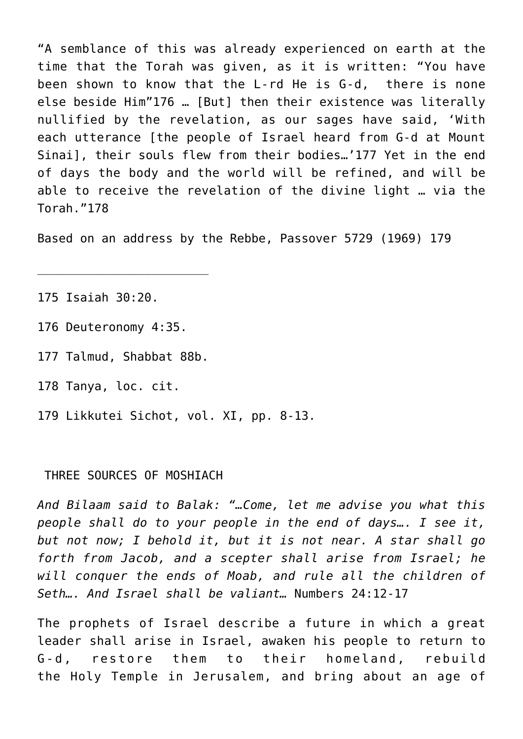"A semblance of this was already experienced on earth at the time that the Torah was given, as it is written: "You have been shown to know that the L-rd He is G-d, there is none else beside Him"176 … [But] then their existence was literally nullified by the revelation, as our sages have said, 'With each utterance [the people of Israel heard from G-d at Mount Sinai], their souls flew from their bodies…'177 Yet in the end of days the body and the world will be refined, and will be able to receive the revelation of the divine light … via the Torah."178

Based on an address by the Rebbe, Passover 5729 (1969) 179

175 Isaiah 30:20.

176 Deuteronomy 4:35.

177 Talmud, Shabbat 88b.

 $\overline{\phantom{a}}$  , which is a set of the set of the set of the set of the set of the set of the set of the set of the set of the set of the set of the set of the set of the set of the set of the set of the set of the set of th

178 Tanya, loc. cit.

179 Likkutei Sichot, vol. XI, pp. 8-13.

## THREE SOURCES OF MOSHIACH

*And Bilaam said to Balak: "…Come, let me advise you what this people shall do to your people in the end of days…. I see it, but not now; I behold it, but it is not near. A star shall go forth from Jacob, and a scepter shall arise from Israel; he will conquer the ends of Moab, and rule all the children of Seth…. And Israel shall be valiant…* Numbers 24:12-17

The prophets of Israel describe a future in which a great leader shall arise in Israel, awaken his people to return to G-d, restore them to their homeland, rebuild the Holy Temple in Jerusalem, and bring about an age of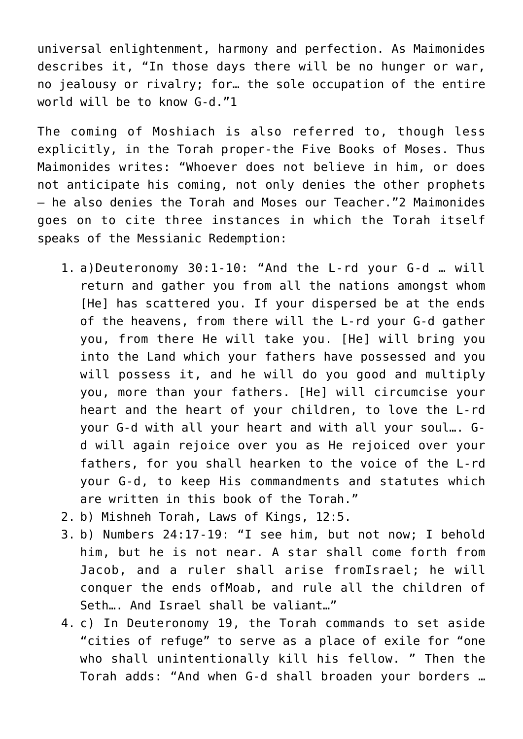universal enlightenment, harmony and perfection. As Maimonides describes it, "In those days there will be no hunger or war, no jealousy or rivalry; for… the sole occupation of the entire world will be to know G-d."1

The coming of Moshiach is also referred to, though less explicitly, in the Torah proper-the Five Books of Moses. Thus Maimonides writes: "Whoever does not believe in him, or does not anticipate his coming, not only denies the other prophets – he also denies the Torah and Moses our Teacher."2 Maimonides goes on to cite three instances in which the Torah itself speaks of the Messianic Redemption:

- 1. a)Deuteronomy 30:1-10: "And the L-rd your G-d … will return and gather you from all the nations amongst whom [He] has scattered you. If your dispersed be at the ends of the heavens, from there will the L-rd your G-d gather you, from there He will take you. [He] will bring you into the Land which your fathers have possessed and you will possess it, and he will do you good and multiply you, more than your fathers. [He] will circumcise your heart and the heart of your children, to love the L-rd your G-d with all your heart and with all your soul…. Gd will again rejoice over you as He rejoiced over your fathers, for you shall hearken to the voice of the L-rd your G-d, to keep His commandments and statutes which are written in this book of the Torah."
- 2. b) Mishneh Torah, Laws of Kings, 12:5.
- 3. b) Numbers 24:17-19: "I see him, but not now; I behold him, but he is not near. A star shall come forth from Jacob, and a ruler shall arise fromIsrael; he will conquer the ends ofMoab, and rule all the children of Seth…. And Israel shall be valiant…"
- 4. c) In Deuteronomy 19, the Torah commands to set aside "cities of refuge" to serve as a place of exile for "one who shall unintentionally kill his fellow. " Then the Torah adds: "And when G-d shall broaden your borders …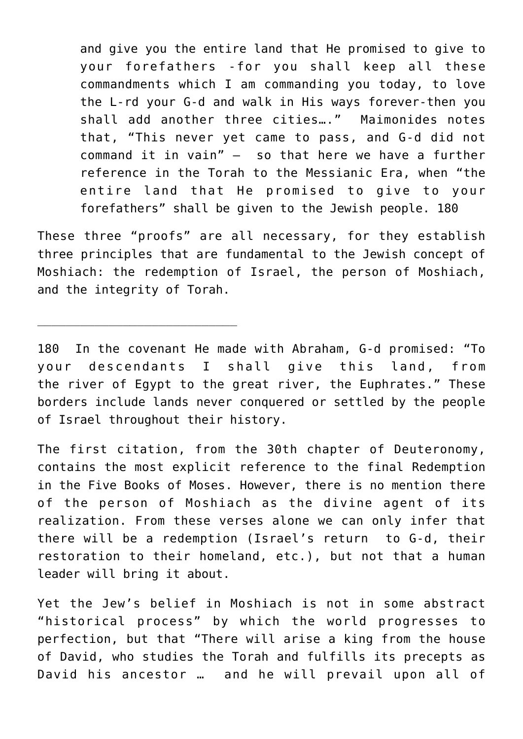and give you the entire land that He promised to give to your forefathers -for you shall keep all these commandments which I am commanding you today, to love the L-rd your G-d and walk in His ways forever-then you shall add another three cities…." Maimonides notes that, "This never yet came to pass, and G-d did not command it in vain" – so that here we have a further reference in the Torah to the Messianic Era, when "the entire land that He promised to give to your forefathers" shall be given to the Jewish people. 180

These three "proofs" are all necessary, for they establish three principles that are fundamental to the Jewish concept of Moshiach: the redemption of Israel, the person of Moshiach, and the integrity of Torah.

\_\_\_\_\_\_\_\_\_\_\_\_\_\_\_\_\_\_\_\_\_\_\_\_\_\_\_\_

180 In the covenant He made with Abraham, G-d promised: "To your descendants I shall give this land, from the river of Egypt to the great river, the Euphrates." These borders include lands never conquered or settled by the people of Israel throughout their history.

The first citation, from the 30th chapter of Deuteronomy, contains the most explicit reference to the final Redemption in the Five Books of Moses. However, there is no mention there of the person of Moshiach as the divine agent of its realization. From these verses alone we can only infer that there will be a redemption (Israel's return to G-d, their restoration to their homeland, etc.), but not that a human leader will bring it about.

Yet the Jew's belief in Moshiach is not in some abstract "historical process" by which the world progresses to perfection, but that "There will arise a king from the house of David, who studies the Torah and fulfills its precepts as David his ancestor … and he will prevail upon all of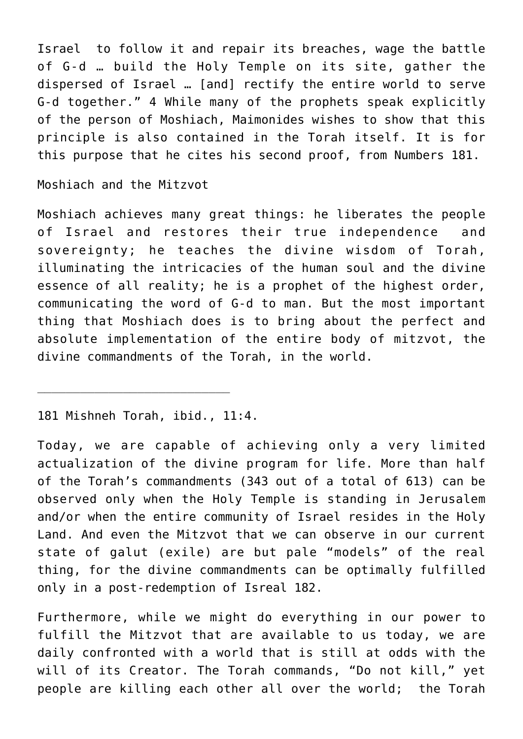Israel to follow it and repair its breaches, wage the battle of G-d … build the Holy Temple on its site, gather the dispersed of Israel … [and] rectify the entire world to serve G-d together." 4 While many of the prophets speak explicitly of the person of Moshiach, Maimonides wishes to show that this principle is also contained in the Torah itself. It is for this purpose that he cites his second proof, from Numbers 181.

Moshiach and the Mitzvot

Moshiach achieves many great things: he liberates the people of Israel and restores their true independence and sovereignty; he teaches the divine wisdom of Torah, illuminating the intricacies of the human soul and the divine essence of all reality; he is a prophet of the highest order, communicating the word of G-d to man. But the most important thing that Moshiach does is to bring about the perfect and absolute implementation of the entire body of mitzvot, the divine commandments of the Torah, in the world.

181 Mishneh Torah, ibid., 11:4.

\_\_\_\_\_\_\_\_\_\_\_\_\_\_\_\_\_\_\_\_\_\_\_\_\_\_\_

Today, we are capable of achieving only a very limited actualization of the divine program for life. More than half of the Torah's commandments (343 out of a total of 613) can be observed only when the Holy Temple is standing in Jerusalem and/or when the entire community of Israel resides in the Holy Land. And even the Mitzvot that we can observe in our current state of galut (exile) are but pale "models" of the real thing, for the divine commandments can be optimally fulfilled only in a post-redemption of Isreal 182.

Furthermore, while we might do everything in our power to fulfill the Mitzvot that are available to us today, we are daily confronted with a world that is still at odds with the will of its Creator. The Torah commands, "Do not kill," yet people are killing each other all over the world; the Torah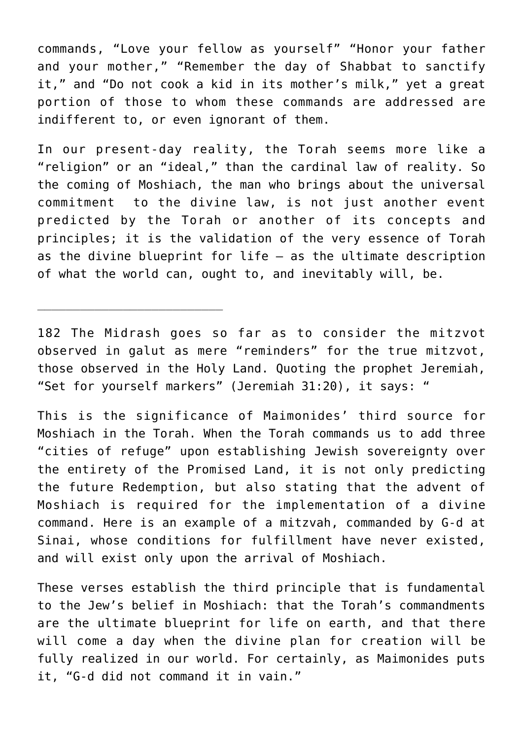commands, "Love your fellow as yourself" "Honor your father and your mother," "Remember the day of Shabbat to sanctify it," and "Do not cook a kid in its mother's milk," yet a great portion of those to whom these commands are addressed are indifferent to, or even ignorant of them.

In our present-day reality, the Torah seems more like a "religion" or an "ideal," than the cardinal law of reality. So the coming of Moshiach, the man who brings about the universal commitment to the divine law, is not just another event predicted by the Torah or another of its concepts and principles; it is the validation of the very essence of Torah as the divine blueprint for life – as the ultimate description of what the world can, ought to, and inevitably will, be.

 $\overline{\phantom{a}}$  , which is a set of the set of the set of the set of the set of the set of the set of the set of the set of the set of the set of the set of the set of the set of the set of the set of the set of the set of th

This is the significance of Maimonides' third source for Moshiach in the Torah. When the Torah commands us to add three "cities of refuge" upon establishing Jewish sovereignty over the entirety of the Promised Land, it is not only predicting the future Redemption, but also stating that the advent of Moshiach is required for the implementation of a divine command. Here is an example of a mitzvah, commanded by G-d at Sinai, whose conditions for fulfillment have never existed, and will exist only upon the arrival of Moshiach.

These verses establish the third principle that is fundamental to the Jew's belief in Moshiach: that the Torah's commandments are the ultimate blueprint for life on earth, and that there will come a day when the divine plan for creation will be fully realized in our world. For certainly, as Maimonides puts it, "G-d did not command it in vain."

<sup>182</sup> The Midrash goes so far as to consider the mitzvot observed in galut as mere "reminders" for the true mitzvot, those observed in the Holy Land. Quoting the prophet Jeremiah, "Set for yourself markers" (Jeremiah 31:20), it says: "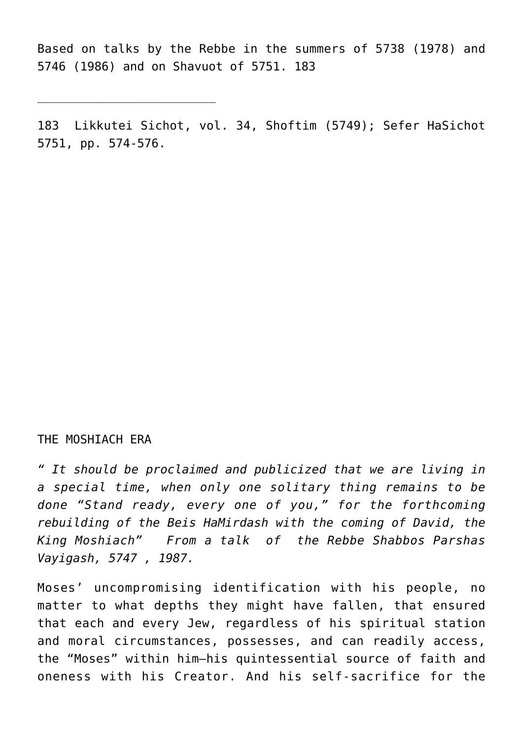Based on talks by the Rebbe in the summers of 5738 (1978) and 5746 (1986) and on Shavuot of 5751. 183

183 Likkutei Sichot, vol. 34, Shoftim (5749); Sefer HaSichot 5751, pp. 574-576.

## THE MOSHIACH ERA

 $\overline{\phantom{a}}$  , which is a set of the set of the set of the set of the set of the set of the set of the set of the set of the set of the set of the set of the set of the set of the set of the set of the set of the set of th

*" It should be proclaimed and publicized that we are living in a special time, when only one solitary thing remains to be done "Stand ready, every one of you," for the forthcoming rebuilding of the Beis HaMirdash with the coming of David, the King Moshiach" From a talk of the Rebbe Shabbos Parshas Vayigash, 5747 , 1987.*

Moses' uncompromising identification with his people, no matter to what depths they might have fallen, that ensured that each and every Jew, regardless of his spiritual station and moral circumstances, possesses, and can readily access, the "Moses" within him—his quintessential source of faith and oneness with his Creator. And his self-sacrifice for the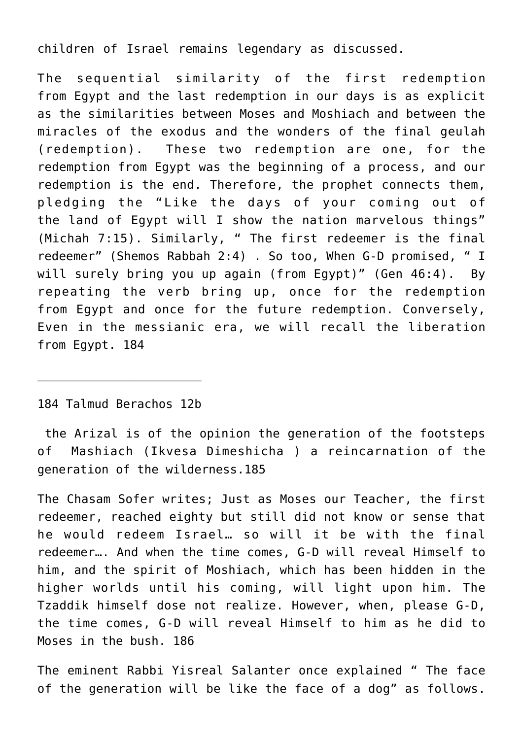children of Israel remains legendary as discussed.

The sequential similarity of the first redemption from Egypt and the last redemption in our days is as explicit as the similarities between Moses and Moshiach and between the miracles of the exodus and the wonders of the final geulah (redemption). These two redemption are one, for the redemption from Egypt was the beginning of a process, and our redemption is the end. Therefore, the prophet connects them, pledging the "Like the days of your coming out of the land of Egypt will I show the nation marvelous things" (Michah 7:15). Similarly, " The first redeemer is the final redeemer" (Shemos Rabbah 2:4) . So too, When G-D promised, " I will surely bring you up again (from Egypt)" (Gen 46:4). By repeating the verb bring up, once for the redemption from Egypt and once for the future redemption. Conversely, Even in the messianic era, we will recall the liberation from Egypt. 184

## 184 Talmud Berachos 12b

\_\_\_\_\_\_\_\_\_\_\_\_\_\_\_\_\_\_\_\_\_\_\_

 the Arizal is of the opinion the generation of the footsteps of Mashiach (Ikvesa Dimeshicha ) a reincarnation of the generation of the wilderness.185

The Chasam Sofer writes; Just as Moses our Teacher, the first redeemer, reached eighty but still did not know or sense that he would redeem Israel… so will it be with the final redeemer…. And when the time comes, G-D will reveal Himself to him, and the spirit of Moshiach, which has been hidden in the higher worlds until his coming, will light upon him. The Tzaddik himself dose not realize. However, when, please G-D, the time comes, G-D will reveal Himself to him as he did to Moses in the bush. 186

The eminent Rabbi Yisreal Salanter once explained " The face of the generation will be like the face of a dog" as follows.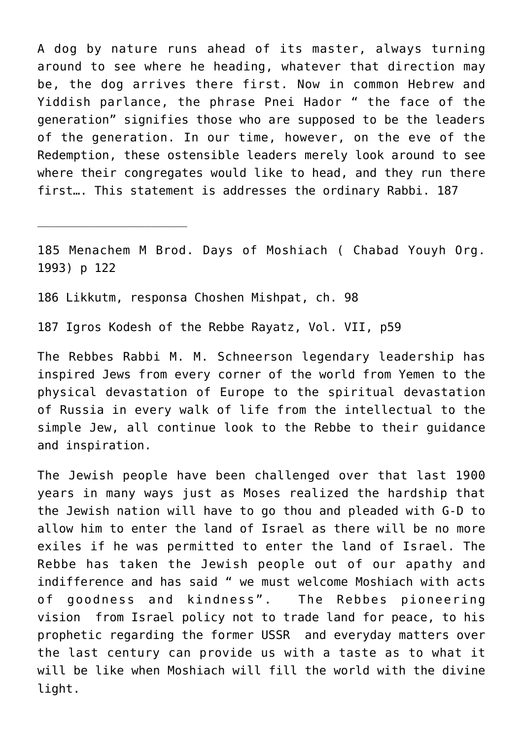A dog by nature runs ahead of its master, always turning around to see where he heading, whatever that direction may be, the dog arrives there first. Now in common Hebrew and Yiddish parlance, the phrase Pnei Hador " the face of the generation" signifies those who are supposed to be the leaders of the generation. In our time, however, on the eve of the Redemption, these ostensible leaders merely look around to see where their congregates would like to head, and they run there first…. This statement is addresses the ordinary Rabbi. 187

185 Menachem M Brod. Days of Moshiach ( Chabad Youyh Org. 1993) p 122

186 Likkutm, responsa Choshen Mishpat, ch. 98

\_\_\_\_\_\_\_\_\_\_\_\_\_\_\_\_\_\_\_\_\_

187 Igros Kodesh of the Rebbe Rayatz, Vol. VII, p59

The Rebbes Rabbi M. M. Schneerson legendary leadership has inspired Jews from every corner of the world from Yemen to the physical devastation of Europe to the spiritual devastation of Russia in every walk of life from the intellectual to the simple Jew, all continue look to the Rebbe to their guidance and inspiration.

The Jewish people have been challenged over that last 1900 years in many ways just as Moses realized the hardship that the Jewish nation will have to go thou and pleaded with G-D to allow him to enter the land of Israel as there will be no more exiles if he was permitted to enter the land of Israel. The Rebbe has taken the Jewish people out of our apathy and indifference and has said " we must welcome Moshiach with acts of goodness and kindness". The Rebbes pioneering vision from Israel policy not to trade land for peace, to his prophetic regarding the former USSR and everyday matters over the last century can provide us with a taste as to what it will be like when Moshiach will fill the world with the divine light.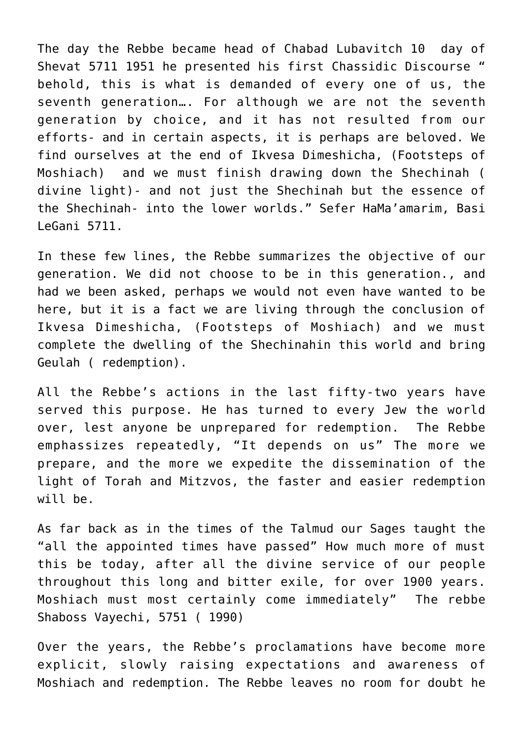The day the Rebbe became head of Chabad Lubavitch 10 day of Shevat 5711 1951 he presented his first Chassidic Discourse " behold, this is what is demanded of every one of us, the seventh generation…. For although we are not the seventh generation by choice, and it has not resulted from our efforts- and in certain aspects, it is perhaps are beloved. We find ourselves at the end of Ikvesa Dimeshicha, (Footsteps of Moshiach) and we must finish drawing down the Shechinah ( divine light)- and not just the Shechinah but the essence of the Shechinah- into the lower worlds." Sefer HaMa'amarim, Basi LeGani 5711.

In these few lines, the Rebbe summarizes the objective of our generation. We did not choose to be in this generation., and had we been asked, perhaps we would not even have wanted to be here, but it is a fact we are living through the conclusion of Ikvesa Dimeshicha, (Footsteps of Moshiach) and we must complete the dwelling of the Shechinahin this world and bring Geulah ( redemption).

All the Rebbe's actions in the last fifty-two years have served this purpose. He has turned to every Jew the world over, lest anyone be unprepared for redemption. The Rebbe emphassizes repeatedly, "It depends on us" The more we prepare, and the more we expedite the dissemination of the light of Torah and Mitzvos, the faster and easier redemption will be.

As far back as in the times of the Talmud our Sages taught the "all the appointed times have passed" How much more of must this be today, after all the divine service of our people throughout this long and bitter exile, for over 1900 years. Moshiach must most certainly come immediately" The rebbe Shaboss Vayechi, 5751 ( 1990)

Over the years, the Rebbe's proclamations have become more explicit, slowly raising expectations and awareness of Moshiach and redemption. The Rebbe leaves no room for doubt he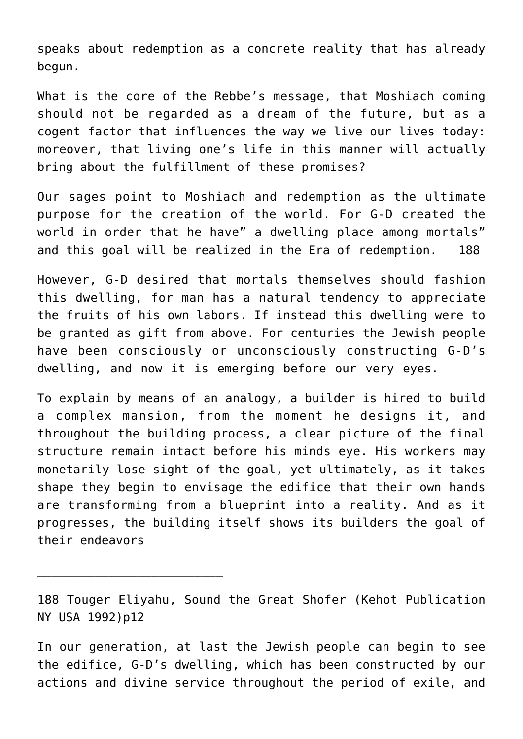speaks about redemption as a concrete reality that has already begun.

What is the core of the Rebbe's message, that Moshiach coming should not be regarded as a dream of the future, but as a cogent factor that influences the way we live our lives today: moreover, that living one's life in this manner will actually bring about the fulfillment of these promises?

Our sages point to Moshiach and redemption as the ultimate purpose for the creation of the world. For G-D created the world in order that he have" a dwelling place among mortals" and this goal will be realized in the Era of redemption. 188

However, G-D desired that mortals themselves should fashion this dwelling, for man has a natural tendency to appreciate the fruits of his own labors. If instead this dwelling were to be granted as gift from above. For centuries the Jewish people have been consciously or unconsciously constructing G-D's dwelling, and now it is emerging before our very eyes.

To explain by means of an analogy, a builder is hired to build a complex mansion, from the moment he designs it, and throughout the building process, a clear picture of the final structure remain intact before his minds eye. His workers may monetarily lose sight of the goal, yet ultimately, as it takes shape they begin to envisage the edifice that their own hands are transforming from a blueprint into a reality. And as it progresses, the building itself shows its builders the goal of their endeavors

188 Touger Eliyahu, Sound the Great Shofer (Kehot Publication NY USA 1992)p12

In our generation, at last the Jewish people can begin to see the edifice, G-D's dwelling, which has been constructed by our actions and divine service throughout the period of exile, and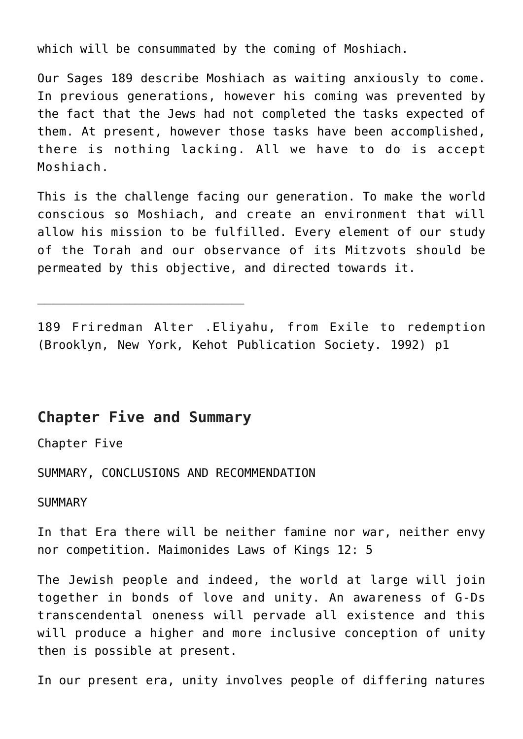which will be consummated by the coming of Moshiach.

Our Sages 189 describe Moshiach as waiting anxiously to come. In previous generations, however his coming was prevented by the fact that the Jews had not completed the tasks expected of them. At present, however those tasks have been accomplished, there is nothing lacking. All we have to do is accept Moshiach.

This is the challenge facing our generation. To make the world conscious so Moshiach, and create an environment that will allow his mission to be fulfilled. Every element of our study of the Torah and our observance of its Mitzvots should be permeated by this objective, and directed towards it.

189 Friredman Alter .Eliyahu, from Exile to redemption (Brooklyn, New York, Kehot Publication Society. 1992) p1

# **Chapter Five and Summary**

\_\_\_\_\_\_\_\_\_\_\_\_\_\_\_\_\_\_\_\_\_\_\_\_\_\_\_\_\_

Chapter Five

SUMMARY, CONCLUSIONS AND RECOMMENDATION

**SUMMARY** 

In that Era there will be neither famine nor war, neither envy nor competition. Maimonides Laws of Kings 12: 5

The Jewish people and indeed, the world at large will join together in bonds of love and unity. An awareness of G-Ds transcendental oneness will pervade all existence and this will produce a higher and more inclusive conception of unity then is possible at present.

In our present era, unity involves people of differing natures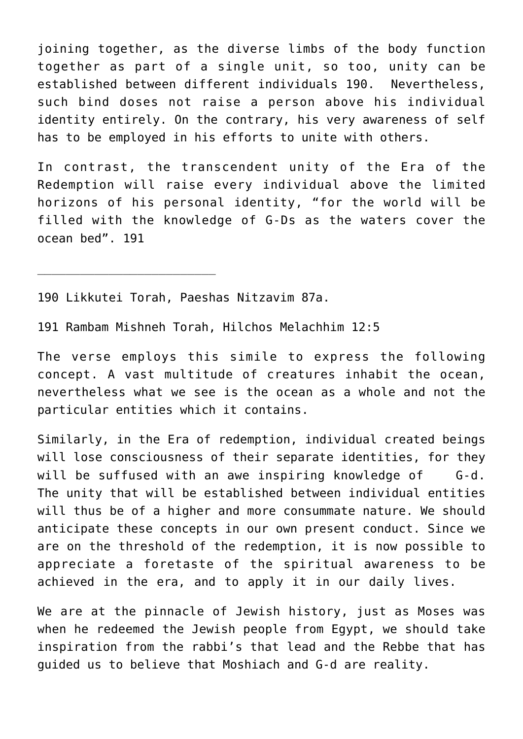joining together, as the diverse limbs of the body function together as part of a single unit, so too, unity can be established between different individuals 190. Nevertheless, such bind doses not raise a person above his individual identity entirely. On the contrary, his very awareness of self has to be employed in his efforts to unite with others.

In contrast, the transcendent unity of the Era of the Redemption will raise every individual above the limited horizons of his personal identity, "for the world will be filled with the knowledge of G-Ds as the waters cover the ocean bed". 191

190 Likkutei Torah, Paeshas Nitzavim 87a.

 $\overline{\phantom{a}}$  , which is a set of the set of the set of the set of the set of the set of the set of the set of the set of the set of the set of the set of the set of the set of the set of the set of the set of the set of th

191 Rambam Mishneh Torah, Hilchos Melachhim 12:5

The verse employs this simile to express the following concept. A vast multitude of creatures inhabit the ocean, nevertheless what we see is the ocean as a whole and not the particular entities which it contains.

Similarly, in the Era of redemption, individual created beings will lose consciousness of their separate identities, for they will be suffused with an awe inspiring knowledge of G-d. The unity that will be established between individual entities will thus be of a higher and more consummate nature. We should anticipate these concepts in our own present conduct. Since we are on the threshold of the redemption, it is now possible to appreciate a foretaste of the spiritual awareness to be achieved in the era, and to apply it in our daily lives.

We are at the pinnacle of Jewish history, just as Moses was when he redeemed the Jewish people from Egypt, we should take inspiration from the rabbi's that lead and the Rebbe that has guided us to believe that Moshiach and G-d are reality.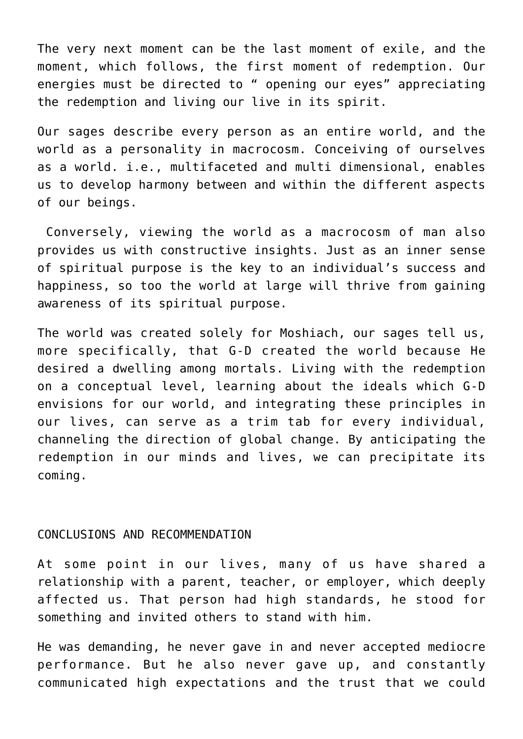The very next moment can be the last moment of exile, and the moment, which follows, the first moment of redemption. Our energies must be directed to " opening our eyes" appreciating the redemption and living our live in its spirit.

Our sages describe every person as an entire world, and the world as a personality in macrocosm. Conceiving of ourselves as a world. i.e., multifaceted and multi dimensional, enables us to develop harmony between and within the different aspects of our beings.

 Conversely, viewing the world as a macrocosm of man also provides us with constructive insights. Just as an inner sense of spiritual purpose is the key to an individual's success and happiness, so too the world at large will thrive from gaining awareness of its spiritual purpose.

The world was created solely for Moshiach, our sages tell us, more specifically, that G-D created the world because He desired a dwelling among mortals. Living with the redemption on a conceptual level, learning about the ideals which G-D envisions for our world, and integrating these principles in our lives, can serve as a trim tab for every individual, channeling the direction of global change. By anticipating the redemption in our minds and lives, we can precipitate its coming.

#### CONCLUSIONS AND RECOMMENDATION

At some point in our lives, many of us have shared a relationship with a parent, teacher, or employer, which deeply affected us. That person had high standards, he stood for something and invited others to stand with him.

He was demanding, he never gave in and never accepted mediocre performance. But he also never gave up, and constantly communicated high expectations and the trust that we could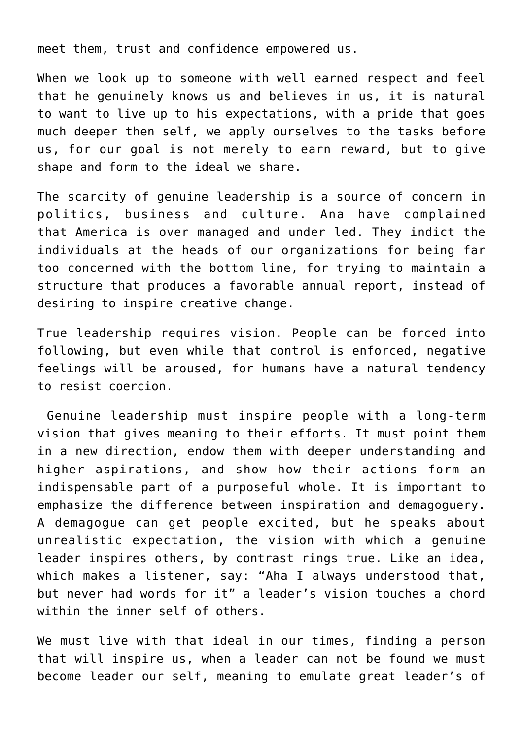meet them, trust and confidence empowered us.

When we look up to someone with well earned respect and feel that he genuinely knows us and believes in us, it is natural to want to live up to his expectations, with a pride that goes much deeper then self, we apply ourselves to the tasks before us, for our goal is not merely to earn reward, but to give shape and form to the ideal we share.

The scarcity of genuine leadership is a source of concern in politics, business and culture. Ana have complained that America is over managed and under led. They indict the individuals at the heads of our organizations for being far too concerned with the bottom line, for trying to maintain a structure that produces a favorable annual report, instead of desiring to inspire creative change.

True leadership requires vision. People can be forced into following, but even while that control is enforced, negative feelings will be aroused, for humans have a natural tendency to resist coercion.

 Genuine leadership must inspire people with a long-term vision that gives meaning to their efforts. It must point them in a new direction, endow them with deeper understanding and higher aspirations, and show how their actions form an indispensable part of a purposeful whole. It is important to emphasize the difference between inspiration and demagoguery. A demagogue can get people excited, but he speaks about unrealistic expectation, the vision with which a genuine leader inspires others, by contrast rings true. Like an idea, which makes a listener, say: "Aha I always understood that, but never had words for it" a leader's vision touches a chord within the inner self of others.

We must live with that ideal in our times, finding a person that will inspire us, when a leader can not be found we must become leader our self, meaning to emulate great leader's of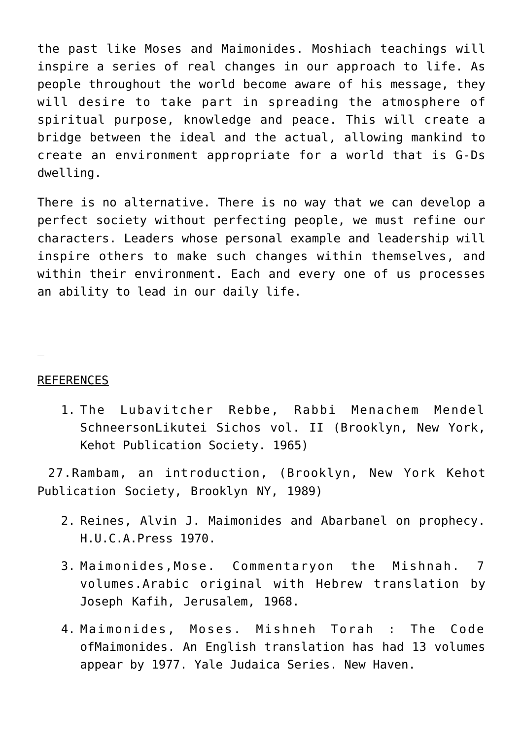the past like Moses and Maimonides. Moshiach teachings will inspire a series of real changes in our approach to life. As people throughout the world become aware of his message, they will desire to take part in spreading the atmosphere of spiritual purpose, knowledge and peace. This will create a bridge between the ideal and the actual, allowing mankind to create an environment appropriate for a world that is G-Ds dwelling.

There is no alternative. There is no way that we can develop a perfect society without perfecting people, we must refine our characters. Leaders whose personal example and leadership will inspire others to make such changes within themselves, and within their environment. Each and every one of us processes an ability to lead in our daily life.

# REFERENCES

1. The Lubavitcher Rebbe, Rabbi Menachem Mendel SchneersonLikutei Sichos vol. II (Brooklyn, New York, Kehot Publication Society. 1965)

 27.Rambam, an introduction, (Brooklyn, New York Kehot Publication Society, Brooklyn NY, 1989)

- 2. Reines, Alvin J. Maimonides and Abarbanel on prophecy. H.U.C.A.Press 1970.
- 3. Maimonides,Mose. Commentaryon the Mishnah. 7 volumes.Arabic original with Hebrew translation by Joseph Kafih, Jerusalem, 1968.
- 4. Maimonides, Moses. Mishneh Torah : The Code ofMaimonides. An English translation has had 13 volumes appear by 1977. Yale Judaica Series. New Haven.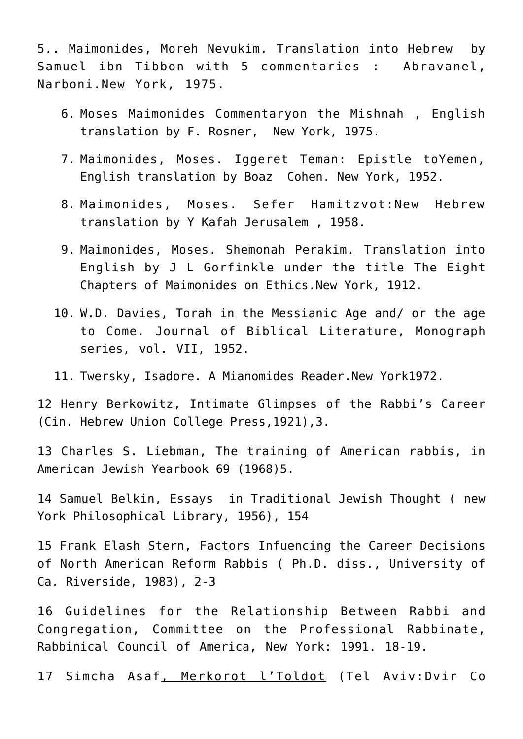5.. Maimonides, Moreh Nevukim. Translation into Hebrew by Samuel ibn Tibbon with 5 commentaries : Abravanel, Narboni.New York, 1975.

- 6. Moses Maimonides Commentaryon the Mishnah , English translation by F. Rosner, New York, 1975.
- 7. Maimonides, Moses. Iggeret Teman: Epistle toYemen, English translation by Boaz Cohen. New York, 1952.
- 8. Maimonides, Moses. Sefer Hamitzvot:New Hebrew translation by Y Kafah Jerusalem , 1958.
- 9. Maimonides, Moses. Shemonah Perakim. Translation into English by J L Gorfinkle under the title The Eight Chapters of Maimonides on Ethics.New York, 1912.
- 10. W.D. Davies, Torah in the Messianic Age and/ or the age to Come. Journal of Biblical Literature, Monograph series, vol. VII, 1952.
- 11. Twersky, Isadore. A Mianomides Reader.New York1972.

12 Henry Berkowitz, Intimate Glimpses of the Rabbi's Career (Cin. Hebrew Union College Press,1921),3.

13 Charles S. Liebman, The training of American rabbis, in American Jewish Yearbook 69 (1968)5.

14 Samuel Belkin, Essays in Traditional Jewish Thought ( new York Philosophical Library, 1956), 154

15 Frank Elash Stern, Factors Infuencing the Career Decisions of North American Reform Rabbis ( Ph.D. diss., University of Ca. Riverside, 1983), 2-3

16 Guidelines for the Relationship Between Rabbi and Congregation, Committee on the Professional Rabbinate, Rabbinical Council of America, New York: 1991. 18-19.

17 Simcha Asaf, Merkorot l'Toldot (Tel Aviv:Dvir Co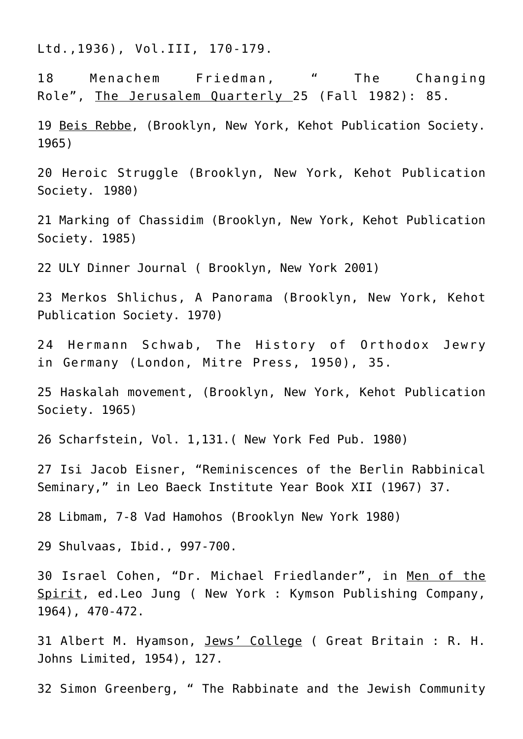Ltd.,1936), Vol.III, 170-179.

18 Menachem Friedman, " The Changing Role", The Jerusalem Quarterly 25 (Fall 1982): 85.

19 Beis Rebbe, (Brooklyn, New York, Kehot Publication Society. 1965)

20 Heroic Struggle (Brooklyn, New York, Kehot Publication Society. 1980)

21 Marking of Chassidim (Brooklyn, New York, Kehot Publication Society. 1985)

22 ULY Dinner Journal ( Brooklyn, New York 2001)

23 Merkos Shlichus, A Panorama (Brooklyn, New York, Kehot Publication Society. 1970)

24 Hermann Schwab, The History of Orthodox Jewry in Germany (London, Mitre Press, 1950), 35.

25 Haskalah movement, (Brooklyn, New York, Kehot Publication Society. 1965)

26 Scharfstein, Vol. 1,131.( New York Fed Pub. 1980)

27 Isi Jacob Eisner, "Reminiscences of the Berlin Rabbinical Seminary," in Leo Baeck Institute Year Book XII (1967) 37.

28 Libmam, 7-8 Vad Hamohos (Brooklyn New York 1980)

29 Shulvaas, Ibid., 997-700.

30 Israel Cohen, "Dr. Michael Friedlander", in Men of the Spirit, ed.Leo Jung ( New York : Kymson Publishing Company, 1964), 470-472.

31 Albert M. Hyamson, Jews' College ( Great Britain : R. H. Johns Limited, 1954), 127.

32 Simon Greenberg, " The Rabbinate and the Jewish Community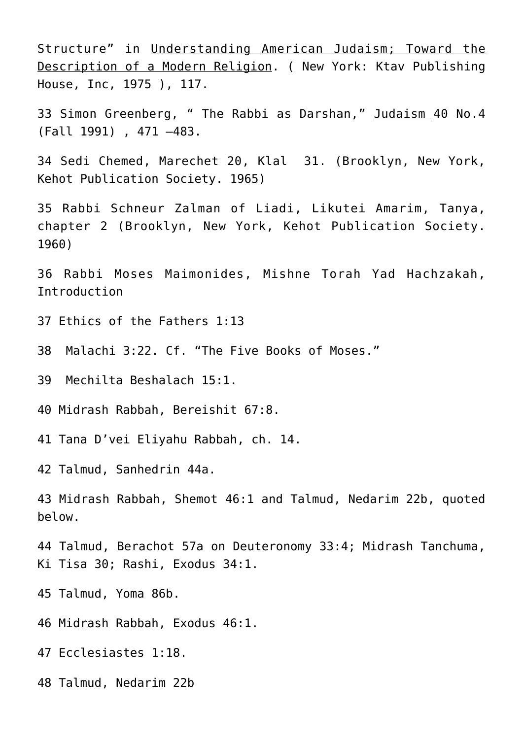Structure" in Understanding American Judaism; Toward the Description of a Modern Religion. ( New York: Ktav Publishing House, Inc, 1975 ), 117.

33 Simon Greenberg, " The Rabbi as Darshan," Judaism 40 No.4 (Fall 1991) , 471 –483.

34 Sedi Chemed, Marechet 20, Klal 31. (Brooklyn, New York, Kehot Publication Society. 1965)

35 Rabbi Schneur Zalman of Liadi, Likutei Amarim, Tanya, chapter 2 (Brooklyn, New York, Kehot Publication Society. 1960)

36 Rabbi Moses Maimonides, Mishne Torah Yad Hachzakah, Introduction

37 Ethics of the Fathers 1:13

38 Malachi 3:22. Cf. "The Five Books of Moses."

39 Mechilta Beshalach 15:1.

40 Midrash Rabbah, Bereishit 67:8.

41 Tana D'vei Eliyahu Rabbah, ch. 14.

42 Talmud, Sanhedrin 44a.

43 Midrash Rabbah, Shemot 46:1 and Talmud, Nedarim 22b, quoted below.

44 Talmud, Berachot 57a on Deuteronomy 33:4; Midrash Tanchuma, Ki Tisa 30; Rashi, Exodus 34:1.

45 Talmud, Yoma 86b.

46 Midrash Rabbah, Exodus 46:1.

47 Ecclesiastes 1:18.

48 Talmud, Nedarim 22b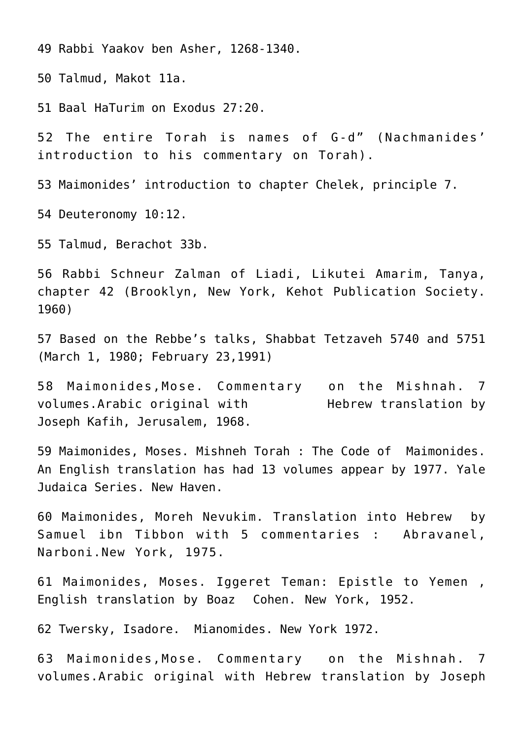49 Rabbi Yaakov ben Asher, 1268-1340.

50 Talmud, Makot 11a.

51 Baal HaTurim on Exodus 27:20.

52 The entire Torah is names of G-d" (Nachmanides' introduction to his commentary on Torah).

53 Maimonides' introduction to chapter Chelek, principle 7.

54 Deuteronomy 10:12.

55 Talmud, Berachot 33b.

56 Rabbi Schneur Zalman of Liadi, Likutei Amarim, Tanya, chapter 42 (Brooklyn, New York, Kehot Publication Society. 1960)

57 Based on the Rebbe's talks, Shabbat Tetzaveh 5740 and 5751 (March 1, 1980; February 23,1991)

58 Maimonides,Mose. Commentary on the Mishnah. 7 volumes.Arabic original with Hebrew translation by Joseph Kafih, Jerusalem, 1968.

59 Maimonides, Moses. Mishneh Torah : The Code of Maimonides. An English translation has had 13 volumes appear by 1977. Yale Judaica Series. New Haven.

60 Maimonides, Moreh Nevukim. Translation into Hebrew by Samuel ibn Tibbon with 5 commentaries : Abravanel, Narboni.New York, 1975.

61 Maimonides, Moses. Iggeret Teman: Epistle to Yemen , English translation by Boaz Cohen. New York, 1952.

62 Twersky, Isadore. Mianomides. New York 1972.

63 Maimonides,Mose. Commentary on the Mishnah. 7 volumes.Arabic original with Hebrew translation by Joseph